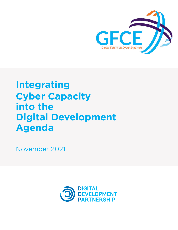

# **Integrating Cyber Capacity into the Digital Development Agenda**

November 2021

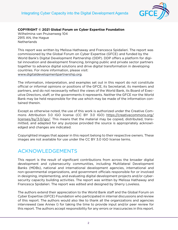

**COPYRIGHT © 2021 Global Forum on Cyber Expertise Foundation**

Wilhelmina van Pruisenweg 104 2915 AN, the Hague **Netherlands** 

This report was written by Melissa Hathaway and Francesca Spidalieri. The report was commissioned by the Global Forum on Cyber Expertise (GFCE) and funded by the World Bank's Digital Development Partnership (DDP). DDP offers a platform for digital innovation and development financing, bringing public and private sector partners together to advance digital solutions and drive digital transformation in developing countries. For more information, please visit: [www.digitaldevelopmentpartnership.org.](http://www.digitaldevelopmentpartnership.org/)

The information, interpretation, and examples set out in this report do not constitute official or informal opinions or positions of the GFCE, its Secretariat, its members and partners, and do not necessarily reflect the views of the World Bank, its Board of Executive Directors, staff, or the governments it represents. Neither the GFCE nor the World Bank may be held responsible for the use which may be made of the information contained therein.

Except as otherwise noted, the use of this work is authorized under the Creative Commons Attribution 3.0 IGO license (CC BY 3.0 IGO) [https://creativecommons.org/](https://creativecommons.org/licenses/by/3.0/igo/) [licenses/by/3.0/igo/.](https://creativecommons.org/licenses/by/3.0/igo/) This means that the material may be copied, distributed, transmitted, and adapted for any purpose provided the source is appropriately acknowledged and changes are indicated.

Copyrighted images that appear in this report belong to their respective owners. These images are not available for use under the CC BY 3.0 IGO license terms.

## ACKNOWLEDGEMENTS

This report is the result of significant contributions from across the broader digital development and cybersecurity communities, including Multilateral Development Banks (MDBs), national and international development agencies, international and non-governmental organizations, and government officials responsible for or involved in designing, implementing, and evaluating digital development projects and/or cybersecurity capacity building activities. The report was written by Melissa Hathaway and Francesca Spidalieri. The report was edited and designed by Sherry Loveless.

The authors extend their appreciation to the World Bank staff and the Global Forum on Cyber Expertise (GFCE) Foundation who participated in internal discussions and review of this report. The authors would also like to thank all the organizations and agencies interviewed (see Annex I) for taking the time to provide input and/or peer review for this report. The authors accept responsibility for any errors or inaccuracies in this report.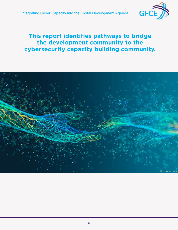

# **This report identifies pathways to bridge the development community to the cybersecurity capacity building community.**

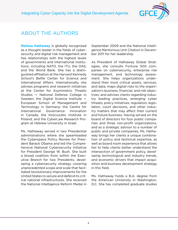

### ABOUT THE AUTHORS

**Melissa Hathaway** is globally recognized as a thought leader in the fields of cybersecurity and digital risk management and has relationships with the highest levels of governments and international institutions, including NATO, the ITU, the OAS, and the World Bank. She has a distinguished affiliation at the Harvard Kennedy School's Belfer Center for Science and International Affairs. Internationally, she advises programs and research initiatives at the Center for Asymmetric Threats Studies — National Defense College in Sweden; the Digital Science Institute — European School of Management and Technology in Germany; the Centre for International Governance Innovation in Canada; the Kosciuszko Institute in Poland; and the CyberLaw Research Program at Hebrew University in Israel.

Ms. Hathaway served in two Presidential administrations where she spearheaded the Cyberspace Policy Review for President Barack Obama and led the Comprehensive National Cybersecurity Initiative for President George W. Bush. She built a broad coalition from within the Executive Branch for two Presidents, developing a cybersecurity strategy covering unprecedented scope and scale that facilitated revolutionary improvements for the United States to secure and defend its critical national infrastructures. She received the National Intelligence Reform Medal in September 2009 and the National Intelligence Meritorious Unit Citation in December 2011 for her leadership.

As President of Hathaway Global Strategies, she consults Fortune 500 companies on cybersecurity, enterprise risk management, and technology assessment. She helps organizations understand their most critical assets, services, and data; maps digital risks to the organization's business, financial, and risk objectives; and advises clients regarding industry leading practices, emerging cyber threats, policy initiatives, regulation, legislation, court decisions, and other industry matters that may affect their current and future business. Having served on the board of directors for four public companies and three non-profit organizations, and as a strategic advisor to a number of public and private companies, Ms. Hathaway brings her clients a unique combination of policy and technical expertise, as well as board room experience that allows her to help clients better understand the intersection of government policy, developing technological and industry trends, and economic drivers that impact acquisition and business development strategy in this field.

Ms. Hathaway holds a B.A. degree from the American University in Washington, D.C. She has completed graduate studies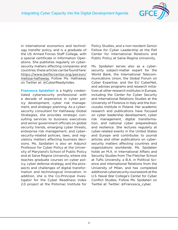

in international economics and technology transfer policy, and is a graduate of the US Armed Forces Staff College, with a special certificate in Information Operations. She publishes regularly on cybersecurity matters affecting companies and countries; these articles can be found here: [https://www.belfercenter.org/person/](https://www.belfercenter.org/person/melissa-hathaway) [melissa-hathaway.](https://www.belfercenter.org/person/melissa-hathaway) Follow Ms. Hathaway on Twitter at: @CyberReadyIndex.

**Francesca Spidalieri** is a highly credentialed cybersecurity professional with a decade of experience in cyber policy development, cyber risk management, and strategic planning. As a cybersecurity consultant for Hathaway Global Strategies, she provides strategic consulting services to business executives and senior government officials on global security trends, emerging cyber threats, enterprise risk management, and cybersecurity-related policies, laws, and regulatory matters affecting business decisions. Ms. Spidalieri is also an Adjunct Professor for Cyber Policy at the University of Maryland's School of Public Policy and at Salve Regina University, where she teaches graduate courses on cyber policy, cyber defense strategy, and the prospects and challenges of digital transformation and technological innovation. In addition, she is the Co-Principal Investigator for the Cyber Readiness Index 2.0 project at the Potomac Institute for

Policy Studies, and a non-resident Senior Fellow for Cyber Leadership at the Pell Center for International Relations and Public Policy at Salve Regina University.

Ms. Spidalieri serves also as a cybersecurity subject-matter expert for the World Bank, the International Telecommunications Union, the Global Forum on Cyber Expertise, and the EU CyberNet, and advises programs and research initiatives at other research institutes in Europe, including the Center for Cyber Security and International Relations Studies at the University of Florence in Italy and the Kosciuszko Institute in Poland. Her academic research and publications have focused on cyber leadership development, cyber risk management, digital transformation, and national cyber preparedness and resilience. She lectures regularly at cyber-related events in the United States and Europe and contributes to journal articles and other publications on cybersecurity matters affecting countries and organizations worldwide. Ms. Spidalieri holds an M.A. in International Affairs and Security Studies from The Fletcher School at Tufts University, a B.A. in Political Science and International Relations from the University of Milan, and has completed additional cybersecurity coursework at the U.S. Naval War College's Center for Cyber Conflict Studies. Follow Ms. Spidalieri on Twitter at: Twitter: @Francesca\_cyber.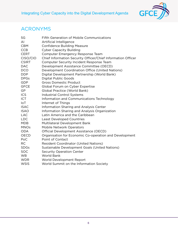

# ACRONYMS

| 5G           | <b>Fifth Generation of Mobile Communications</b>             |
|--------------|--------------------------------------------------------------|
| AI           | Artificial Intelligence                                      |
| <b>CBM</b>   | <b>Confidence Building Measure</b>                           |
| <b>CCB</b>   | <b>Cyber Capacity Building</b>                               |
| <b>CERT</b>  | Computer Emergency Response Team                             |
| CISO/CIO     | Chief Information Security Officer/Chief Information Officer |
| <b>CSIRT</b> | <b>Computer Security Incident Response Team</b>              |
| <b>DAC</b>   | Development Assistance Committee (OECD)                      |
| <b>DCO</b>   | Development Coordination Office (United Nations)             |
| <b>DDP</b>   | Digital Development Partnership (World Bank)                 |
| <b>DPGs</b>  | <b>Digital Public Goods</b>                                  |
| <b>GDP</b>   | <b>Gross Domestic Product</b>                                |
| <b>GFCE</b>  | Global Forum on Cyber Expertise                              |
| GP           | Global Practice (World Bank)                                 |
| <b>ICS</b>   | Industrial Control Systems                                   |
| <b>ICT</b>   | Information and Communications Technology                    |
| IoT          | Internet of Things                                           |
| <b>ISAC</b>  | Information Sharing and Analysis Center                      |
| <b>ISAO</b>  | Information Sharing and Analysis Organization                |
| <b>LAC</b>   | Latin America and the Caribbean                              |
| <b>LDC</b>   | <b>Least Developed Countries</b>                             |
| <b>MDB</b>   | Multilateral Development Bank                                |
| <b>MNOs</b>  | Mobile Network Operators                                     |
| <b>ODA</b>   | Official Development Assistance (OECD)                       |
| <b>OECD</b>  | Organisation for Economic Co-operation and Development       |
| PoC          | Point of Contact                                             |
| RC           | <b>Resident Coordinator (United Nations)</b>                 |
| <b>SDGs</b>  | Sustainable Development Goals (United Nations)               |
| <b>SOC</b>   | <b>Security Operation Center</b>                             |
| <b>WB</b>    | <b>World Bank</b>                                            |
| <b>WDR</b>   | World Development Report                                     |
| <b>WSIS</b>  | World Summit on the Information Society                      |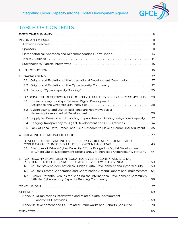

# TABLE OF CONTENTS

|    |                             | Methodological Approach and Recommendations Formulation 13                                                                                                                                                                                                                                                                                                                                                                                                                                                 |  |  |  |  |  |  |
|----|-----------------------------|------------------------------------------------------------------------------------------------------------------------------------------------------------------------------------------------------------------------------------------------------------------------------------------------------------------------------------------------------------------------------------------------------------------------------------------------------------------------------------------------------------|--|--|--|--|--|--|
| 1. |                             |                                                                                                                                                                                                                                                                                                                                                                                                                                                                                                            |  |  |  |  |  |  |
| 2. | 2.1<br>$2.2^{\circ}$<br>2.3 | Origins and Evolution of the International Development Community. 17<br>Origins and Evolution of the Cybersecurity Community 22                                                                                                                                                                                                                                                                                                                                                                            |  |  |  |  |  |  |
| 3. | 3.1                         | BRIDGING THE DEVELOPMENT COMMUNITY AND THE CYBERSECURITY COMMUNITY 28<br>Understanding the Gaps Between Digital Development                                                                                                                                                                                                                                                                                                                                                                                |  |  |  |  |  |  |
|    |                             | 3.2 Cybersecurity and Digital Resilience are Not Viewed as a                                                                                                                                                                                                                                                                                                                                                                                                                                               |  |  |  |  |  |  |
|    | 3.3                         | Supply vs. Demand and Exporting Capabilities vs. Building Indigenous Capacity. 32                                                                                                                                                                                                                                                                                                                                                                                                                          |  |  |  |  |  |  |
|    | 3.4                         | Bringing Transparency to Digital Development and CCB Activities. 34                                                                                                                                                                                                                                                                                                                                                                                                                                        |  |  |  |  |  |  |
|    | 3.5                         | Lack of Local Data, Trends, and Field Research to Make a Compelling Argument 35                                                                                                                                                                                                                                                                                                                                                                                                                            |  |  |  |  |  |  |
|    |                             |                                                                                                                                                                                                                                                                                                                                                                                                                                                                                                            |  |  |  |  |  |  |
| 5. | 5.1                         | BENEFITS OF INTEGRATING CYBERSECURITY, DIGITAL RESILIENCE, AND<br>CYBER CAPACITY INTO DIGITAL DEVELOPMENT AGENDAS 43<br>Examples of Where Cyber Capacity Efforts Bridged to Digital Development<br>or Where Digital Development Efforts Brought Increased Cybersecurity Maturity 44                                                                                                                                                                                                                        |  |  |  |  |  |  |
|    | 6.1<br>6.2<br>6.3           | 6. KEY RECOMMENDATIONS: INTEGRATING CYBERSECURITY AND DIGITAL<br>RESILIENCE INTO THE BROADER DIGITAL DEVELOPMENT AGENDA<br>50<br>Call for Stakeholders Action to Bridge Digital Development and Cybersecurity 50<br>Call for Greater Cooperation and Coordination Among Donors and Implementors. . 54<br>Explore Potential Venues for Bridging the International Development Community<br>with the Cybersecurity Capacity Building Community (also conserved the Cybersecurity Capacity Building Community |  |  |  |  |  |  |
|    |                             |                                                                                                                                                                                                                                                                                                                                                                                                                                                                                                            |  |  |  |  |  |  |
|    |                             | Annex I: Organizations interviewed and related digital development                                                                                                                                                                                                                                                                                                                                                                                                                                         |  |  |  |  |  |  |
|    |                             | Annex II: Development and CCB-related Frameworks and Reports Consulted. 78                                                                                                                                                                                                                                                                                                                                                                                                                                 |  |  |  |  |  |  |
|    |                             |                                                                                                                                                                                                                                                                                                                                                                                                                                                                                                            |  |  |  |  |  |  |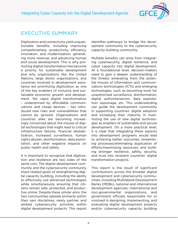

### <span id="page-7-0"></span>EXECUTIVE SUMMARY

Digitization and connectivity yield unquestionable benefits, including improving competitiveness, productivity, efficiency, innovation, and modernization; generating more revenue; and advancing human and social development. This is why promoting digital transformation has become a priority for sustainable development and why organizations like the United Nations, large donor organizations, and countries involved in development assistance are prioritizing digitization as one of the key enablers of inclusive and sustainable economic growth and development. Yet, rapid digital transformation – underpinned by affordable communications and cheap devices – has introduced new risks and vulnerabilities that cannot be ignored. Organizations and countries alike are becoming increasingly concerned about the misuse of digital technologies that might lead to critical infrastructure failures, financial destabilization, increased surveillance, human rights abuses, disinformation, data exploitation, and other negative impacts on public health and safety.

It is important to recognize that digitization and resilience are two sides of the same coin. The digital development community and the cybersecurity community share related goals of strengthening digital capacity building, including the ability to effectively use advanced technologies while simultaneously ensuring that citizens remain safe, protected, and productive online. Despite these similar aims, the two communities operate primarily within their own disciplines, rarely partner, and embed cybersecurity activities within digital development projects. This report

identifies pathways to bridge the development community to the cybersecurity capacity building community.

Multiple benefits can arise from integrating cybersecurity, digital resilience, and cyber capacity into digital development. At a foundational level, decision-makers need to gain a deeper understanding of the threats emanating from the potential misuse of information and communications technologies (ICTs) and emerging technologies, such as becoming tools for unauthorized surveillance, disinformation, digital authoritarianism, data exploitation, espionage, etc. This understanding can guide the development community in supporting countries' digital adoption and increasing their maturity in maximizing the use of new digital technologies as enablers of sustainable and secure development. On a more practical level, it is clear that integrating these aspects into development programs would lead to achieving better outcomes; streamlining processes/eliminating duplication of efforts/maximizing resources; and building stronger resilience, safety, security, and trust into recipient countries' digital transformation projects.

This report is the result of significant contributions across the broader digital development and cybersecurity communities, including Multilateral Development Banks (MDBs), national and international development agencies, international and non-governmental organizations, and government officials responsible for or involved in designing, implementing, and evaluating digital development projects and/or cybersecurity capacity building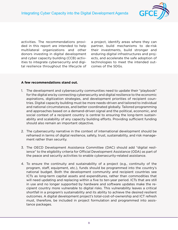

activities. The recommendations provided in this report are intended to help multilateral organizations and other donors investing in digital development and cyber capacity building (CCB) activities to integrate cybersecurity and digital resilience throughout the lifecycle of a project, identify areas where they can partner, build mechanisms to de-risk their investments, build stronger and enduring digital infrastructures and projects, and accelerate the safe adoption of technologies to meet the intended outcomes of the SDGs.

#### **A few recommendations stand out.**

- 1. The development and cybersecurity communities need to update their "playbook" for the digital era by connecting cybersecurity and digital resilience to the economic aspirations, digitization strategies, and development priorities of recipient countries. Digital capacity building must be more needs-driven and tailored to individual and national circumstances, and better coordinated globally. Tailored programming and approaches based on a demand-driven signal and the political, economic, and social context of a recipient country is central to ensuring the long-term sustainability and scalability of any capacity building efforts. Providing sufficient funding should also remain an important objective.
- 2. The cybersecurity narrative in the context of international development should be reframed in terms of digital resilience, safety, trust, sustainability, and risk management rather than security.
- 3. The OECD Development Assistance Committee (DAC) should add "digital resilience" to the eligibility criteria for Official Development Assistance (ODA) as part of the peace and security activities to enable cybersecurity-related assistance.
- 4. To ensure the continuity and sustainability of a project (e.g., continuity of the program, staff, equipment, etc.), funds should be programmed into the country's national budget. Both the development community and recipient countries see ICTs as long-term capital assets and expenditures, rather than commodities that will need updating and replacing within a five to ten-year period. ICTs that are still in use and no longer supported by hardware and software updates make the recipient country more vulnerable to digital risks. This vulnerability leaves a critical shortfall in a program's sustainability and its ability to achieve the desired resilient outcomes. A digital development project's total-cost-of-ownership and ICT refresh must, therefore, be included in project formulation and programmed into assistance packages.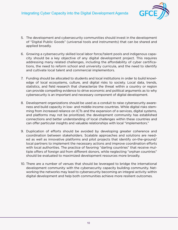

- 5. The development and cybersecurity communities should invest in the development of "Digital Public Goods" (universal tools and instruments) that can be shared and applied broadly.
- 6. Growing a cybersecurity skilled local labor force/talent pools and indigenous capacity should be a key objective of any digital development project. This requires addressing many related challenges, including the affordability of cyber certifications, the need to reform school and university curricula, and the need to identify and cultivate local talent and commercial implementors.
- 7. Funding should be allocated to students and local institutions in order to build knowledge of local ecosystems, culture, and digital risks to society. Local data, trends, statistics, and field research that characterize the threat within a country or region can provide compelling evidence to drive economic and political arguments as to why cybersecurity is an important and necessary component of digital development.
- 8. Development organizations should be used as a conduit to raise cybersecurity awareness and build capacity in low- and middle-income countries. While digital risks stemming from increased reliance on ICTs and the expansion of e-services, digital systems, and platforms may not be prioritized, the development community has established connections and better understanding of local challenges within these countries and can offer particular insights and valuable relationships with local "implementors."
- 9. Duplication of efforts should be avoided by developing greater coherence and coordination between stakeholders. Scalable approaches and solutions are needed as well as innovative platforms and pilot projects that identify on-the-ground/ local partners to implement the necessary actions and improve coordination efforts with local authorities. The practice of favoring "darling countries" that receive multiple offers of foreign aid from different donors, while neglecting "orphan countries" should be evaluated to maximized development resources more broadly.
- 10. There are a number of venues that should be leveraged to bridge the international development community with the cybersecurity capacity building community. Networking the networks may lead to cybersecurity becoming an integral activity within digital development and help both communities achieve more resilient outcomes.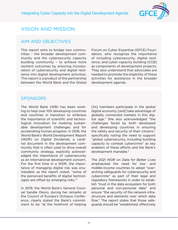

### <span id="page-10-0"></span>VISION AND MISSION

### AIM AND OBJECTIVES

This report aims to bridge two communities – the broader development community and the cybersecurity capacity building community – to achieve more resilient outcomes by ensuring incorporation of cybersecurity and digital resilience into digital development activities. This report is a product of the partnership between the World Bank and the Global Forum on Cyber Expertise (GFCE) Foundation, who recognize the importance of including cybersecurity, digital resilience, and cyber capacity building (CCB) as components of development projects. They also understand that advocates are needed to promote the eligibility of these activities for assistance in the broader development agenda.

### **SPONSORS**

The World Bank (WB) has been working to help over 100 developing countries and countries in transition to embrace the importance of scientific and technological innovation for meeting sustainable development challenges and for accelerating human progress. In 2016, the World Bank's World Development Report (WDR) on Digital Dividends, a cardinal document in the development community that is often used to drive overall community strategy, explicitly acknowledged the importance of cybersecurity as an international development concern. For the first time in a WDR, the importance of managing digital risk was enumerated, as the report noted, "some of the perceived benefits of digital technologies are offset by emerging risks."[1](#page-79-0)

In 2019, the World Bank's General Counsel Sandie Okoro, during her remarks at the Council of Europe's Octopus Conference, clearly stated the Bank's commitment to be "at the forefront of helping [its] members participate in the global digital economy [and] take advantage of globally connected markets in this digital age." She also acknowledged "the challenges faced by both developed and developing countries in ensuring the safety and security of their citizens," specifically noting the need to support "global cybersecurity, including building capacity to combat cybercrime" as key enablers of these efforts and the Bank's development mandate.<sup>2</sup>

The 2021 WDR on Data for Better Lives emphasized the need for low- and middle-income countries to adopt "overarching safeguards for cybersecurity and cybercrime" as part of their legal and regulatory frameworks in order to establish "trust in the data ecosystem for both personal and non-personal data" and ensure "the security of the network infrastructure and elements over which data flow." The report states that those safeguards should be "established, effectively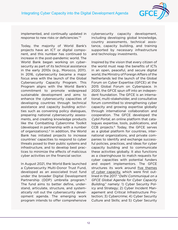

implemented, and continually updated in response to new risks or deficiencies.["3](#page-79-0)

Today, the majority of World Bank's projects have an ICT or digital component, and this number has continued to increase in the post-pandemic world. The World Bank began working on cybersecurity as part of its technical assistance in the early 2010s (e.g., Morocco, 2011). In 2016, cybersecurity became a major focus area with the launch of the Global Cybersecurity Capacity Program. This Program aligns with the World Bank's commitment to promote widespread sustainable development and aims to enhance the cybersecurity capacities of developing countries through technical assistance and capacity building activities such as convening policy dialogues, preparing national cybersecurity assessments, and creating knowledge products like the Combatting Cybercrime Toolkit (developed in partnership with a number of organizations)[.4](#page-79-0) In addition, the World Bank has initiated projects to increase countries' capacities to respond to cyber threats posed to their public systems and infrastructure, and to develop best practices to minimize the effects of malicious cyber activities on the financial sector.

In August 2021, the World Bank launched a Cybersecurity Multi-Donor Trust Fund, developed as an associated trust fund under the broader Digital Development Partnership (DDP) umbrella program.<sup>[5](#page-79-0)</sup> The fund aims to better define, understand, articulate, structure, and systematically roll out the cybersecurity development agenda. The emerging work program intends to offer comprehensive cybersecurity capacity development, including developing global knowledge, country assessments, technical assistance, capacity building, and training supported by necessary infrastructure and technology investments.

Inspired by the vision that every citizen of the world must reap the benefits of ICTs in an open, peaceful, and secure digital world, the Ministry of Foreign Affairs of the Netherlands led the launch of the Global Forum on Cyber Expertise (GFCE) at the 2015 Global Forum on Cyberspace. In 2020, the GFCE spun off into an independent foundation. The GFCE is an international, multi-stakeholder, and consultative forum committed to strengthening cyber capacity and growing expertise globally through international collaboration and cooperation. The GFCE developed the Cybil Portal, an online platform that catalogues expertise, tools, publications, and CCB projects.<sup>[6](#page-79-0)</sup> Today, the GFCE serves as a global platform for countries, international organizations, and private companies to identify and exchange successful policies, practices, and ideas for cyber capacity building and to communicate these activities globally. It also functions as a clearinghouse to match requests for cyber capacities with potential funders and expert implementors. The GFCE structures its work around five themes of cyber capacity, which were first outlined in the 2017 "Delhi Communiqué on a GFCE Global Agenda for Cyber Capacity Building," namely: 1) Cyber Security Policy and Strategy; 2) Cyber Incident Management and Critical Infrastructure Protection; 3) Cybercrime; 4) Cyber Security Culture and Skills; and 5) Cyber Security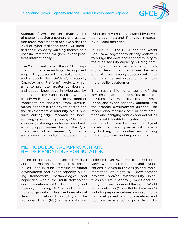

<span id="page-12-0"></span>Standards.<sup>7</sup> While not an exhaustive list of capabilities that a country or organization must implement to achieve a desired level of cyber resilience, the GFCE identified these capacity building themes as a baseline reference for good cyber practices internationally.

The World Bank joined the GFCE in support of the overarching development angle of cybersecurity capacity building and supports the "GFCE Cybersecurity Capacity and Platform" project, which aims to promote greater collaboration and deeper knowledge in cybersecurity. To this end, the World Bank is working closely with the GFCE to bring together important stakeholders from governments, academia, the private sector, and the development community to: 1) produce cutting-edge research on newly evolving cybersecurity topics; 2) facilitate knowledge sharing mechanisms and networking opportunities through the Cybil portal and other venues; 3) provide an avenue to better understand the

cybersecurity challenges faced by developing countries; and 4) engage in capacity building activities.

In June 2021, the GFCE and the World Bank came together to identify pathways to bridge the development community to the cybersecurity capacity building community and create mechanisms by which digital development could see the benefits of incorporating cybersecurity into their projects and initiatives to achieve more resilient outcomes.

This report highlights some of the key challenges and benefits of incorporating cybersecurity, digital resilience, and cyber capacity building into the broader development agenda. The report also features several best practices and bridging venues and activities that could facilitate tighter alignment and collaboration between the digital development and cybersecurity capacity building communities and among initiative donors and implementors.

### METHODOLOGICAL APPROACH AND RECOMMENDATIONS FORMULATION

Based on primary and secondary data and information sources, this report builds upon existing literature on digital development and cyber capacity building frameworks, methodologies, and capacities within the multi-stakeholder and international GFCE Community and beyond, including MDBs and international organizations like the International Telecommunications Union (ITU) and the European Union (EU). Primary data was collected over 40 semi-structured interviews with selected experts and organizations involved in the design and implementation of digital/ICT development projects and/or cybersecurity initiatives (see list in Annex I). Additional primary data was obtained through a World Bank workshop ("roundtable discussion") including representatives involved in digital development lending operations and technical assistance projects from the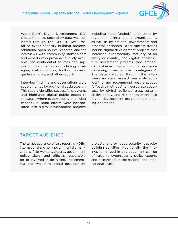

<span id="page-13-0"></span>World Bank's Digital Development (DD) Global Practice. Secondary data was collected through the GFCE's Cybil Portal of cyber capacity building projects, additional open-source research, and the interviews with community stakeholders and experts who provided publicly available and confidential sources and supporting documentation, including strategies, methodologies, toolkits, primers, guidance notes, and other reports.

Interview findings and observations were supplemented by additional desk research. This report identifies successful programs and highlights digital public goods to showcase where cybersecurity and cyber capacity building efforts were incorporated into digital development projects, including those funded/implemented by regional and international organizations, as well as by national governments and other major donors. Other success stories include digital development projects that increased cybersecurity maturity of an entity or country, and digital infrastructure investment projects that embedded cybersecurity and digital resilience de-risking mechanisms (safeguards). The data collected through the interviews and desk research was analyzed to identify and recommend best practices (effective methods) to incorporate cybersecurity, digital resilience, trust, sustainability, safety, and risk management into digital development programs and lending operations.

### TARGET AUDIENCE

The target audience of this report is MDBs, international and non-governmental organizations, field workers, experts, government policymakers, and officials responsible for or involved in designing, implementing, and evaluating digital development projects and/or cybersecurity capacity building activities. Additionally, the findings formalized in this document can be of value to cybersecurity policy experts and researchers at the national and international levels.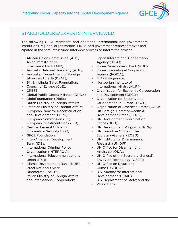

### <span id="page-14-0"></span>STAKEHOLDERS/EXPERTS INTERVIEWED

The following GFCE Members<sup>8</sup> and additional international non-governmental institutions, regional organizations, MDBs, and government representatives participated in the semi-structured interview process to inform the project:

- African Union Commission (AUC);
- Asian Infrastructure Investment Bank (AIIB);
- Australia National University (ANU);
- Australian Department of Foreign Affairs and Trade (DFAT);
- Bill & Melinda Gates Foundation;
- Council of Europe (CoE);
- CREST;
- Digital Public Goods Alliance (DPGA);
- DiploFoundation (Diplo);
- Dutch Ministry of Foreign Affairs;
- Estonian Ministry of Foreign Affairs;
- European Bank for Reconstruction and Development (EBRD);
- European Commission (EC);
- European Investment Bank (EIB);
- German Federal Office for Information Security (BSI);
- GFCE Foundation;
- Inter-American Development Bank (IDB);
- International Criminal Police Organization (INTERPOL);
- International Telecommunications Union (ITU);
- Islamic Development Bank (IsDB);
- Israel National Cyber Directorate (INCD);
- Italian Ministry of Foreign Affairs and International Cooperation;
- Japan International Cooperation Agency (JICA);
- Korea Development Bank (KDB);
- Korea International Cooperation Agency (KOICA);
- MITRE Engenuity;
- Norwegian Institute of International Affairs (NUPI);
- Organisation for Economic Co-operation and Development (OECD);
- Organization for Security and Co-operation in Europe (OSCE);
- Organization of American States (OAS);
- UK Foreign, Commonwealth & Development Office (FCDO);
- UN Development Coordination Office (DCO);
- UN Development Program (UNDP);
- UN Executive Office of the Secretary-General (EOSG);
- UN Institute for Disarmament Research (UNIDIR);
- UN Office for Disarmament Affairs (UNODA);
- UN Office of the Secretary-General's Envoy on Technology (OSET);
- UN Office on Drugs and Crime (UNODC);
- U.S. Agency for International Development (USAID);
- U.S. Department of State; and the
- World Bank.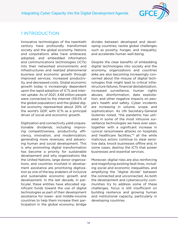

### <span id="page-15-0"></span>1 INTRODUCTION

Innovative technologies of the twentieth century have profoundly transformed society and the global economy. Nations and corporations alike have embraced, adopted, and embedded information and communications technologies (ICTs) into their networked environments and infrastructures and realized phenomenal business and economic growth through improved services, increased productivity, and decreased costs. Global economic growth today is increasingly dependent upon the rapid adoption of ICTs and internet uptake. As of 2021, 4.66 billion people were connected to the internet (59.5% of the global population) and the global digital economy represented about 20% of the world's GDP, with ICTs as a principal driver of social and economic growth.

Digitization and connectivity yield unquestionable dividends, including improving competitiveness, productivity, efficiency, innovation, and modernization; generating more revenues; and advancing human and social development. This is why promoting digital transformation has become a priority for sustainable development and why organizations like the United Nations, large donor organizations, and countries involved in development assistance are prioritizing digitization as one of the key enablers of inclusive and sustainable economic growth and development. In the last decade, in particular, these entities have allocated significant funds toward the use of digital technologies as part of their development assistance for lower- and middle-income countries to help them increase their participation in the global economy; bridge

divides between developed and developing countries; tackle global challenges such as poverty, hunger, and inequality; and accelerate human well-being.

Despite the clear benefits of embedding digital technologies into society and the economy, organizations and countries alike are also becoming increasingly concerned about the misuse of digital technologies that might lead to critical infrastructure failures, financial destabilization, increased surveillance, human rights abuses, disinformation, data exploitation, and other negative impacts on people's health and safety. Cyber incidents are increasing in volume, scope, and sophistication. As UN Secretary-General Guterres noted, "the pandemic has ushered in some of the most intrusive surveillance technologies we have ever seen, together with a significant increase in cynical ransomware attacks on hospitals and healthcare facilities,"<sup>9</sup> all the while malicious actors continue to steal sensitive data, knock businesses offline and, in some cases, destroy the ICTs that power businesses and essential services.

Moreover, digital risks are also reinforcing and magnifying existing fault lines, including social and economic inequalities, and amplifying the "digital divide" between the connected and unconnected. As both the development and cybersecurity communities try to address some of these challenges, focus is still insufficient on building resilience and growing human and institutional capacity, particularly in developing countries.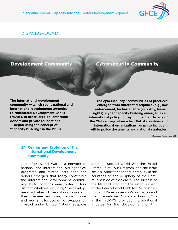

### <span id="page-16-0"></span>2 BACKGROUND

### **Development Community**

### **Cybersecurity Community**

**The international development community — which spans national and international development agencies to Multilateral Development Banks (MDBs), to other large philanthropic donors and private foundations — began using the concept of "capacity building" in the 1990s.** 

**The cybersecurity "communities of practice" emerged from different disciplines (e.g., law enforcement, technical, foreign policy, human rights). Cyber capacity building emerged as an international policy concept in the first decade of the 21st century, when a handful of countries and international organizations began to include it within policy documents and national strategies.**

iStock.com/marchmeena29

#### **2.1 Origins and Evolution of the International Development Community**

Just after World War II, a network of national and international aid agencies, programs, and related institutions and donors emerged that today constitutes the international development community. Its foundations were rooted in four distinct initiatives, including "the development activities of the colonial powers in their overseas territories, the institutions and programs for economic co-operation created under United Nations auspices after the Second World War, the United States Point Four Program, and the large scale support for economic stability in the countries on the periphery of the Communist bloc of that era."[10](#page-79-0) The success of the Marshall Plan and the establishment of the International Bank for Reconstruction and Development (World Bank) and the International Monetary Fund (IMF) in the mid-'40s provided the additional impetus for the development of this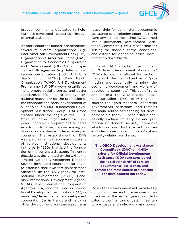

broader community dedicated to helping less-developed countries through external assistance.

As more countries gained independence, several multilateral organizations (e.g., Inter-American Development Bank [IDB], Organization of American States [OAS], Organisation for Economic Co-operation and Development [OECD]) and specialized UN agencies (e.g., International Labour Organization [ILO], UN Children's Fund [UNICEF], World Health Organization [WHO], UN Development Programme [UNDP]) were established "to promote social progress and better standards of life" and "to employ international machinery for the promotion of the economic and social advancement of all peoples."<sup>11</sup> In 1960, a dedicated Development Assistance Group (DAG) was created under the aegis of the OECD (then, still called Organisation for European Economic Co-operation) to serve as a forum for consultations among aid donors on assistance to less-developed countries. The establishment of DAG was part of an extraordinary upsurge of related institutional developments in the early 1960s that laid the foundation of the current aid system. This entire decade was designated by the UN as the "United Nations Development Decade." Several developed countries also began to establish their own foreign assistance agencies, like the U.S. Agency for International Development (USAID), Canadian International Development Agency (CIDA), Japan International Cooperation Agency (JICA), and the Swedish International Development Authority (SIDA); or ministries/departments for development cooperation (as in France and Italy); or other development assistance programs responsible for administering economic assistance to developing countries (as in Germany). In the meantime, DAG turned into a permanent Development Assistance Committee (DAC) responsible for setting the financial terms, conditions, and criteria for donor countries' development aid worldwide.

In 1969, DAC adopted the concept of "Official Development Assistance" (ODA) to identify official transactions made with the main objective of "promoting and specifically targeting the economic development and welfare of developing countries." This set of rules and criteria for ODA-eligible activities (so-called "DAC-ability") is considered the "gold standard" of foreign governments' assistance, and remains the main source of financing for development aid today**.** [12](#page-79-0) These criteria specifically exclude "military aid and promotion of donors' security interests," which is noteworthy because this often excludes some donor countries' cybersecurity-related assistance.

**The OECD Development Assistance Committee's (DAC) eligibility criteria for Official Development Assistance (ODA) are considered the "gold standard" of foreign governments' assistance, and remain the main source of financing for development aid today.** 

Most of the development aid provided by donor countries and international organizations in the earlier years was dedicated to the financing of basic infrastructure – roads and railroads, dams, power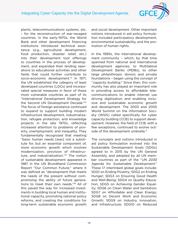

plants, telecommunications systems, etc. – for the reconstruction of war-ravaged countries. In the early-1970s, the World Bank and other development financing institutions introduced technical assistance (e.g., agricultural development, food production, disaster relief, etc.) into their development tool offerings to countries in the process of development, and expanded their lending operations to educational activities and other fields that could further contribute to socio-economic development.<sup>13</sup> In 1971, the UN established the category of least developed countries (LDCs) and incorporated special measures in favor of these most vulnerable countries as part of its "International Development Strategy for the Second UN Development Decade."[14](#page-79-0) The focus of foreign assistance continued to expand to support building modern infrastructure development, industrialization, refugee protection, and knowledge projects in the late 1970s, reflecting increased attention to problems of poverty, unemployment, and inequality. They fundamentally recognized that meeting "basic human needs [was] not a substitute for, but an essential component of, more economic growth which involves modernization, provision of infrastructure, and industrialization.["15](#page-79-0) The notion of sustainable development appeared in 1987 in the UN Brundtland Commission Report "Our Common Future," where it was defined as "development that meets the needs of the present without compromising the ability of future generations to meet their own needs.["16](#page-79-0) All of this paved the way for increased investments in building local human and institutional capacity, promoting national policy reforms, and creating the conditions for long-term sustainable economic growth

and social development. Other important notions introduced in aid policy formulation included participatory development, environmental sustainability, and the promotion of human rights.

In the 1990s, the international development community – which, by that time spanned from national and international development agencies, to Multilateral Development Banks (MDBs), to other large philanthropic donors and private foundations – began using the concept of "capacity building." Since then, this community has also played an important role in providing access to affordable telecommunications to enable internet use driving digitization and enabling inclusive and sustainable economic growth and development. The 2003 and 2005 World Summit on the Information Society (WSIS) called specifically for cyber capacity building (CCB) to support development. However, the field of CCB, with a few exceptions, continued to evolve out-side of the development umbrella.<sup>[17](#page-79-0)</sup>

The concepts and notions introduced in aid policy formulation evolved into the Sustainable Development Goals (SDGs) agreed to in 2015 by the UN General Assembly, and adopted by all UN member countries as part of the "UN 2030 Agenda for Sustainable Development." These 17 interlinked global goals include: SDG1 on Ending Poverty; SDG2 on Ending Hunger; SDG3 on Ensuring Good Health and Well-Being; SDG4 on Quality Education; SDG5 on Achieving Gender Equality; SDG6 on Clean Water and Sanitation; SDG7 on Affordable and Clean Energy; SDG8 on Decent Work and Economic Growth; SDG9 on Industry, Innovation, and Infrastructure; SDG10 on Reduced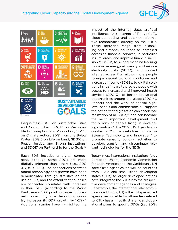



Inequalities; SDG11 on Sustainable Cities and Communities; SDG12 on Responsible Consumption and Production; SDG13 on Climate Action; SDG14 on Life Below Water; SDG15 on Life on Land; SDG16 on Peace, Justice, and Strong Institutions; and SDG17 on Partnership for the Goals.[18](#page-79-0)

Each SDG includes a digital component, although some SDGs are more digitally-oriented than others (e.g., SDG 4, 7, 8, 9, 11, 16). The connections between digital technology and growth have been demonstrated through statistics on the use of ICTs, and the extent that countries are connected correlates with increases in their GDP (according to the World Bank, every 10% point increase in internet connectivity in a developing country increases its GDP growth by  $1-2\%$ ).<sup>19</sup> Additional studies have highlighted the

impact of the internet, data, artificial intelligence (AI), Internet of Things (IoT), cloud computing, and other transformative technologies directly on the SDGs. These activities range from e-banking and e-money solutions to increased access to financial services, in particular in rural areas, and improve financial inclusion (SDG10), to AI and machine learning to improve energy efficiency and reduce electricity costs (SDG7), to increased internet access that allows more people to enjoy decent working conditions and increased income (SDG8), to digital solutions in healthcare to provide people with access to increased and improved health services (SDG 3), to better educational opportunities around the globe (SDG 4). Reports and the work of special highlevel panels and commissions all support the notion that digitization can accelerate realization of all SDGs,<sup>20</sup> and can become the most important development tool for billions of people living in developing countries.[21](#page-79-0) The 2030 UN Agenda also created a "Multi-stakeholder Forum on Science, Technology, and Innovation" to promote capacity building activities to develop, transfer, and disseminate relevant technologies for the SDGs.

Today, most international institutions (e.g., European Union, Economic Commission for Latin America and the Caribbean), UN specialized agencies, as well as countries from LDCs and small-island developing states (SIDs) to larger developed nations have integrated the SDGs into their respective development agendas and strategies. For example, the International Telecommunications Union (ITU) – the UN specialized agency responsible for all matters related to ICTs – has aligned its strategic and operational plans to specific SDGs (i.e., SDGs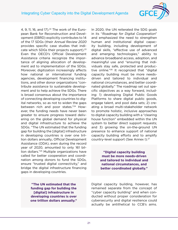

4, 9, 11, 16, and 17).<sup>22</sup> The work of the European Bank for Reconstruction and Development (EBRD) explicitly contributes to 14 of the 17 SDGs (their Annual Review 2020 provides specific case studies that indicate which SDGs their projects support).[23](#page-79-0) Even the OECD's Official Development Assistance criteria recognize the importance of aligning allocation of development aid to implementation of the SDGs. Moreover, digitization increasingly affects how national or international funding agencies, development financing institutions, and other donor organizations "contribute assistance to sustainable development and to help achieve the SDGs. There is broad consensus about the importance of connecting developing countries to digital networks, so as not to widen the gaps between rich and poor states.["24](#page-79-0) However, the funding needs have never been greater to ensure progress toward delivering on the global demand for physical and digital infrastructure to achieve the SDGs. "The UN estimated that the funding gap for building the [digital] infrastructure in developing countries is over one trillion dollars annually**.** Official Development Assistance (ODA), even during the record year of 2020, amounted to only 161 billion dollars."[25](#page-79-0) Multiple organizations have called for better cooperation and coordination among donors to fund the SDGs, ensure "trusted digital connectivity," and bridge the digital infrastructure financing gaps in developing countries.

> **"The UN estimated that the funding gap for building the [digital] infrastructure in developing countries is over one trillion dollars annually."**

In 2020, the UN reiterated the SDG goals in its "Roadmap for Digital Cooperation" and emphasized the need to strengthen human and institutional digital capacity building, including development of digital skills, "effective use of advanced and emerging technologies," ability to advance broadband access, adoption, and meaningful use and "ensuring that individuals stay safe, protected and productive online."[26](#page-79-0) It recognized that "digital capacity building must be more needsdriven and tailored to individual and national circumstances, and better coordinated globally." The roadmap set out specific objectives as a way forward, including: 1) developing Digital Public Goods Platforms to share digital public goods, engage talent, and pool data sets; 2) creating a broad multi-stakeholder network to promote holistic, inclusive approaches to digital capacity building with a "clearing house function" embedded within the UN system to better direct support requests; and 3) growing the on-the-ground UN presence to enhance support of national capacity building efforts and to amplify country-level support (See Annex I).<sup>27</sup>

> **"Digital capacity building must be more needs-driven and tailored to individual and national circumstances, and better coordinated globally."**

Digital capacity building, however, has remained separate from the concept of "cyber capacity building" and when conducted without proper consideration for cybersecurity and digital resilience could actually be antithetical to CCB's aims.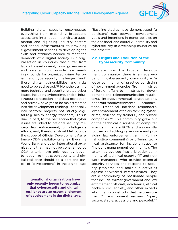

<span id="page-21-0"></span>Building digital capacity encompasses everything from expanding broadband access and internet connectivity, to automating and digitizing industry sectors and critical infrastructures, to providing e-government services, to developing the skills and attitudes needed to meet the demands of a digital society. But "digitalization in countries that suffer from lack of development, poor governance, and poverty might provide new breeding grounds for organized crime, terrorism, and cybersecurity challenges, [and] these digital vulnerabilities and risks need to be addressed.["28](#page-80-0) Nonetheless, the more technical and security-related cyber issues, including cybercrime, critical infrastructure protection, and data protection and privacy, have yet to be mainstreamed into the development thinking – especially into sectoral projects not strictly digital (e.g. health, energy, transport). This is due, in part, to the perception that cyber issues are linked to national security, military, law enforcement, or intelligence efforts, and, therefore, should fall outside the scope of Official Development Assistance (ODA eligibility criteria). Even the World Bank and other international organizations that may not be constrained by ODA criteria have only recently begun to recognize that cybersecurity and digital resilience should be a part and parcel of "development" in the digital age.

**International organizations have only recently begun to recognize that cybersecurity and digital resilience are an essential element of development in the digital age.** "Baseline studies have demonstrated [a persistent] gap between development goals and intentions in donor policies on the one hand, and digital vulnerability and cybersecurity in developing countries on the other."[29](#page-80-0)

#### **2.2 Origins and Evolution of the Cybersecurity Community**

Separate from the broader development community, there is an ever-expanding cybersecurity community – "a loose community of practice consisting of government agencies (from ministries of foreign affairs to ministries for development and telecommunication regulators), intergovernmental organizations, nonprofit/nongovernmental organizations, [technical incident responders, law enforcement officials tackling cybercrime, civil society trainers,] and private companies."[30](#page-80-0) This community grew out of the technical discipline of computer science in the late 1970s and was mostly focused on tackling cybercrime and providing law enforcement training (criminal justice community) or offering technical assistance for incident response (incident management community). The latter has evolved into a broader community of technical experts (IT and network managers) who provide essential security services and respond to security problems and malicious activities against networked infrastructures. They are a community of passionate people that include former government and law enforcement officials, academics, ethical hackers, civil society, and other experts who champion efforts that help ensure the ICT environment remains "open, secure, stable, accessible and peaceful."[31](#page-80-0)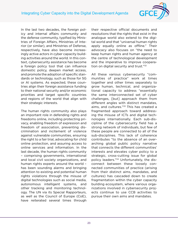

In the last two decades, the foreign policy and internal affairs community and the defense community, typified by Ministries of Foreign Affairs, Ministries of Interior (or similar), and Ministries of Defense, respectively, have also become increasingly active actors in cyber capacity building activities around the world. In this context, cybersecurity assistance has become a foreign policy tool that can influence domestic policy, deepen market access, and promote the adoption of specific standards or technology, such as those for 5G or AI systems. As expected, these countries align their foreign assistance funding to their national security and/or economic priorities and target specific countries and regions of the world that align with their strategic interests.

The human rights community also plays an important role in defending rights and freedoms online, including protecting privacy, enabling freedom of expression and freedom of association, preventing discrimination and incitement of violence against vulnerable communities, ensuring the right to a fair trial, advocating for child online protection, and assuring access to online services and information. In the last decade, the human rights community – comprising governments, international and local civil society organizations, and human rights experts around the world – has been sounding alarms and bringing attention to existing and potential human rights violations through the misuse of digital technologies such as social media, autonomous intelligent systems, and other tracking and monitoring technology. The UN via its Special Rapporteurs, as well as the Council of Europe (CoE), have reiterated several times through their respective official documents and resolutions that the rights that exist in the analogue world also extend to the digital world and that "universal human rights apply equally online as offline." Their advocacy also focuses on "the need to keep human rights and human agency at the centre of technological development and the imperative to improve cooperation on digital security and trust."[32](#page-80-0)

All these various cybersecurity "communities of practice" work at times together and other times separately to grow human, technical, and organizational capacity to address "essentially the same interconnected set of cyber challenges, [but] approach them from different angles with distinct mandates, aims, and cultures."<sup>33</sup> This has created a fragmented approach toward addressing the misuse of ICTs and digital technologies internationally. Each sub-discipline of the cybersecurity field has a strong network of individuals, but few of these people are connected to all of the sub-disciplines. This lack of coherence contributes "to the absence of an overarching global public policy narrative that connects the different communities' interests and elevates cyber policy to a strategic, cross-cutting issue for global policy leaders.["34](#page-80-0) Unfortunately, the disconnect between these loosely connected communities of practice (arising from their distinct aims, mandates, and cultures) has cascaded down to create fragmentation within the cyber capacity building ecosystem, where various organizations involved in cybersecurity projects continue to use CCB activities to pursue their own aims and mandates.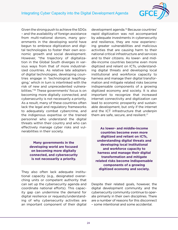

Given the strong push to achieve the SDGs – and the availability of foreign assistance from multi-national donors, many governments in the developing world have begun to embrace digitization and digital technologies to foster their own economic growth and social development. However, "the trajectory of digitalization in the Global South diverges in various ways from that of more industrialized countries. As relative late adopters of digital technologies, developing countries engage in 'technological leapfrogging,' which in turn is interlinked with the risk of new and unprecedented vulnerabilities.["35](#page-80-0) These governments' focus is on becoming more digitally connected, and cybersecurity is not necessarily a priority. As a result, many of these countries often lack the legal and regulatory frameworks to adequately combat cybercrime, and the indigenous expertise or the trained personnel who understand the digital threats within their country and who can effectively manage cyber risks and vulnerabilities in their society.

> **Many governments in the developing world are focused on becoming more digitally connected, and cybersecurity is not necessarily a priority.**

They also often lack adequate institutional capacity (e.g., designated overarching units or competent authority that can set up the cybersecurity agenda and coordinate national efforts). This capacity gap can undermine the demand for digital resilience or requests/understanding of why cybersecurity activities are an important component of their digital development agenda.[36](#page-80-0) Because countries' rapid digitization was not accompanied by adequate investments in cybersecurity and resilience, they are now experiencing greater vulnerabilities and malicious activities that are causing harm to their national critical infrastructure and services and to their citizens. As lower- and middle-income countries become even more digitized and reliant on ICTs, understanding digital threats and developing local institutional and workforce capacity to harness and manage their digital transformation and mitigate related risks become indispensable components of a growing digitized economy and society. It is also important to recognize that increased internet connectivity and digitization can lead to economic prosperity and sustainable development, but only if the internet and the ICT infrastructure that underpin them are safe, secure, and resilient. $37$ 

**As lower- and middle-income countries become even more digitized and reliant on ICTs, understanding digital threats and developing local institutional and workforce capacity to harness and manage their digital transformation and mitigate related risks become indispensable components of a growing digitized economy and society.**

Despite their related goals, however, the digital development community and the cybersecurity community continue to operate primarily in their own disciplines. There are a number of reasons for this disconnect – some intentional and some accidental.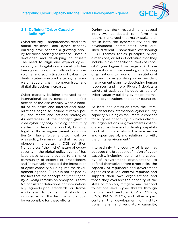

#### <span id="page-24-0"></span>**2.3 Defining "Cyber Capacity Building"**

Cybersecurity preparedness/readiness, digital resilience, and cyber capacity building have become a growing priority for those seeking assistance – both in developed and developing countries.<sup>[38](#page-80-0)</sup> The need to align and expand cybersecurity and digital resilience efforts has been growing exponentially as the scope, volume, and sophistication of cyber incidents, state-sponsored attacks, ransomware, supply chain compromises, and digital disruptions increases.

Cyber capacity building emerged as an international policy concept in the first decade of the 21st century, when a handful of countries and international organizations began to include it within policy documents and national strategies. As awareness of the concept grew, a core cyber capacity building community started to develop around it, bringing together those original parent communities (e.g., law enforcement, technical, foreign policy, human rights) that had been pioneers in undertaking CCB activities. Nonetheless, "the 'niche' nature of cybersecurity in the global policy agenda" has kept these issues relegated to a smaller community of experts or practitioners, and "negatively impacted the integration of cyber capacity building into the devel-opment agenda." <sup>[39](#page-80-0)</sup> This is not helped by the fact that the concept of cyber capacity building remains an amorphous term. No consistent definitions nor internationally agreed-upon standards or frameworks exist to define what should be included within this term or who should be responsible for these efforts.

During the desk research and several interviews conducted to inform this report, it emerged that major stakeholders in both the cybersecurity and the development communities have outlined different – sometimes overlapping – CCB themes, topics, principles, pillars, dimensions, or sets of activities that they include in their specific "buckets of capacity" (see Figure 1 on page 26). These concepts span from creating or adapting organizations to promoting institutional reforms, to establishing cyber incident management plans, to developing human resources, and more. Figure 1 depicts a variety of activities included as part of cyber capacity building by major international organizations and donor countries.

At least one definition from the literature describes international cybersecurity capacity building as "an umbrella concept for all types of activity in which individuals, organizations or governments collaborate across borders to develop capabilities that mitigate risks to the safe, secure and open use of, and relationship with, the digital environment."[40](#page-80-0)

Interestingly, the country of Israel has adopted the broadest definition of cyber capacity, including: building the capacity of government organizations to defend themselves from cyber risks; the capacity of regulators and government agencies to guide, control, regulate, and support their own organizations and those they oversee; the capacity of the state to monitor, mitigate, and respond to national-level cyber threats through national and sectoral CERTs, CSIRTs, SOCs, ISACs, ISAOs, and other expert centers; the development of institutional, legal, and regulatory capacity;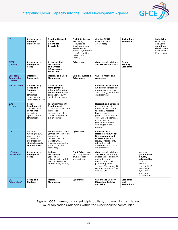

| <b>ITU</b>                                        | Cybersecurity<br>Strategy/<br><b>Frameworks</b>                                                                   | <b>Develop National</b><br><b>CSIRT</b><br>& Conduct<br><b>CyberDrills</b>                                                                                          | <b>Facilitate Access</b><br>to existing<br>resources to<br>develop national<br>legislation to<br>combat cybercrime<br>(i.e., Combatting<br>Cybercrime<br>Toolkit) | <b>Combat SPAM</b><br>(Solutions and<br>Awareness)                                                                                                                                                                                           | <b>Technology</b><br><b>Standards</b>        |                                                                                                                                                   | Inclusivity<br>of women<br>and youth<br>(workforce<br>development,<br>Child Online<br>Protection) |
|---------------------------------------------------|-------------------------------------------------------------------------------------------------------------------|---------------------------------------------------------------------------------------------------------------------------------------------------------------------|-------------------------------------------------------------------------------------------------------------------------------------------------------------------|----------------------------------------------------------------------------------------------------------------------------------------------------------------------------------------------------------------------------------------------|----------------------------------------------|---------------------------------------------------------------------------------------------------------------------------------------------------|---------------------------------------------------------------------------------------------------|
| <b>GFCE</b><br>(themes)                           | Cybersecurity<br><b>Strategy and</b><br><b>Policy</b>                                                             | <b>Cyber Incident</b><br><b>Management</b><br>and Critical<br>Infrastructure<br>Protection                                                                          | Cybercrime                                                                                                                                                        | <b>Cybersecurity Culture</b><br>and Skilled Workforce                                                                                                                                                                                        | Cyber<br><b>Security</b><br><b>Standards</b> |                                                                                                                                                   |                                                                                                   |
| <b>European</b><br><b>Commission</b><br>(pillars) | <b>Strategic</b><br><b>Framework</b>                                                                              | <b>Incident and Crisis</b><br><b>Management</b>                                                                                                                     | <b>Criminal Justice in</b><br>Cyberspace                                                                                                                          | <b>Cyber Hygiene and</b><br><b>Awareness</b>                                                                                                                                                                                                 |                                              |                                                                                                                                                   |                                                                                                   |
| <b>African Union</b>                              | Cybersecurity<br>Policy and<br><b>Strategy</b><br>(national<br>strategies.<br>assessments,<br>cyber diplomacy)    | <b>Cyber Incident</b><br>Management &<br><b>Critical Information</b><br><b>Protection</b> (national<br>computer security<br>incident response)                      |                                                                                                                                                                   | <b>Cybersecurity Culture</b><br>& Skills (cybersecurity<br>awareness, education<br>and training, workforce<br>development)                                                                                                                   |                                              |                                                                                                                                                   |                                                                                                   |
| OAS<br>(pillars)                                  | <b>Policy</b><br><b>Development</b><br>(development<br>of national<br>or regional<br>cybersecurity<br>strategies) | <b>Technical Capacity</b><br>Development<br>(critical infrastructure<br>protection,<br>development of<br>CSIRTs, training and<br>cyber exercises)                   |                                                                                                                                                                   | <b>Research and Outreach</b><br>(development of<br>technical documents,<br>toolkits, & research-<br>based reports to<br>guide stakeholders on<br>current developments,<br>cybersecurity<br>problems, and key<br>challenges in the<br>region) |                                              |                                                                                                                                                   |                                                                                                   |
| <b>IDB</b>                                        | Provide<br>funding to LAC<br>governments<br>to develop<br>cybersecurity<br>strategies, policy,<br>and initiatives | <b>Technical Assistance</b><br>(critical infrastructure<br>protection,<br>development of<br>CSIRTs/SOCs,<br>training, information<br>sharing, incident<br>response) | Cybercrime                                                                                                                                                        | Cybersecurity<br>Research, Knowledge<br>Dissemination, and<br><b>Outreach (societal</b><br>issues, cybersecurity<br>education and<br>awareness, workforce<br>development)                                                                    |                                              |                                                                                                                                                   |                                                                                                   |
| <b>U.S. State</b><br><b>Department</b>            | Cybersecurity<br><b>Strategy and</b><br><b>Policy</b>                                                             | Incident<br><b>Management</b><br>(coordinate<br>cybersecurity watch,<br>warning, response,<br>and recovery efforts)                                                 | <b>Fight Cybercrime</b><br>(updating criminal<br>laws, procedures,<br>and policies)                                                                               | <b>Cybersecurity Culture</b><br>and Skills (increasing<br>awareness of citizenry<br>and industry of<br>their critical role in<br>protecting cyber<br>systems [following UN<br>GA Resolutions 57/239<br>and 58/199])                          |                                              | Increase<br>government-<br>industry<br>collaboration<br>(public-<br>private<br>partnerships)<br>to manage<br>cyber risk<br>and share<br>knowledge |                                                                                                   |
| <b>UK</b><br>(dimensions)                         | <b>Policy and</b><br><b>Strategy</b>                                                                              | Incident<br><b>Management</b>                                                                                                                                       | Cybercrime                                                                                                                                                        | <b>Culture and Society</b><br><b>Education, Training</b><br>and Skills                                                                                                                                                                       | <b>Standards</b><br>and<br><b>Technology</b> |                                                                                                                                                   |                                                                                                   |

Figure 1: CCB themes, topics, principles, pillars, or dimensions as defined by organizations/agencies within the cybersecurity community.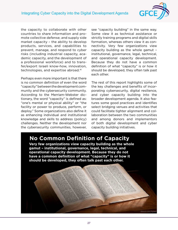

the capacity to collaborate with other countries to share information and promote collective defense; and supply side market capacity – the ability to develop products, services, and capabilities to prevent, manage, and respond to cyber risks (including industrial capacity, academic capacity, and the development of a professional workforce) and to transfer/export Israeli know-how, innovation, technologies, and expertise abroad.<sup>[41](#page-80-0)</sup>

Perhaps even more important is that there is no common definition of even the word "capacity" between the development community and the cybersecurity community. According to the Merriam-Webster dictionary, the word "capacity" is defined as: "one's mental or physical ability" or "the facility or power to produce, perform, or deploy." Some organizations also define it as enhancing individual and institutional knowledge and skills to address (policy) challenges. Neither the development nor the cybersecurity communities, however,

see "capacity building" in the same way. Some view it as technical assistance or strictly training programs and digital skills formation, whereas others view it as connectivity. Very few organizations view capacity building as the whole gamut – institutional, governance, legal, technical, and operational capacity development. Because they do not have a common definition of what "capacity" is or how it should be developed, they often talk past each other.

The rest of this report highlights some of the key challenges and benefits of incorporating cybersecurity, digital resilience, and cyber capacity building into the broader development agenda. It also features some good practices and identifies select bridging venues and activities that could facilitate tighter alignment and collaboration between the two communities and among donors and implementors of both digital development and cyber capacity building initiatives.

iStock.com/Pg

# **No Common Definition of Capacity**

**Very few organizations view capacity building as the whole gamut – institutional, governance, legal, technical, and operational capacity development. Because they do not have a common definition of what "capacity" is or how it should be developed, they often talk past each other.**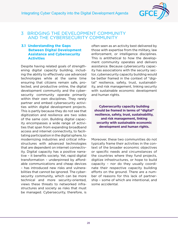

#### <span id="page-27-0"></span>3 BRIDGING THE DEVELOPMENT COMMUNITY AND THE CYBERSECURITY COMMUNITY

#### **3.1 Understanding the Gaps Between Digital Development Assistance and Cybersecurity Activities**

Despite having related goals of strengthening digital capacity building, including the ability to effectively use advanced technologies while at the same time ensuring that citizens remain safe, protected, and productive online, the digital development community and the cybersecurity community operate primarily within their own disciplines. They rarely partner and embed cybersecurity activities within digital development projects. This is partly because they do not see that digitization and resilience are two sides of the same coin. Building digital capacity encompasses a wide range of activities that span from expanding broadband access and internet connectivity, to facilitating participation in the digital sphere, to modernizing industries and critical infrastructures with advanced technologies that are dependent on internet connectivity. Digital capacity has a positive narrative – it benefits society. Yet, rapid digital transformation – underpinned by affordable communications and cheap devices – has introduced new risks and vulnerabilities that cannot be ignored. The cybersecurity community, which can be more technical and more security-oriented, views these threats to networked infrastructures and society as risks that must be managed. Cybersecurity, therefore, is

often seen as an activity best delivered by those with expertise from the military, law enforcement, or intelligence disciplines. This is antithetical to how the development community operates and delivers assistance. Because cybersecurity capacity has associations with the security sector, cybersecurity capacity building would be better framed in the context of "digital" resilience, safety, trust, sustainability, and risk management, linking security with sustainable economic development and human rights.

**Cybersecurity capacity building should be framed in terms of "digital" resilience, safety, trust, sustainability, and risk management, linking security with sustainable economic development and human rights.** 

Moreover, these two communities do not typically frame their activities in the context of the broader economic objectives or specific needs and circumstances of the countries where they fund projects, digitize infrastructures, or hope to build capacity – nor do they usually coordinate their respective capacity building efforts on the ground. There are a number of reasons for this lack of partnership – some of which are intentional, and some accidental.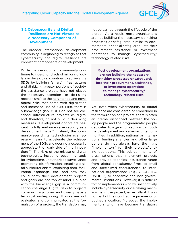

#### <span id="page-28-0"></span>**3.2 Cybersecurity and Digital Resilience are Not Viewed as a Necessary Component of Development**

The broader international development community is beginning to recognize that cybersecurity and digital resilience are important components of development.

While the development community continues to invest hundreds of millions of dollars in developing countries to achieve the SDGs by building "smart" infrastructures and digitizing greater portions of society, the assistance projects have not placed the necessary attention (or de-risking mechanisms) to the heightened and novel digital risks that come with digitization and increased use of ICTs. First, there is a knowledge gap. MDBs do not see oldschool infrastructure projects as digital and, therefore, do not build in de-risking measures. "Development donors are hesitant to fully embrace cybersecurity as a development issue."[42](#page-80-0) Instead, this community sees digital technologies as a necessary means to accelerate the achievement of the SDGs and does not necessarily appreciate the "dark side of the innovations."[43](#page-80-0) The risks of the misuse of digital technologies, including becoming tools for cybercrime, unauthorized surveillance, promoting disinformation, enabling digital authoritarianism, exploiting data, facilitating espionage, etc., and how they could harm their development projects and goals are not top of mind. Coupled with the knowledge gap is a communication challenge. Digital risks to projects come in many forms and usually have a technical underpinning. If risks are not evaluated and communicated at the formulation of a project, the translation may not be carried through the lifecycle of the project. As a result, most organizations are not building the necessary de-risking processes or safeguards (similar to environmental or social safeguards) into their procurement, assistance, or investment operations to manage cybersecurity/ technology-related risks.

**Most development organizations are not building the necessary de-risking processes or safeguards into their procurement, assistance, or investment operations to manage cybersecurity/ technology-related risks.** 

Yet, even when cybersecurity or digital resilience are considered or embedded in the formulation of a project, there is often an internal disconnect between the policy people and the programmatic people dedicated to a given project – within both the development and cybersecurity communities. In addition, national or international funding agencies and other large donors do not always have the right "implementors" for their projects/lending operations. This sub-community of organizations that implement projects and provide technical assistance range from global consultancy firms to small and specialized consultancies, to international organizations (e.g., OSCE, ITU, UNODC), to academic and non-governmental institutions. However, it is difficult to find implementors who will instinctively include cybersecurity or de-risking mechanisms in the project, especially if it was not part of their contract requirements or budget allocation. Moreover, the implementors who have become translators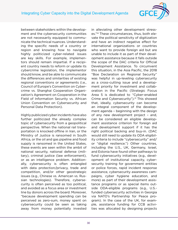

between stakeholders within the development and the cybersecurity communities are not necessarily equipped to communicate the technical nuances. Understanding the specific needs of a country or region and knowing how to navigate highly politicized cyber-related issues are key skills. For example, implementors should remain impartial. If a recipient country needs to reform or update its cybercrime legislation, the implementor should know, and be able to communicate the differences and similarities of existing regional conventions or agreements (i.e., Council of Europe's Convention on Cybercrime vs. Shanghai Cooperation Organization's Agreement on Cooperation in the Field of Information Security vs. African Union Convention on Cybersecurity and Personal Data Protection).

Highly publicized cyber incidents have also further politicized the already complex topic of cybersecurity from a geopolitical perspective. When the national rail transportation is knocked offline in Iran, or the Ministry of Justice is ransomed in South Africa, or the oil and gas pipeline and food supply is ransomed in the United States, these events are seen within the ambit of national security, national defense (military), criminal justice (law enforcement), or as an intelligence problem. Additionally, cybersecurity is often entangled with data protection/privacy, trade and competition, and/or other geostrategic issues (e.g., Chinese vs. American vs. Russian technologies). Therefore, cybersecurity is often perceived as too political, and avoided as a focus area or investment line by donors across the board. Moreover, "because development spending can be perceived as zero-sum, money spent on cybersecurity could be seen as taking away from money potentially invested in alleviating other development stresses."[44](#page-80-0) These circumstances, thus, both elevate the political sensitivity of digitization and have an indirect negative effect for international organizations or countries who want to provide foreign aid but are unable to include it as part of their development assistance because it falls outside the scope of the DAC criteria for Official Development Assistance. To circumvent this situation, in the Asia Pacific, the 2018 "Boe Declaration on Regional Security" was helpful in up-leveling cybersecurity as a cross-cutting issue and a development priority for investment and collaboration in the Pacific (Strategic Focus Area 5 is dedicated to "Cyber-enabled Crime and Cybersecurity").[45](#page-80-0) This showed that, ideally, cybersecurity can become an integral component of the development agenda – beginning with the design of any new development project – and, can be considered an eligible development assistance criterion for foreign aid and development support if it has the right political backing and buy-in. (DAC would still need to update its ODA eligibility criteria to include "cybersecurity" and/ or "digital resilience.") Other countries, including the U.S., UK, Germany, Israel, and Estonia have found other pathways to fund cybersecurity initiatives (e.g., development of institutional capacity, cybersecurity training for government entities or police forces, rapid incident response assistance, cybersecurity awareness campaigns, cyber hygiene education, and more) as part of their development assistance programs or as special items outside ODA-eligible programs (e.g., U.S. funded cybersecurity activities in Georgia via NATO's Partnership for Peace program). In the case of the UK, for example, assistance funding for CCB activities was allocated by designing projects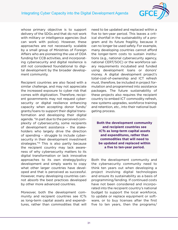

whose primary objective is to support delivery of the SDGs and that do not work with military or intelligence agencies (but can work with police). However, these approaches are not necessarily scalable by a small group of Ministries of Foreign Affairs who are pioneering the use of ODA funding for CCB activities, and incorporating cybersecurity and digital resilience is still not considered foundational to digital development by the broader development community.

Recipient countries are also faced with a similar challenge, and may not appreciate the increased exposure to cyber risk that comes with digitization. Therefore, recipient governments may not request cybersecurity or digital resilience enhancing capacity when accepting donor funds/ grants/loans to support their digital transformation and developing their digital agenda. "In part due to the perceived complexity of cybersecurity, some recipients of development assistance – the stakeholders who largely drive the direction of spending – struggle to include cybersecurity in their development investment strategies."[46](#page-80-0) This is also partly because the recipient country may lack awareness of why cybersecurity matters to its digital transformation or lack innovative approaches to its own strategy/policy development and simply wants to copy what other larger countries have developed and that is perceived as successful. However, many developing countries cannot absorb the best practices developed by other more advanced countries.

Moreover, both the development community and recipient countries see ICTs as long-term capital assets and expenditures, rather than commodities that will need to be updated and replaced within a five to ten-year period. This leaves a critical shortfall in the sustainability of a program and its future fragility, because it can no longer be used safely. For example, many developing countries cannot afford the longer-term costs to sustain institutions (e.g., national cybersecurity agency, national CERT/SOC) or the workforce salary requirements incubated and funded using development loans or donors' money. A digital development project's total-cost-of-ownership and ICT refresh must, therefore, be included in project formulation and programmed into assistance packages. The future sustainability of these projects also requires the recipient country to embed ICT commodity refresh, new systems upgrades, workforce training and retention, etc., into their national budgeting process.

**Both the development community and recipient countries see ICTs as long-term capital assets and expenditures, rather than commodities that will need to be updated and replaced within a five to ten-year period.**

Both the development community and the cybersecurity community need to think ten years out when developing a project involving digital technologies and ensure its sustainability as a basis of programming/lending. If continued costs have not been considered and incorporated into the recipient country's national budget to support the local workforce, to update or replace equipment or software, or to buy licenses after the first five to ten years, then the programs/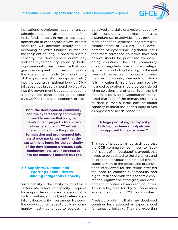

<span id="page-31-0"></span>institutions developed become unsustainable or obsolete after depletion of the initial funds occurs. In most cases, development aid or other types of low-interest loans for CCB activities simply end up becoming an extra financial burden on the recipient country. In order to sustain capacity, the development community and the cybersecurity capacity building community need to ensure that programs in recipient countries incorporate the sustainment funds (e.g., continuity of the program, staff, equipment, etc.) into the country's national budget. Digital capacities broadly should be elevated into the government budget and become a recognized contribution to the country's GDP as the digital economy grows.[47](#page-80-0)

**Both the development community and the cybersecurity community need to ensure that a digital development project's total-costof-ownership and ICT refresh are included into the project formulation and programmed into assistance packages, and that the sustainment funds for the continuity of the development program, staff, equipment, etc. are incorporated into the country's national budget.**

#### **3.3 Supply vs. Demand and Exporting Capabilities vs. Building Indigenous Capacity**

Sustainability – the ability to maintain a certain rate or level of capacity – requires focus upon developing an indigenous ability to maintain, support, and defend digital or cybersecurity investments. However, the cybersecurity capacity building community mostly continues to address the perceived shortfalls of a recipient country with a supply-driven approach, and uses a standard set of activities (e.g., development of national cybersecurity strategies, establishment of CERTs/CSIRTs, development of cybercrime legislation, etc.) that more advanced countries have and believe should be prioritized by developing countries. The CCB community does not regularly take a more strategic approach – including listening to the real needs of the recipient country – to meet the specific country demands or shortfalls. A cultural, historical, and socially nuanced evaluation should be considered when solutions are offered. Even the UN Roadmap for Digital Cooperation recognized that "one of the primary challenges to date is that a large part of digital capacity-building has been supply-driven as opposed to needs-based."[48](#page-80-0)

#### **"A large part of digital capacitybuilding has been supply-driven as opposed to needs-based."**

This set of predetermined activities that the CCB community continues to "supply" is part of an "outdated" playbook that needs to be updated to the digital era and tailored to individual and national circumstances. Many of the people and organizations interviewed for this report stressed the need to connect cybersecurity and digital resilience with the economic aspirations, digitization strategies, and development priorities of recipient countries. This is a key area for digital cooperation among the donor and CCB communities.

A related problem is that many developed countries have adopted an export model for capacity building. They are exporting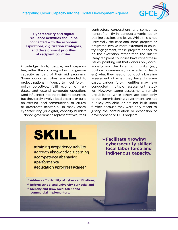Integrating Cyber Capacity into the Digital Development Agenda



**Cybersecurity and digital resilience activities should be connected with the economic aspirations, digitization strategies, and development priorities of recipient countries.**

knowledge, tools, people, and capabilities, rather than building robust indigenous capacity as part of their aid programs. Some donor activities are intended to project national influence to meet foreign policy objectives, fulfill economic mandates, and extend corporate operations (and influence) into the recipient countries, but they rarely involve local experts or build on existing local communities, structures, or grassroots networks. "In many cases, cybersecurity [or digital] capacity builders – donor government representatives, their

contractors, corporations, and sometimes nonprofits – fly in, conduct a workshop or training session, and leave. While this is not universally the case and some projects or programs involve more extended in-country engagement, these projects appear to be the exception rather than the rule."[49](#page-80-0) Many recipient countries have raised these issues, pointing out that donors only occasionally ask the local community (e.g., political, commercial, or academic leaders) what they need or conduct a baseline assessment of what they have. In some cases, various foreign entities may have conducted multiple assessment studies. However, some assessments remain unpublished, while others are open only to the commissioning government, are not publicly available, or are not built upon further because they were only meant to justify the continuation or expansion of development or CCB projects.



#training #experience #ability #growth #knowledge #learning #competence #behavior #performance #education #progress #career

√ **Address affordability of cyber certifications;**  √ **Reform school and university curricula; and**  √ **Identify and grow local talent and commercial implementors.**

★**Facilitate growing cybersecurity skilled local labor force and indigenous capacity.**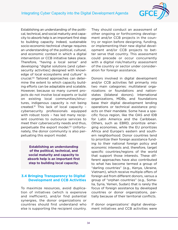

<span id="page-33-0"></span>Establishing an understanding of the political, technical, and social maturity and capacity to absorb help is an important first step to building capacity. Indeed, sustainable socio-economic-technical change requires an understanding of the political, cultural, and economic context in which a digital intervention or CCB initiative takes place. Therefore, "having a local sense" and developing "digital solutions [and cybersecurity activities] designed with knowledge of local ecosystems and culture" is crucial.[50](#page-80-0) Tailored approaches can determine the extent to which capacity building efforts can be adaptable and scalable. However, because so many current projects do not involve local experts or build on existing local communities/structures, indigenous capacity is not being created[.51](#page-80-0) This lack of local capacity – cybersecurity professionals equipped with robust tools – has led many recipient countries to outsource services to meet their cybersecurity needs and thus, perpetuate the export model[.52](#page-80-0) Unfortunately, the donor community is also perpetuating this export model.

**Establishing an understanding of the political, technical, and social maturity and capacity to absorb help is an important first step to building local capacity.** 

#### **3.4 Bringing Transparency to Digital Development and CCB Activities**

To maximize resources, avoid duplication of initiatives (which is expensive and inefficient), and/or find potential synergies, the donor organizations or countries should first understand who else is supporting the recipient country.

They should conduct an assessment of other ongoing or forthcoming development and/or CCB projects in the country or region before designing, funding, or implementing their new digital development and/or CCB projects to better serve that country. This assessment could precede or occur concurrently with a digital risk/maturity assessment of the country or sector under consideration for foreign assistance.

Donors involved in digital development and/or CCB activities fall primarily into two main categories: multilateral organizations or foundations and nationstates (bilateral donors). International organizations, MDBs, and foundations base their digital development lending operations or technical assistance projects on their mandate. Some have a specific focus region, like the OAS and IDB for Latin America and the Caribbean. Others, such as EBRD, prioritize emerging economies, while the EU prioritizes Africa and Europe's eastern and southern neighborhood. Donor countries tend to prioritize their foreign assistance funding to their national foreign policy and economic interests and, therefore, target specific countries/regions of the world that support those interests. These different approaches have also contributed to what has become termed a group of "darling countries" (e.g., Kenya, Ukraine, Vietnam), which receive multiple offers of foreign aid from different donors, versus a group of "orphan countries" (e.g., Somalia, Syria, Yemen, Sudan) that is rarely the focus of foreign assistance by developed countries or donor organizations, partially because of their territorial conflicts.

If donor organizations' digital development initiatives and CCB activities were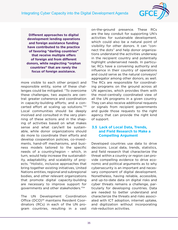<span id="page-34-0"></span>Integrating Cyber Capacity into the Digital Development Agenda



**Different approaches to digital development lending operations and foreign assistance funding have contributed to the practice of favoring "darling countries" that receive multiple offers of foreign aid from different donors, while neglecting "orphan countries" that are rarely the focus of foreign assistance.**

more visible to each other project and responsible entity, some of these challenges could be mitigated. "To overcome these challenges, two aspects are central: greater coherence and coordination in capacity-building efforts; and a concerted effort at scaling up solutions."[53](#page-80-0) Local communities should be deeply involved and consulted in the very planning of these actions and in the shaping of activities based on what makes sense and what can/will be sustainable, while donor organizations should do more to coordinate their efforts and develop cooperation policies, co-investments, hand-off mechanisms, and business models tailored to the specific needs of a country/region – which, in turn, would help increase the sustainability, adaptability, and scalability of projects. "Holistic, inclusive approaches that bring together existing initiatives, United Nations entities, regional and subregional bodies, and other relevant organizations that promote digital capacity-building are necessary to improve support for governments and other stakeholders."[54](#page-80-0)

The UN Development Coordination Office (DCO)<sup>55</sup> maintains Resident Coordinators (RCs) in each of the UN program countries, resulting in a vast on-the-ground presence. These RCs are the key conduit for supporting UN's activities for sustainable development, which could also be a natural point of visibility for other donors. It can "connect the dots" and help donor organizations understand the activities underway in the recipient country and potentially highlight underserved needs. In particular, RCs have a convening authority and influence in their country of operations and could serve as the natural conveyor/ aggregator among other donors, as well. The RCs are responsible for coordinating programs on the ground across all UN agencies, which provides them with the most-centrally coordinated view of all the UN programs in a given country. They can also receive additional requests or signals from recipient governments and guide those requests to the right agency that can provide the right kind of support.

#### **3.5 Lack of Local Data, Trends, and Field Research to Make a Compelling Argument**

Developed countries use data to drive decisions. Local data, trends, statistics, and field research that characterize the threat within a country or region can provide compelling evidence to drive economic and political arguments as to why cybersecurity is an important and necessary component of digital development. Nonetheless, having reliable, accessible, and up-to-date data on digital risks and cyber threats remains a challenge, particularly for developing countries. Data are needed to better understand and characterize the threats and risks associated with ICT adoption, internet uptake, and digitization without incorporating risk-reduction activities.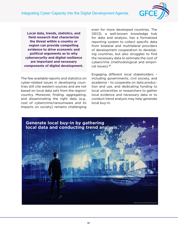Integrating Cyber Capacity into the Digital Development Agenda



**Local data, trends, statistics, and field research that characterize the threat within a country or region can provide compelling evidence to drive economic and political arguments as to why cybersecurity and digital resilience are important and necessary components of digital development.** 

The few available reports and statistics on cyber-related issues in developing countries still cite western sources and are not based on local data sets from the region/ country. Moreover, finding, aggregating, and disseminating the right data (e.g., cost of cybercrime/ransomware and its impacts on society) remains challenging even for more developed countries. The OECD, a well-known knowledge hub for data and analysis, has a formalized reporting system to collect specific data from bilateral and multilateral providers of development cooperation to developing countries, but also struggles to find the necessary data to estimate the cost of cybercrime (methodological and empirical issues).[56](#page-80-0)

Engaging different local stakeholders – including governments, civil society, and academia – to cooperate on data production and use, and dedicating funding to local universities or researchers to gather local evidence and necessary data or to conduct trend analysis may help generate local buy-in.

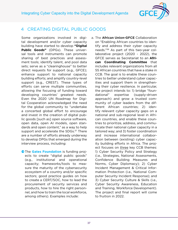

# 4 CREATING DIGITAL PUBLIC GOODS

Some organizations involved in digital development and/or cyber capacity building have started to develop **"Digital Public Goods"** (DPGs). These universal tools and instruments can promote sharing of best practices and assessment tools; identify talent, and pool data sets; serve as a "clearinghouse" to better direct requests for support (e.g., GFCE); enhance support to national capacity building efforts; and amplify country-level support (e.g., CREST). These types of efforts can serve multiple communities, allowing the focusing of funding toward developing countries' greatest needs. Even the 2020 UN Roadmap for Digital Cooperation acknowledged the need for the global community to "undertake a concerted global effort to encourage and invest in the creation of digital public goods [such as] open source software, open data, open AI models, open standards and open content," as a way to help support and accelerate the SDGs.<sup>57</sup> There are a number of efforts already underway to develop DPGs that emerged during the interview process, including:

**The Gates Foundation** is funding projects to create "digital public goods" (e.g., institutional and operational capacity; frameworks/tools to measure the maturity of the cybersecurity ecosystem of a country and/or specific sectors; good practice guides on how to create a CERT/SOC, how to lead the procurement of security services and products, how to hire the right personnel, and how to train the local workforce, among others). Examples include:

a. The **African Union-GFCE** Collaboration on "Enabling African countries to identify and address their cyber capacity needs.["58](#page-80-0) As part of this two-year collaborative project (2020 - 2022), the GFCE serves as Secretariat to an **African Coordinating Committee** that includes relevant organizations from all 55 African countries that have a stake in CCB. The goal is to enable these countries to better understand cyber capacities and support them in strengthening their cyber resilience. In particular, the project intends to: 1) bridge "foundational" expertise (supply-driven approach) and grow a trusted community of cyber leaders from the different African countries; 2) identify relevant cyber capacity gaps on a national and sub-regional level in African countries, and enable these countries to prioritize, address, and communicate their national cyber capacity in a tailored way; and 3) foster coordination and increase international collaboration between (existing) cyber capacity building efforts in Africa. The project focuses on three key CCB themes: 1) [Cyber Security Policy and Strategy](https://cybilportal.org/themes/policy-strategy/) (i.e., [Strategies](https://cybilportal.org/themes/policy-strategy/strategies/), [National Assessments](https://cybilportal.org/themes/policy-strategy/assessments/), Confidence Building Measures and Norms, Cyber Diplomacy); 2) [Cyber](https://cybilportal.org/themes/cyber-incident-management-ciip/) [Incident Management & Critical Infor](https://cybilportal.org/themes/cyber-incident-management-ciip/)[mation Protection](https://cybilportal.org/themes/cyber-incident-management-ciip/) (i.e., [National Com](https://cybilportal.org/themes/cyber-incident-management-ciip/national-computer-security-incident-response/)[puter Security Incident Response\)](https://cybilportal.org/themes/cyber-incident-management-ciip/national-computer-security-incident-response/); and 3) [Cyber Security Culture & Skills](https://cybilportal.org/themes/cyber-security-culture-skills/) (i.e., [Cyber Security Awareness](https://cybilportal.org/themes/cyber-security-culture-skills/cyber-security-awareness/), [Education](https://cybilportal.org/themes/cyber-security-culture-skills/education-and-training/) [and Training](https://cybilportal.org/themes/cyber-security-culture-skills/education-and-training/), [Workforce Development\)](https://cybilportal.org/themes/cyber-security-culture-skills/workforce-development/). The project and final report will come to fruition in 2022.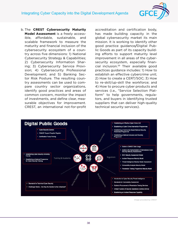

b. The **CREST Cybersecurity Maturity Model Assessment** is a freely accessible, affordable, sustainable, and scalable framework to measure the maturity and financial inclusion of the cybersecurity ecosystem of a country across five dimensions: 1) National Cybersecurity Strategy & Capabilities; 2) Cybersecurity Information Sharing; 3) Cybersecurity Service Provision; 4) Cybersecurity Professional Development; and 5) Banking Sector Risk Posture. The resulting country assessments can be used to compare country sector organizations, identify good practices and areas of common concern, monitor the impact of investments, and define clear, measurable objectives for improvement. CREST, an international not-for-profit

accreditation and certification body, has made building capacity in the global cybersecurity market its main mission. It is working to identify other good practice guidance**/**Digital Public Goods as part of its capacity building efforts to support maturity level improvement in all areas of the cybersecurity ecosystem, especially financial inclusion.[59](#page-80-0) Their available good practices guidance includes: 1) How to establish an effective cybercrime unit; 2) How to create a CERT/SOC; 3) How to re-skill/up-skill the workforce; and 4) How to procure cyber products and services (i.e., "Service Selection Platform" to help governments, regulators, and buyers in identifying trusted suppliers that can deliver high-quality technical security services).



Image provided by CREST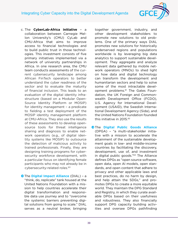

- c. The **CyberLab-Africa initiative** a collaboration between Carnegie Mellon University's (CMU) CyLab and CMU-Africa that aims to improve access to financial technologies and to build public trust in those technologies. This investment consists of five primary initiatives implemented via a network of university partnerships in Africa. In one research area, the CMU team conducts assessments of the current cybersecurity landscape among African FinTech operators to better understand the cyber readiness of the sector and to evaluate the maturity of financial inclusion. This leads to an evaluation of the digital identity infrastructure (based on a Modular Open-Source Identity Platform or MOSIP) for identity management – a predicate to fielding a test deployment of the MOSIP identity management platform at CMU-Africa. They also use the results of these assessments to develop opensource tools for threat intelligence sharing and diagnosis to enable network operators (e.g., of digital identity systems like MOSIP) to outsource the detection of malicious activity to trained professionals. Finally, they are designing training programs for cybersecurity workforce development, with a particular focus on identifying female participants who may not already be in cybersecurity-related roles.<sup>[60](#page-80-0)</sup>
- **O** The Digital Impact Alliance (DIAL) a "think, do, replicate" tank housed at the United Nations Foundation with a mission to help countries accelerate their digital transformation and responsible data use journey and to "overcome the systemic barriers preventing digital solutions from going to scale." DIAL serves as a neutral broker, bringing

together government, industry, and other development stakeholders to promote new solutions to old problems. One of the primary ways DIAL promotes new solutions for historically underserved regions and populations worldwide is by leveraging big data analytics to support sustainable development. They aggregate and analyze relevant data gathered by mobile network operators (MNOs) to shed light on how data and digital technology can transform the development and humanitarian sectors and help to solve some of the most intractable development problems.[61](#page-80-0) The Gates Foundation, the UK Foreign and Commonwealth Development Office (FCDO), U.S. Agency for International Development (USAID), the Swedish International Development Agency (Sida), and the United Nations Foundation founded this initiative in 2015.[62](#page-80-0)

**O**The **Digital Public Goods Alliance** (DPGA) – "a multi-stakeholder initiative with a mission to accelerate the attainment of the sustainable development goals in low- and middle-income countries by facilitating the discovery, development, use of, and investment in digital public goods.["63](#page-81-0) The Alliance defines DPGs as "open source software, open data, open AI models, open standards, and open content that adhere to privacy and other applicable laws and best practices, do no harm by design, and help attain the SDGs," and promotes DPGs to create a more equitable world. They maintain the DPG Standard and Registry, in which they curate available DPGs based on their usefulness and robustness. They also financially support DPG capacity building activities and oversee DPGs pathfinding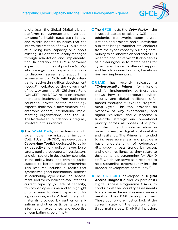

pilots (e.g., the Global Digital Library; platforms to aggregate and layer sector-specific health data; etc.) in lowand middle-income countries that can inform the creation of new DPGs aimed at building local capacity or support existing DPGs that are locally managed through adaptation and implementation. In addition, the DPGA convenes expert communities of practice (CoPs), which are groups of experts who work to discover, assess, and support the advancement of DPGs with high potential for addressing critical development needs[.64](#page-81-0) Incubated by the government of Norway and the UN Children's Fund (UNICEF), the DPGA relies on engagement and leadership from pathfinder countries, private sector technology experts, think tanks, governments, philanthropic donors, international implementing organizations, and the UN. The Rockefeller Foundation is integrally involved in this initiative.

**The World Bank**, in partnership with seven other organizations including CoE, ITU, and UNODC, has developed a **Cybercrime Toolkit** dedicated to building capacity among policy-makers, legislators, public prosecutors, investigators, and civil society in developing countries in the policy, legal, and criminal justice aspects to better combat cybercrime. This resource includes a Toolkit that synthesizes good international practice in combating cybercrime; an Assessment Tool for countries to evaluate their current capacity (or lack of capacity) to combat cybercrime and to highlight priority areas to direct capacity building resources; and a Virtual Library with materials provided by partner organizations and other participants to share information, experience, and expertise on combating cybercrime.[65](#page-81-0)

- **J** The **GFCE** hosts the *Cybil Portal* the largest database of existing CCB methodologies, frameworks, expert organizations, and projects, and a knowledge hub that brings together stakeholders from the cyber capacity building community to collaborate on and share CCB research and initiatives.<sup>66</sup> It also serves as a clearinghouse to match needs for cyber capacities with offers of support and help to connect donors, beneficiaries, and implementors.
- **OUSAID** has recently released a **"Cybersecurity Primer"** for missions and for implementing partners that shows how to incorporate cybersecurity and digital resilience safeguards throughout USAID's Programming Cycle. This tool provides an overview of why cybersecurity and digital resilience should become a first-order strategic and operational priority across all phases of a project design and implementation in order to ensure digital sustainability and resiliency. The Primer is intended to increase awareness and provide a basic understanding of cybersecurity, cyber threats trends by sector, and digital resilience as they relate to development programming for USAID staff, which can serve as a resource to help streamline cybersecurity into the broader development community.[67](#page-81-0)
- **O**The UK FCDO developed a Digital **Access Diagnostic** tool, as part of its Digital Access Programme (DAP), to conduct detailed country assessments to determine the most relevant investments of their DAP development aid. These country diagnostics look at the current state of the country under three main areas: 1) digital inclusion;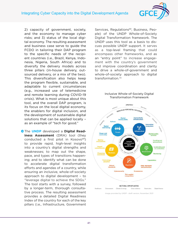

2) capacity of government, society, and the economy to manage cyber risks; and 3) status of the local digital economy. The resulting assessment and business case serve to guide the FCDO in tailoring their DAP program to the specific needs of the recipient countries (i.e., Brazil, Kenya, Indonesia, Nigeria, South Africa) and to diversify the delivery models across three pillars (in-house delivery, outsourced delivery, or a mix of the two). This diversification also helps keep the program flexible, sustainable, and adaptable to current circumstances (e.g., increased use of telemedicine and remote learning during COVID-19 crisis). What is most unique about this tool, and the overall DAP program, is its focus on the local digital economy, the enablers for digital inclusion, and the development of sustainable digital solutions that can be applied locally – as an example of "tech for good."

**O** The **UNDP** developed a **Digital Readiness Assessment** (DRA) tool (they conducted a first pilot in Kosovo<sup>[68](#page-81-0)</sup>) to provide rapid, high-level insights into a country's digital strengths and weaknesses; to map out the shape, pace, and types of transitions happening; and to identify what can be done to accelerate digital transformation efforts and agendas of a country, while ensuring an inclusive, whole-of-society approach to digital development – to "leverage digital to achieve the SDGs." The tool starts with a survey, followed by a longer-term, thorough consultative process. The resulting assessment provides a detailed Digital Readiness Index of the country for each of the key pillars (i.e., Infrastructure, Government Services, Regulations<sup>[69](#page-81-0)</sup>, Business, People) of the UNDP Whole-of-Society Digital Transformation framework. The UNDP uses this tool as a basis to discuss possible UNDP support. It serves as a top-level framing that could encompass other frameworks, and as an "entry point" to increase engagement with the country's government and improve coordination and clarity to drive a whole-of-government and whole-of-society approach to digital transformation. [70](#page-81-0)

#### Inclusive Whole-of-Society Digital Transformation Framework

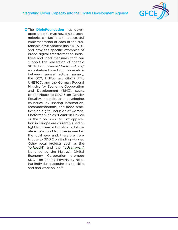# Integrating Cyber Capacity into the Digital Development Agenda



**O**The **DiploFoundation** has developed a tool to map how digital technologies can facilitate the successful implementation of each of the sustainable development goals (SDGs), and provides specific examples of broad digital transformation initiatives and local measures that can support the realization of specific SDGs. For instance, "#eSkills4Girls," an initiative based on cooperation between several actors, namely, the G20, UNWomen, OECD, ITU, UNESCO, and the German Federal Ministry for Economic Cooperation and Development (BMZ), seeks to contribute to SDG 5 on Gender Equality, in particular in developing countries, by sharing information, recommendations, and good practices on digital inclusion of women. Platforms such as "Ecubi" in Mexico or the "Too Good to Go" application in Europe are currently used to fight food waste, but also to distribute excess food to those in need at the local level and, therefore, contribute to SDG 2 on Ending Hunger. Other local projects such as the "e-Rezeki" and the "eUsahawan" launched by the Malaysia Digital Economy Corporation promote SDG 1 on Ending Poverty by helping individuals acquire digital skills and find work online.<sup>71</sup>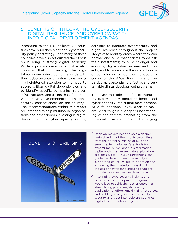

## 5 BENEFITS OF INTEGRATING CYBERSECURITY, DIGITAL RESILIENCE, AND CYBER CAPACITY INTO DIGITAL DEVELOPMENT AGENDAS

According to the ITU, at least 127 countries have published a national cybersecurity policy or strategy $72$  and many of these countries have also articulated their focus on building a strong digital economy. While a positive development, it is also important that countries align their digital (economic) development agenda with their cybersecurity priorities, thus bringing heightened attention to the need to secure critical digital dependencies and to identify specific companies, services, infrastructures, and assets that, if harmed, would have grave economic and national security consequences on the country.<sup>[73](#page-81-0)</sup> The recommendations within this report are intended to help multilateral organizations and other donors investing in digital development and cyber capacity building activities to integrate cybersecurity and digital resilience throughout the project lifecycle; to identify areas where they can partner and build mechanisms to de-risk their investments; to build stronger and enduring digital infrastructures and projects; and to accelerate the safe adoption of technologies to meet the intended outcomes of the SDGs. Risk mitigation, in particular, is essential to effective and sustainable digital development programs.

There are multiple benefits of integrating cybersecurity, digital resilience, and cyber capacity into digital development. At a foundational level, decision-makers need to gain a deeper understanding of the threats emanating from the potential misuse of ICTs and emerging



- √ Decision-makers need to gain a deeper understanding of the threats emanating from the potential misuse of ICTs and emerging technologies (e.g., tools for cybercrime, surveillance, disinformation, digital authoritarianism, data exploitation, espionage, etc.). This understanding can guide the development community in supporting countries' digital adoption and increasing their maturity in maximizing the use of new technologies as enablers of sustainable and secure development.
- √ Integrating cybersecurity insights and activities into development programs would lead to achieving better outcomes; streamlining processes/eliminating duplication of efforts/maximizing resources; and building stronger resilience, safety, security, and trust into recipient countries' digital transformation projects.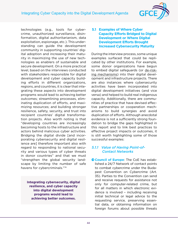

technologies (e.g., tools for cybercrime, unauthorized surveillance, disinformation, digital authoritarianism, data exploitation, espionage, etc.). This understanding can guide the development community in supporting countries' digital adoption and increasing their maturity in maximizing the use of new technologies as enablers of sustainable and secure development. On a more practical level, based on the interviews conducted with stakeholders responsible for digital development and cyber capacity building efforts in different organizations, regions, and countries, it is clear that integrating these aspects into development programs would lead to achieving better outcomes; streamlining processes, eliminating duplication of efforts, and maximizing resources; and building stronger resilience, safety, security, and trust into recipient countries' digital transformation projects. Also worth noting is that "developing countries are increasingly becoming hosts to the infrastructure and actors behind malicious cyber activities. Bridging the digital divide [and incorporating cybersecurity and digital resilience are] therefore important also with regard to responding to national security and various types of cyber threats in donor countries" and that we must "strengthen the global security landscape by limiting the number of safe havens for cybercriminals.["74](#page-81-0)

**Integrating cybersecurity, digital resilience, and cyber capacity into digital development programs would lead to achieving better outcomes.**

### **5.1 Examples of Where Cyber Capacity Efforts Bridged to Digital Development or Where Digital Development Efforts Brought Increased Cybersecurity Maturity**

During the interview process, some unique examples surfaced that could be replicated by other institutions. For example, some donor organizations have begun to embed digital safeguards (or de-risking mechanisms) into their digital development and infrastructure projects. There are also instances where cybersecurity activities have been incorporated into digital development initiatives (and vice versa) and helped to build real indigenous capacity. Additionally, there are communities of practice that have devised effective partnerships or cooperation mechanisms to build synergies and avoid duplication of efforts. Although anecdotal evidence is not a sufficiently strong foundation to bridge the gaps highlighted in this report and to link best practices to effective project impacts or outcomes, it is still worth highlighting some of those successful examples:

#### *5.1.1 Value of Having Point-of-Contact Networks*

**Council of Europe:** The CoE has established a 24/7 Network of contact points to combat cybercrime under the Budapest Convention on Cybercrime (Art. 35). Parties to the Convention can send and receive requests for assistance not only for computer-related crime, but for all matters in which electronic evidence is involved – including receiving initial technical or legal advice to the requesting service, preserving essential data, or obtaining information on foreign forums about possible threats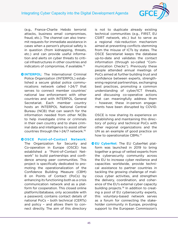

(e.g., France-Charlie Hebdo terrorist attacks, business email compromises, fraud, etc.). The channel can also transmit requests for immediate assistance in cases when a person's physical safety is in question (from kidnapping, threats, etc.) and can provide useful information and alerts on cyber threats to critical infrastructures in other countries and indicators of compromise, if available.<sup>75</sup>

**OINTERPOL:** The International Criminal Police Organization (INTERPOL) established a secure global police communications network called I-24/7 that serves to connect member countries' national law enforcement with other countries and with INTERPOL General Secretariat. Each member country hosts an INTERPOL National Central Bureau (NCB) that can search for the information needed from other NCBs to help investigate crime or criminals in their own country and to share criminal data and intelligence to assist other countries through the I-24/7 network[.76](#page-81-0)

#### **OOSCE Point-of-Contact Network:**

The Organization for Security and Co-operation in Europe (OSCE) has established a "Point-of-Contact Network" to build partnerships and confidence among peer communities. This project is specifically dedicated to promoting the operationalization of the Confidence Building Measure (CBM) 8 on Points of Contact (PoCs) by enhancing its functioning both as a crisis communication network and as a platform for cooperation. This closed online platform/database, only accessible with a password, contains contact details of national PoCs – both technical (CERTs) and policy – and allows them to connect directly. The aim of this directory is not to duplicate already existing technical communities (e.g., FIRST, EU CSIRT network, etc.) but to serve as a regional risk-reduction mechanism aimed at preventing conflicts stemming from the misuse of ICTs by states. The OSCE Secretariat keeps the database up-to-date and validates the contact information (through so-called "Communication Checks"). Previously these people attended annual meetings of PoCs aimed at further building trust and confidence between experts, strengthening regional partnerships, exchanging best practices, promoting a common understanding of cyber/ICT threats, and discussing co-operative actions that can meaningfully address them – however, these in-person engagements have been disrupted by COVID.

OSCE is now sharing its experience on establishing and maintaining this directory of policy and technical PoCs with other regional organizations and the UN as an example of good practice on how to operationalize CBMs.<sup>77</sup>

**JEU CyberNet:** The EU CyberNet platform was launched in 2019 to bring together a group of vetted experts from the cybersecurity community across the EU to increase cyber resilience and capacities worldwide, provide technical assistance to partner countries in tackling the growing challenge of malicious cyber activities, and strengthen the delivery, coordination, and coherence of the EU's external cyber capacity building projects.<sup>[78](#page-81-0)</sup> In addition to creating a pool of EU cybersecurity experts, this voluntary-based network serves as a forum for connecting the stakeholder community in Europe, providing support to the European Commission's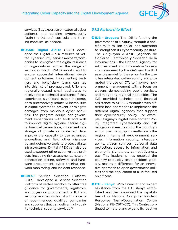

services (i.e., expertise on external cyber actions), and building cybersecurity "train-the-trainers" curricula and training modules, as needed.

 $\bigcirc$  USAID Digital APEX: USAID developed the Digital APEX resource of vetted cybersecurity services/experts/companies to strengthen the digital resilience of organizations across the range of sectors in which USAID invests, and to ensure successful international development outcomes. Implementing partners and beneficiary teams can tap into this list of pre-approved, U.S.- and regionally-located small businesses to receive rapid technical assistance if they experience significant cyber incidents, or to preemptively reduce vulnerabilities in digital systems to prevent or mitigate damages from malicious cyber activities. The program equips non-government beneficiaries with tools and skills to improve digital hygiene, secure digital financial transactions, implement safe storage of private or protected data, improve the capacity to use advanced encryption, and field other diagnostic and defensive tools to protect digital infrastructures. Digital APEX can also be used to support other cyber-related projects, including risk assessments, network penetration testing, software and hardware procurement, cyber training, network monitoring, and incident response.

**OCREST** Service Selection Platform: CREST developed a Service Selection Platform of vetted vendors to offer free guidance for governments, regulators, and buyers on procurement of ICT and security services, with a list with contacts of recommended qualified companies and suppliers that can deliver high-quality technical security services[.79](#page-81-0)

### *5.1.2 Partnership Effect*

- **OIDB Uruguay:** The IDB is funding the government of Uruguay through a specific multi-million dollar loan operation to strengthen its cybersecurity posture. The Uruguayan AGESIC (Agencia de Gobierno Electrónico y Sociedad de la Información) – the National Agency for e-Government and Information Society – is considered by the OAS and the IDB as a role model for the region for the way it has integrated cybersecurity and promoted the use of ICTs to improve government management with a focus on citizens, democratizing public services, and mitigating regional inequalities. The IDB provided technical and financial assistance to AGESIC through seven different loan operations to implement the different digital agendas that support their cybersecurity policy. For example, Uruguay's Digital Development Policy integrated cybersecurity and risk mitigation measures into the country's action plan. Uruguay currently leads the region in terms of e-government services, information security, interoperability, citizen services, personal data protection, access to information and electronic signatures, competitiveness, etc. This leadership has enabled the country to quickly scale positions globally, making a difference for an innovative approach to open government policies and the application of ICTs focused on citizens.
- **OITU Kenya:** With financial and expert assistance from the ITU, Kenya established and then improved the capabilities of its National Computer Incident Response Team-Coordination Centre (National KE-CIRT/CC). This Centre continued to mature and expand its reactive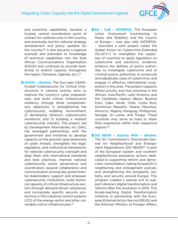

and proactive capabilities, became a trusted, central coordination point of contact for cybersecurity in the country, and eventually led the national strategy development and policy updates for the country[.80](#page-81-0) It also became a regional example and extended its knowledge of technical capabilities into the East African Communications Organization (EACO) and continues to provide leadership to extend capacity throughout the region (Tanzania, Uganda, etc.).<sup>81</sup>

 $\bullet$  USAID - Ukraine: The four-year USAIDfunded Cybersecurity for Critical Infrastructure in Ukraine activity aims to improve the country's cyber preparedness and build critical infrastructure resiliency through three complementary objectives: 1) strengthening the cybersecurity enabling environment; 2) developing Ukraine's cybersecurity workforce; and 3) building a resilient cybersecurity industry. The project, led by Development Alternatives, Inc (DAI), has leveraged partnerships with the government and ministries to develop capacity on the ground; raise awareness of cyber threats; strengthen the legal, regulatory, and institutional frameworks for national cybersecurity oversight and align them with international standards and best practices; improve national cybersecurity sector governance and coordination; expand collaboration and communication among key governmental stakeholders; support and empower cybersecurity institutions; build technical capacity of critical infrastructure sectors through demand-driven assistance; and incorporate specific security protections in the industrial control systems (ICS) of the energy sector and other vul-nerable critical infrastructures.<sup>[82](#page-81-0)</sup>

- $\bullet$  EU CoE INTERPOL: The European Union (Instrument Contributing to Peace and Stability) and the Council of Europe – now also with INTERPOL – launched a joint project called the Global Action on Cybercrime Extended (GLACY+) to strengthen the capacities of countries to apply legislation on cybercrime and electronic evidence; enhance the abilities of police authorities to investigate cybercrime and of criminal justice authorities to prosecute and adjudicate cases of cybercrime; and engage in effective international cooperation in this area. The project supports fifteen priority and hub countries in the African, Asia-Pacific, Latin America, and the Caribbean regions (Benin, Burkina Faso, Cabo Verde, Chile, Costa Rica, Dominican Republic, Ghana, Mauritius, Morocco, Nigeria, Paraguay, Philippines, Senegal, Sri Lanka, and Tonga). These countries may serve as hubs to share their experience within their respective regions.<sup>[83](#page-81-0)</sup>
- Ј**DG NEAR Estonia MFA Ukraine:**  The EU Commission's Directorate-General for Neighborhood and Enlargement Negotiations (DG NEAR)<sup>84</sup> is part of the European eastern and southern neighborhood assistance actions dedicated to supporting reform and democratic consolidation, taking forward EU's neighboring and enlargement policies, and strengthening the prosperity, stability, and security around Europe. This program created a special unit to support Ukraine's digital transformation and reforms after the revolution in 2014. This broad-reaching Digital Transformation initiative, in partnership with the European External Action Service (EEAS) and the Estonian Ministry of Foreign Affairs,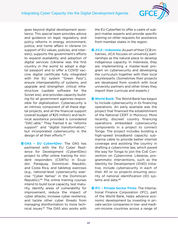

goes beyond digital development assistance. This special team provides advice and guidance on legal, regulatory, and policy reforms in energy, environment, justice, and home affairs in Ukraine (in support of EU values, policies, and interests); supports the government's efforts to expand availability and adoption of digital services (Ukraine was the first country in the world to adopt a digital passport and to offer a COVID vaccine digital certificate fully integrated with the EU system "Green Pass"), ensure interoperability of systems, and upgrade and strengthen critical infrastructure (update software for the Soviet era); and provides capacity building for all government agencies responsible for digitalization. Cybersecurity is an intrinsic component of all these digital projects, and all the financial support (overall budget of €25 million) and technical assistance provided is considered "DAC-able." They framed it as "reforms support" and "digital transformation," but incorporated cybersecurity in the design of all their efforts[.85](#page-81-0)

 $\bullet$  OAS - EU Cyber4Dev: The OAS has partnered with the EU Cyber Resilience for Development (Cyber4Dev) project to offer online training for incident responders (CSIRTs) in Ecuador, Paraguay, Dominican Republic, and Costa Rica, and tabletop exercises (e.g., national-level cybersecurity exercise "Cyber llamas" in the Dominican Republic).<sup>86</sup> The online training courses intend to build local capacity, test maturity, identify areas of vulnerability for improvement, reduce the impact of cyber attacks, increase cyber resilience, and tackle other cyber threats from managing disinformation to more technical issues[.87](#page-81-0) The OAS also works with the EU CyberNet to offer a cadre of subject-matter experts and provide specific training on other requests for assistance from member states in the region.

- Ј**JICA Indonesia:** As part of their CCB initiatives, JICA focuses on university partnerships as the natural place to develop indigenous capacity. In Indonesia, they are implementing a master-level program on cybersecurity and developing the curriculum together with their local counterparts. (Sometimes their projects are developed from scratch with local university partners and other times they import their curricula and experts.)
- $\bullet$  **World Bank:** The World Bank has begun to include cybersecurity in its financing operations. An early example was the project that financed the establishment of the National CERT in Morocco. More recently, discreet country financing operations embedded cybersecurity components in a project to connect Tonga. The project includes building a high-speed broadband capacity submarine cable to provide better internet coverage and assisting the country in drafting a cybercrime law, which paved the way for Tonga to join the CoE Convention on Cybercrime. Likewise, programmatic interventions, such as the Identity for Development (ID4D) initiative, include cybersecurity in each of their 40 or so projects ensuring security of national identification (ID) systems and data.<sup>88</sup>
- **QIFC Private Sector Firms: The Interna**tional Finance Corporation (IFC), part of the World Bank, helps advance economic development by investing in private sector companies in low- and medium-income countries across a range of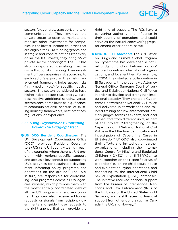

sectors (e.g., energy, transport, and telecommunications). They leverage the private sector to open up markets and mobilize other investments for companies in the lowest-income countries that are eligible for ODA funding/grants and in fragile and conflict nations (for every dollar the IFC invests, they bring \$5 of private sector financing).[89](#page-81-0) The IFC has also incorporated de-risking mechanisms through its financing. Their investment officers appraise risk according to each sector's exposure. Their risk management framework helps assess risks (high-medium-low) for specific industry sectors. The sectors considered to have higher risk exposure (e.g., energy, logistics) receive additional scrutiny, versus sectors considered low risk (e.g., finance, telecommunications) because of existing industry frameworks, best practices, regulations, or experience.

#### *5.1.3 Using Organizations' Convening Power: The Bridging Effect*

**OUN DCO Resident Coordinators:** The UN Development Coordination Office (DCO) provides Resident Coordinators (RCs) and UN country teams in each of the countries where there is a UN program with regional-specific support, and acts as a key conduit for supporting UN's activities for sustainable development, informing policy, programs, and operations on the ground. $90$  The RCs, in turn, are responsible for coordinating local programs across all UN agencies involved, which provides them with the most-centrally coordinated view of all the UN programs in a given country. They can also receive additional requests or signals from recipient governments and guide those requests to the right agency that can provide the right kind of support. The RCs have a convening authority and influence in their country of operations, and could serve as the natural conveyor/aggregator among other donors, as well.

**OUNODC - El Salvador:** The UN Office on Drugs and Crime's Global Program on Cybercrime has developed a natural bridging function between donors' recipient countries, international organizations, and local entities. For example, in 2004, they started a collaboration in El Salvador with the country's Attorney General Office, Supreme Court of Justice, and El Salvador National Civil Police in order to develop and strengthen institutional capacity. They created a Cybercrime Unit within the National Civil Police and delivered joint workshops and tailored training for law enforcement officials, judges, forensics experts, and local prosecutors from different units, as part of the project "Strengthening of the Capacities of El Salvador National Civil Police in the Effective Identification and Investigation of Cybercrime Cases in El Salvador." UNODC also coordinated their efforts and invited other partner organizations, including the International Centre for Missing and Exploited Children (ICMEC) and INTERPOL, to work together on their specific areas of expertise (i.e., online child sexual abuse and exploitation, cyber operations, and connecting to the International Child Sexual Exploitation [ICSE] database). The initiative received financial support from the Bureau of International Narcotics and Law Enforcement (INL) of the Embassy of the United States in El Salvador, and is still receiving financial support from other donors such as Can-ada, the UK, and Norway.<sup>[91](#page-81-0)</sup>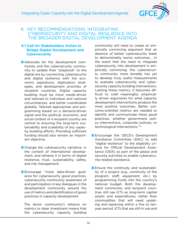

## 6 KEY RECOMMENDATIONS: INTEGRATING CYBERSECURITY AND DIGITAL RESILIENCE INTO THE BROADER DIGITAL DEVELOPMENT AGENDA

### **6.1 Call for Stakeholders Action to Bridge Digital Development and Cybersecurity**

**Advocate for the development com**munity and the cybersecurity community to update their "playbook" to the digital era by connecting cybersecurity and digital resilience with the economic aspirations, digitization strategies, and development priorities of recipient countries. Digital capacity building must be more needs-driven and tailored to individual and national circumstances, and better coordinated globally. Tailored approaches and programming based on a demand-driven signal and the political, economic, and social context of a recipient country are central to ensuring the long-term sustainability and scalability of any capacity building efforts. Providing sufficient funding should also remain an important objective.

- **O** Change the cybersecurity narrative, in the context of international development, and reframe it in terms of digital resilience, trust, sustainability, safety, and risk management.
- ЈEncourage "more data-driven guidance for cybersecurity good practices, cybersecurity community awareness of and participation in key dialogues in the development community around the use of metrics and identification of good practices in capacity development.

The donor community's reliance on metrics to steer investment means that the cybersecurity capacity building community will need to create an empirically convincing argument that an absence of better cybersecurity leads to demonstrably worse outcomes. … In the event that the need to integrate cybersecurity into development is empirically convincing, the cybersecurity community more broadly has yet to develop truly useful measurements to evaluate cybersecurity and cybersecurity capacity building interventions. Lacking these metrics, it becomes difficult to craft meaningful, empirically driven arguments for what capacity development interventions produce the most positive outcomes. Better outcome-oriented metrics are needed to identify and communicate these good practices, whether government policy interventions, corporate policies, or technological interventions.["92](#page-81-0)

- **O** Encourage the OECD's Development Assistance Committee (DAC) to add "digital resilience" to the eligibility criteria for Official Development Assistance (ODA) as part of the peace and security activities to enable cybersecurity-related assistance.
- **O** Ensure the continuity and sustainability of a project (e.g., continuity of the program, staff, equipment, etc.) by programming funds into the country's national budget. Both the development community and recipient countries still see ICTs as long-term capital assets and expenditures, rather than commodities that will need updating and replacing within a five to tenyear period. ICTs that are still in use and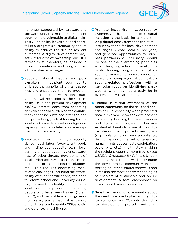

no longer supported by hardware and software updates make the recipient country more vulnerable to digital risks. This vulnerability leaves a critical shortfall in a program's sustainability and its ability to achieve the desired resilient outcomes. A digital development project's total-cost-of-ownership and ICT refresh must, therefore, be included in project formulation and programmed into assistance packages.

- ЈEducate national leaders and policymakers in recipient countries to embrace the benefits of digital capacities and encourage them to program funds into the country's national budget. This will help address the sustainability issue and prevent development aid/low-interest loans from becoming an extra financial burden on the country that cannot be sustained after the end of a project (e.g., lack of funding for the local workforce, to develop indigenous capacity, pay to update/replace equipment or software, etc.).
- ЈFacilitate growing a cybersecurity skilled local labor force/talent pools and indigenous capacity (e.g., local training on good cyber hygiene, awareness of cyber threats, development of local cybersecurity expertise, implementation of tailored digital solutions, etc.). This requires addressing many related challenges, including the affordability of cyber certifications, the need to reform school and university curricula, the need to identify and cultivate local talent, the problem of retaining people who have been trained ("brain drain"), and the problem of low government salary scales that makes it more difficult to attract capable CISOs, CIOs, and other technical figures.
- **P** Promote inclusivity in cybersecurity (women, youth, and minorities). Digital inclusion is the basis for a more thriving digital ecosystem that can stimulate innovations for local development challenges, create local skilled jobs, and generate opportunities for business partnerships. Inclusivity should be one of the overarching principles when designing school/university curricula, training programs for cybersecurity workforce development, or awareness campaigns about cybersecurity-related professions, with a particular focus on identifying participants who may not already be in cybersecurity-related roles.
- **O** Engage in raising awareness of the donor community on the risks and benefits of ICTs, especially when protected data is involved. Show the development community how digital transformation and digital technologies can become existential threats to some of their digital development projects and goals (e.g., tools for cybercrime, surveillance, disinformation, digital authoritarianism, human rights abuses, data exploitation, espionage, etc.) – ultimately making the recipient country more fragile (see USAID's Cybersecurity Primer). Understanding these threats will better guide the development community in supporting countries' digital pathways and in making the most of new technologies as enablers of sustainable and secure development. A few "champions" on board would make a quick win.
- Sensitize the donor community about the need to embed cybersecurity, digital resilience, and CCB into their digital development projects and other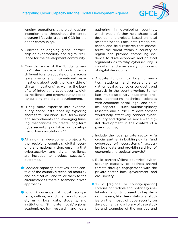

lending operations at project design/ inception and throughout the entire program lifecycle (a sort of CCB for the donor community).

- a. Convene an ongoing global partnership on cybersecurity and digital resilience for the development community.
- b. Consider some of the "bridging venues" listed below, which could provide different fora to educate donors across governments and international organizations about both the "dark side of digital innovations" as well as the benefits of integrating cybersecurity, digital resilience, and cybersecurity capacity building into digital development.
- c. "Bring more expertise into cybersecurity donor institutions by exploring short-term solutions like fellowships and secondments and leveraging funding mechanisms to create long-term cybersecurity portfolios in development donor institutions."[93](#page-81-0)
- **Align digital development projects to** the recipient country's digital economy and national vision, ensuring that cybersecurity and digital resilience are included to produce successful outcomes.
- **O** Consider capacity initiatives in the context of the country's technical maturity and political will and tailor them to the circumstances therein (demand-driven approach).
- **O** Build knowledge of local ecosystems, culture, and digital risks to society using local data, students, and institutions. Stimulate local/regional academic/policy research and data

gathering in developing countries, which would further help shape local development projects based on local research/needs. Local data, trends, statistics, and field research that characterize the threat within a country or region can provide compelling evidence to drive economic and political arguments as to why cybersecurity is important and a necessary component of digital development:

- a. Allocate funding to local universities, students, and researchers to gather local evidence or conduct trend analysis in the country/region. Stimulate multidisciplinary academic projects, connecting technical sciences with economic, social, legal, and political aspects – such multidisciplinary research and curriculum development would help effectively connect cybersecurity and digital resilience with digital development in the context of a given country;
- b. Include the local private sector "a crucial partner in building digital [and cybersecurity] ecosystems," accessing local data, and providing a driver of economic and societal growth.[94](#page-81-0)
- c. Build partners/client countries' cybersecurity capacity to address shared threats through engagement with the private sector, local government, and civil society.
- **O** "Build [regional or country-specific] libraries of credible and politically useful information to present to key decision makers, like deep statistical studies on the impact of cybersecurity on development and a library of case studies and examples of the positive and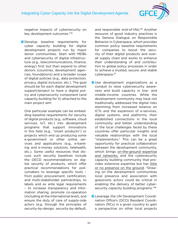

negative impacts of cybersecurity on key development outcomes."[95](#page-81-0)

ЈDevelop baseline requirements for cyber capacity building for digital development projects run by major donor communities. Start with MDBs and cybersecurity of digital infrastructure (e.g., telecommunications, finance, energy) first; but then expand to other donors (countries, development agencies, foundations) and a broader scope of digital policies (e.g., data protection, privacy, digital inclusion, etc.). The goal should be for each digital development support/project to have a digital policy and cybersecurity component (and capacity building for it) attached to the main project aim:

One particular example can be embedding baseline requirements for security of digital products (e.g., software, cloud services, IoT, etc.) into development programs that support innovations in this field (e.g., "smart products") or projects which end up producing some e-government or other online services and applications (e.g., e-banking and e-money solutions, telehealth, etc.). Some useful resources that discuss such security baselines include the OECD recommendations on digital security of products, which offer practical recommendations for policymakers to leverage specific tools – from public procurement, certification, and multi-stakeholder partnerships, to labels and ex ante legal requirements – to increase transparency and information sharing, promote co-operation (including at the international level), and ensure the duty of care of supply-side actors (e.g. through the principles of security-by-design, security-by-default, and responsible end-of-life)[.96](#page-82-0) Another resource of good industry practices is the Geneva Dialogue on Responsible Behavior in Cyberspace, which provides common policy baseline requirements for companies to boost the security of their digital products and overall supply chain and works to enhance their understanding of and contribution to global policy processes in order to achieve a trusted, secure, and stable cyberspace[.97](#page-82-0)

- OUse development organizations as a conduit to raise cybersecurity awareness and build capacity in low- and middle-income countries. While the development community may have not traditionally addressed the digital risks stemming from increased reliance on ICTs and the expansion of e-services, digital systems, and platforms, their established connections in the local community and better understanding of the local challenges faced by these countries offer particular insights and valuable relationships with the local "implementors." This can be a great opportunity for practical collaboration between the development community, which brings on-the-ground expertise and networks, and the cybersecurity capacity building community that provides extensive expertise but has little or no presence on the ground. "Drawing on the development communities local presence and association with grassroots actors could be critical in enabling the delivery of better cyber-security capacity building programs."<sup>[98](#page-82-0)</sup>
- **O** Leverage the UN Development Coordination Office's (DCO) Resident Coordinators (RCs) in a given country to gain a perspective on other local projects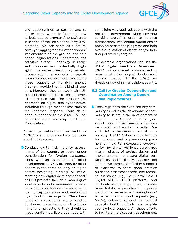

and opportunities to partner, and to better assess where to focus and how to best deploy program/money/assets in service of the recipient country/government. RCs can serve as a natural conveyor/aggregator for other donors/ implementors on the ground, and help donor organizations understand the activities already underway in recipient countries and potentially highlight underserved needs. They can also receive additional requests or signals from recipient governments and guide those requests to the right agency that can provide the right kind of support. Moreover, they can work with UN Headquarters entities to ensure overall coherence with the broader UN approach on digital and cyber issues, including through mechanisms such as the Roadmap Response Team, developed in response to the 2020 UN Secretary-General's Roadmap for Digital Cooperation.

Other organizations such as the EU or MDBs' local offices could also be leveraged in this regard.

O Conduct digital risk/maturity assessments of the country or sector under consideration for foreign assistance, along with an assessment of other development or CCB projects by other donors in the same country or region before designing, funding, or implementing new digital development and/ or CCB projects. Include a mapping of local experts and communities of existence that could/should be involved in the conceptualization and realization of/support to the projects. When these types of assessments are conducted by donors, consultants, or other international organizations, they should be made publicly available (perhaps with some jointly agreed redactions with the recipient government when covering sensitive topics) in order to increase transparency into lending operations or technical assistance programs and help avoid duplication of efforts and/or help find potential synergies.

For example, organzations can use the UNDP Digital Readiness Assessment (DRA) tool as a baseline assessment to know what other digital development projects (mapped to the SDGs) are already undergoing in a recipient country.

### **6.2 Call for Greater Cooperation and Coordination Among Donors and Implementors**

ЈEncourage both the cybersecurity community as well as the development community to invest in the development of "Digital Public Goods" or DPGs (universal tools and instruments) that can be shared and applied broadly. One such DPG is the development of primers (e.g., USAID Cybersecurity Primer) for missions and implementing partners on how to incorporate cybersecurity and digital resilience safeguards into all phases of project design and implementation to ensure digital sustainability and resiliency. Another tool is the development (or further support) of platforms to share good practice guidance, assessment tools, and technical assistance (e.g., Cybil Portal, USAID Digital APEX, CREST platform); and pool data sets; engage talent; promote more holistic approaches to capacity building; or serve as a "clearinghouse" to better direct support requests (e.g., GFCE), enhance support to national capacity building efforts, and amplify country-level support. All these efforts to facilitate the discovery, development,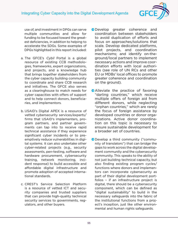55

use of, and investment in DPGs can serve multiple communities and allow for funding to be focused toward the greatest deficiencies, in addition to helping to accelerate the SDGs. Some examples of DPGs highlighted in this report included:

- a. The GFCE's Cybil Portal is a global resource of existing CCB methodologies, frameworks, expert organizations, and projects, and a knowledge hub that brings together stakeholders from the cyber capacity building community to coordinate and share CCB research and initiatives. The GFCE also serves as a clearinghouse to match needs for cyber capacities with offers of support and to help connect donors, beneficiaries, and implementors.
- b. USAID's Digital APEX is a resource of vetted cybersecurity services/experts/ firms that USAID's implementers, program partners, and partner governments can tap into to receive rapid technical assistance if they experience significant cyber incidents or to preemptively reduce vulnerabilities in digital systems. It can also undertake other cyber-related projects (e.g., security assessments, pen-testing, software and hardware procurement, cybersecurity training, network monitoring, incident response) to build accessible and affordable digital infrastructure and promote adoption of accepted international standards.
- c. CREST's Service Selection Platform is a resource of vetted ICT and security companies and trusted suppliers that can provide high-quality technical security services to governments, regulators, and other buyers.
- ЈDevelop greater coherence and coordination between stakeholders to avoid duplication of efforts and focus on approaches/solutions that scale. Develop dedicated platforms, pilot projects, and coordination mechanisms; and identify on-theground/local partners to implement necessary actions and improve coordination efforts with local authorities (see role of UN RCs and other EU or MDBs' local offices to promote greater coherence and coordination on the ground).
- **Alleviate the practice of favoring** "darling countries," which receive multiple offers of foreign aid from different donors, while neglecting "orphan countries," which are rarely the focus of foreign assistance by developed countries or donor organizations. Active donor coordination on this topic is necessary to ensure sustainable development for a broader set of countries.
- ЈDevelop a third community ("community of translators") that can bridge the gaps to work across the digital development community and the cybersecurity community. This speaks to the ability of not just building technical capacity, but also finding existing program cycles/ functions where donors and implementors can incorporate cybersecurity as part of their digital development portfolios – if an infrastructure project is digital, there should be a cybersecurity component, which can be defined as "digital sustainability" to build in the necessary safeguards into the fabric of the institutional functions from a project's inception, just like other environmental and human rights safeguards.

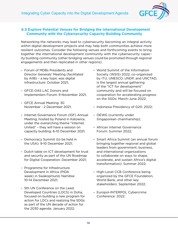

## **6.3 Explore Potential Venues for Bridging the International Development Community with the Cybersecurity Capacity Building Community**

Networking the networks may lead to cybersecurity becoming an integral activity within digital development projects and may help both communities achieve more resilient outcomes. Consider the following venues and forthcoming events to bring together the international development community with the cybersecurity capacity building community (other bridging venues could be promoted through regional engagements and then replicated in other regions):

- Forum of MDBs Presidents and Director Generals' Meeting (facilitated by AIIB) – a key topic was digital infrastructure: October 2021;
- GFCE-OAS LAC Donors and Implementers Forum: 9 November 2021;
- GFCE Annual Meeting: 30 November - 2 December 2021;
- Internet Governance Forum (IGF) Annual Meeting, hosted by Poland in Katowice, under the overarching theme "Internet United" – they will have a session on capacity building: 6-10 December 2021;
- Democracy Summit (to be held in the USA): 9-10 December 2021;
- Dutch table on ICT development for trust and security as part of the UN Roadmap for Digital Cooperation: December 2021;
- Programme for Infrastructure Development in Africa (PIDA week) in Swakopmund, Namibia: 10-14 December 2021;
- 5th UN Conference on the Least Developed Countries (LDC5) in Doha, focused on building a new program for action for LDCs and realizing the SDGs as part of the UN decade of action for the 2030 agenda: January 2022;
- World Summit of the Information Society (WSIS) 2022, co-organized by ITU, UNESCO, UNDP, and UNCTAD, is the largest annual gathering of the "ICT for development" community and will be focused on cooperation for accelerating progress on the SGDs: March-June 2022;
- Indonesia Presidency of G20: 2022;
- OEWG (currently under Singaporean chairmanship);
- African Internet Governance Forum: Summer 2022;
- Smart Africa Summit (an annual forum bringing together regional and global leaders from government, business, and international organizations to collaborate on ways to shape, accelerate, and sustain Africa's digital transformation): Summer 2022;
- High-Level CCB Conference being organized by the GFCE Foundation, World Bank, and other key stakeholders: September 2022;
- Europol-INTERPOL Cybercrime Conference: 2022.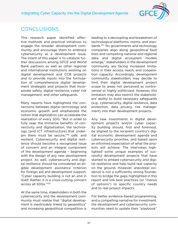

# CONCLUSIONS

This research paper identified effective methods and practical initiatives to engage the broader development community and encourage them to embrace cybersecurity as a development issue. The intent of this paper is to catalyze further discussions among GFCE and World Bank partners as well as other regional and international institutions working on digital development and CCB projects and to provide inputs into the formulation of comprehensive digital development strategies and projects that incorporate safety, digital resilience, cyber risk management, and other safeguards.

Many reports have highlighted the connections between digital technology and economic growth and emphasized the notion that digitization can accelerate the realization of every SDG. "But in order to fully reap the immense benefits of connectivity and digitalization, the technology [and ICT infrastructure] that underpin them must be secure,"[99](#page-82-0) safe, and resilient. Cybersecurity and digital resilience should become a recognized issue of concern and an integral component of the development agenda – beginning with the design of any new development project. As well, cybersecurity and digital resilience should be considered an eligible development assistance criterion for foreign aid and development support. "Cyber capacity building is not an end in itself. Rather, it is a cross-cutting concern across all SDGs.["100](#page-82-0)

At the same time, stakeholders in both the cybersecurity and the development community must realize that "digital development is inextricably linked to geopolitics" and increasing geopolitical competition is leading to a decoupling and breakdown of technological platforms, norms, and standards.[101](#page-82-0) "As governments and technology companies align along geopolitical fault lines and competing national and regional data and digital ecosystem models emerge," stakeholders in the development community are facing increased limitations in their access, reach, and cooperation capacity. Accordingly, development community stakeholders may decide to limit their digital development project scope to areas not perceived as controversial or highly politicized. However, this limitation may also restrict the stakeholders' ability to build necessary safeguards (e.g., cybersecurity, digital resilience, data protection, data privacy, risk management) into their development projects.

Any new investments in digital development projects and/or cyber capacity building should, first and foremost, be aligned to the recipient country's digital economic development agenda and cybersecurity priorities, and based upon an informed expectation of what the projects will achieve. The interviews highlighted some unique examples of successful development projects that have started to embed cybersecurity and digital resilience and help build real capacity on the ground. However, anecdotal evidence is not a sufficiently strong foundation to bridge the gaps highlighted in this report and link best practices (or "menus of options") to specific country needs and to real project impacts.

For better evidence-based programming, and a compelling narrative for investment, the development and cybersecurity communities need to update their "playbook"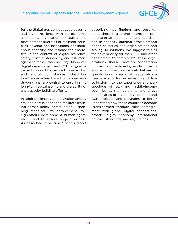

for the digital era; connect cybersecurity and digital resilience with the economic aspirations, digitization strategies, and development priorities of recipient countries; develop local institutional and indigenous capacity; and reframe their narrative in the context of digital resilience, safety, trust, sustainability, and risk management rather than security. Moreover, digital development and CCB programs/ projects should be tailored to individual and national circumstances. Indeed, tailored approaches based on a demanddriven signal are central to ensuring the long-term sustainability and scalability of any capacity building efforts.

In addition, improved integration among stakeholders is needed to facilitate learning across policy communities – spanning technical, law enforcement, foreign affairs, development, human rights, etc. – and to ensure project success. As described in Section 3 of this report describing key findings and observations, there is a strong interest in promoting greater coherence and coordination in capacity building efforts among donor countries and organizations and scaling up solutions. We suggest this as the next priority for the GFCE and other benefactors ("champions"). These organizations should develop cooperation policies, co-investments, hand-off mechanisms, and business models tailored to specific country/regional needs. Also, a need exists for further research and data collection into the experience and perspectives of low- and middle-income countries as the recipients and direct beneficiaries of digital development and CCB projects, and programs to better understand how these countries become (trans)formed through their entanglement with global digital connections, broader digital economy, international policies, standards, and regulations.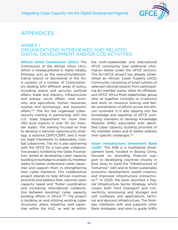

# APPENDICES

## ANNEX I ORGANIZATIONS INTERVIEWED AND RELATED DIGITAL DEVELOPMENT AND/OR CCB ACTIVITIES

**African Union Commission (AUC):** The Commission of the African Union (AU), which is headquartered in Addis Ababa, Ethiopia, acts as the executive/administrative branch or Secretariat of the AU. It consists of a number of Commissioners dealing with different areas of policy, including: peace and security; political affairs; trade and industry; infrastructure and energy; social affairs; rural economy and agriculture; human resources, science and technology; and economic affairs.<sup>102</sup> The AU has organized cybersecurity training in partnership with the U.S. State Department for more than 450 local experts in over 50 AU member states. The training focused on how to develop a national cybersecurity strategy; a national CERT/CSIRT; and a modern legal framework to adequately combat cybercrime. The AU is also partnering with the GFCE for a two-year collaborative project, funded by the Gates Foundation, aimed at developing cyber capacity building knowledge to enable AU member states to better understand cyber capacities and support them in strengthening their cyber resilience. This collaborative project intends to help African countries prioritize and address their national cyber capacity needs and "foster coordination and increasing international collaboration between (existing) cyber capacity building efforts in Africa".<sup>103</sup> The project is building on and utilizing existing cyber structures, plans, expertise, and capacities within the AUC, as well as within

the multi-stakeholder and international GFCE community (see additional information below under the GFCE section). The AU-GFCE project has already established an African Cyber Experts (ACE) Community consisting of small cohorts of selected national experts from participating AU member states, other AU affiliates, and GFCE Africa Multi-stakeholder group who sit together (virtually or in-person) and work on resource sharing and better coordination of efforts across the African continent. It is also tapping into the knowledge and expertise of GFCE community members to develop Knowledge Modules (KMs) associated with identified cyber capacity building priorities of AU member states and to better address their specific challenges[.104](#page-82-0)

**Asian Infrastructure Investment Bank (AIIB):** The AIIB is a multilateral development bank, located in Beijing China, focused on providing financial support to developing countries (mostly in East Asia) to build the "Infrastructure of Tomorrow" (i4t) and to foster sustainable economic development, wealth creation, and improved infrastructure connectivity[.105](#page-82-0) In 2020, the bank launched a Digital Infrastructure Sector Strategy, which covers both hard (transport and connectivity, processing and storage) and soft (software and applications, terminal and devices) infrastructure. The Strategy interfaces with and supports other Bank strategies, and aims to guide AIIB's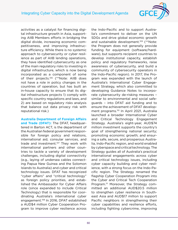

activities as a catalyst for financing digital infrastructure growth in Asia, supporting AIIB Members efforts in bridging the digital divide, increasing economic competitiveness, and improving infrastructure efficiency. While there is no systemic approach to cybersecurity or cyber resilience as part of AIIB lending operations, they have identified cybersecurity as one of the main regulatory risks to investing in digital infrastructure, which is now being incorporated as a component of some of their projects[.106](#page-82-0) (\*\*Note: AIIB does not have a role in policy changes in the countries of operation, but has built an in-house capacity to ensure that its digital infrastructure projects 1) comply with specific country regulations and laws, and 2) are based on regulatory risks analysis that balance out data privacy risk with reputational risk.)

# **Australia Department of Foreign Affairs**

**and Trade (DFAT):** The DFAT, headquartered in Barton ACT, is the department of the Australian federal government responsible for foreign policy and relations, international aid, consular services, and trade and investment.<sup>107</sup> They work with international partners and other countries to tackle a variety of development challenges, including digital connectivity (e.g., laying of undersea cables connecting Papua New Guinea and the Solomon Islands to Australia) and cyber and critical technology issues. DFAT has recognized "cyber affairs" and "critical technology" as foreign policy priorities, and established the Ambassador for Cyber Affairs role (since expanded to include Critical Technology) that is responsible for coordinating Australia's international cyber engagement.[108](#page-82-0) In 2016, DFAT established a AUD\$4 million Cyber Cooperation Program to improve cyber resilience across the Indo-Pacific and to support Australia's commitment to deliver on the UN SDGs and drive global economic growth and sustainable development.<sup>109</sup> (\*\*Note: the Program does not generally provide funding for equipment (software/hardware), but supports recipient countries to develop institutional capacity, establish policy and regulatory frameworks, raise awareness of cybersecurity, and build a community of cybersecurity operators in the Indo-Pacific region). In 2017, the Program was expanded with the launch of Australia's International Cyber Engagement Strategy, which also committed to developing Guidance Notes to incorporate cybersecurity de-risking measures – similar to environmental and social safeguards – into DFAT aid funding and to ensure the achievement of DFAT development programs.<sup>110</sup> In April 2021, Australia launched a broader International Cyber and Critical Technology Engagement Strategy. Australia's eight-year, AUD\$74 million investment supports the country's goal of strengthening national security; promoting economic growth; and ensuring a safe, secure, and prosperous Australia, Indo-Pacific region, and world enabled by cyberspace and critical technology. The Strategy guides all of Australia's practical international engagements across cyber and critical technology issues, including cyber capacity building and cyber resilience, with a strong focus on the Indo-Pacific region. The Strategy renamed the flagship Cyber Cooperation Program into the Cyber and Critical Tech Cooperation Program.<sup>111</sup> Moreover, the Strategy committed an additional AUD\$20.5 million to strengthen cyber resilience in Southeast Asia and AUD\$17 million to support Pacific neighbors in strengthening their cyber capabilities and resilience efforts, including fighting cybercrime, improving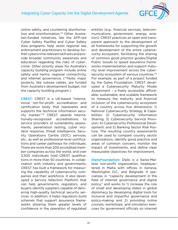

online safety, and countering disinforma-tion and misinformation.<sup>[112](#page-82-0)</sup> Other Australian-funded initiatives, like the AFP-led Cyber Safety Pasifika and Cyber Safety Asia programs, help assist regional law enforcement practitioners to develop further cybercrime-relevant skill sets and provide broader community awareness and education regarding the risks of cybercrime. Other priority areas for Australia's capacity building program include online safety and harms, regional connectivity, and internet governance. (\*\*Note: major projects, like subsea cables, are funded from Australia's development budget, not the capacity building program.)

**CREST**: CREST is a UK-based "international not-for-profit accreditation and certification body that represents and supports the technical information security market.["113](#page-82-0) CREST awards internationally-recognized accreditations to service providers of vulnerability assessments, penetration testing, cyber incident response, threat intelligence, Security Operations Centre (SOC) services, etc., as well as professional-level certifications and career pathways for individuals. There are more than 200 accredited member companies across the world, and over 3,500 individuals hold CREST qualifications in more than 50 countries. In collaboration with industry and governments, CREST has built a framework for measuring the capability of cybersecurity companies and their workforce. It also developed a Service Selection Platform that can help governments, regulators, and buyers identify suppliers capable of delivering high-quality technical security services. In addition, it helps regulators build schemes that support assurance frameworks allowing them greater levels of confidence in the operation of regulated

entities (e.g., financial services, telecommunications, government, energy, aviation). CREST practices an open and transparent approach to the development of all frameworks for supporting the growth and development of the entire cybersecurity ecosystem, facilitating the sharing of common good practice guides/Digital Public Goods to speed assurance frameworks implementation and support maturity level improvement across the cybersecurity ecosystem of various countries.<sup>114</sup> For example, as part of a project funded by the Gates Foundation, CREST developed a Cybersecurity Maturity Model Assessment – a freely accessible, affordable, sustainable, and scalable framework to measure the maturity and financial inclusion of the cybersecurity ecosystem of a country across five dimensions: 1) National Cybersecurity Strategy & Capabilities; 2) Cybersecurity Information Sharing; 3) Cybersecurity Service Provision; 4) Cybersecurity Professional Development; and 5) Banking Sector Risk Posture. The resulting country assessments can be used to compare country sector organizations, identify good practice and areas of common concern, monitor the impact of investments, and define clear measurable objectives for improvement.

**DiploFoundation:** Diplo is a Swiss-Maltese non-profit organization, headquartered in Malta with offices in Geneva, Washington D.C., and Belgrade. It specializes in "capacity development in the field of internet governance and digital policy," and works to 1) increase the role of small and developing states in global diplomacy by developing digital tools for inclusive and impactful governance and policy-making and 2) providing online courses, workshops, and simulation exercises for government officials on internet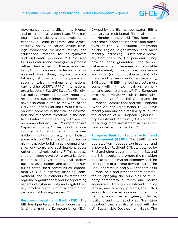

governance, data, artificial intelligence, and other emerging tech issues.<sup>[115](#page-82-0)</sup> In particular, Diplo designs and implements capacity building programs and cybersecurity policy education, online trainings, workshops, webinars, events, and educational material for policymakers and diplomatic personnel.<sup>116</sup> Diplo sees CCB education and traning as a process rather than a set of themes/modules. First, Diplo considers the technical environment. From there, they discuss digital risks; instruments of crime, peace, and security; existing regional and national partnerships (CERTs, PPPs); international organizations (ITU, GFCE); soft skills; digital policy; cyber diplomacy; reporting; researching; data mining; and more. They have also contributed to the work of the UN Open Ended Working Group (OEWG) on developments in the field of information and telecommunications in the context of international security with specific recommendations on "Comprehensive Capacity Building." Their contributions included advocating for a multi-stakeholder, multidisciplinary, and holistic approach to CCB and CBMs and recognizing capacity building as a comprehensive, long-term, and sustainable process rather than simply training.<sup>117</sup> This process should include developing organizational capacities of governments, civil society, business associations, and academia; nurturing established communities; embedding CCB in budgetary planning, commitment, and investments by states and regional organizations; and incorporating aspects of cybersecurity and digital literacy into the curriculum of academic and professional training centers[.118](#page-82-0)

**European Investment Bank (EIB):** The EIB, headquartered in Luxembourg, is the lending arm of the European Union (EU). Owned by the EU member states, EIB is the largest multilateral financial institution/lender in the world. They fund projects that support the priorities and objectives of the EU, including integration of the region, digitalization, and most recently, increasingly sustainable recovery from the COVID-19 pandemic. They provide loans, guarantees, and technical assistance in the areas of sustainable development, infrastructure, innovation and skills (including cybersecurity), climate and environmental sustainability, SMEs, etc. All EIB-financed projects must comply with high technical, environmen-tal, and social standards.<sup>[119](#page-82-0)</sup> The European Investment Advisory Hub (a joint advisory initiative of the EIB Group and the European Commission) and the European Cyber Security Organisation (ECSO) have recently announced a feasibility study for the creation of a European Cybersecurity Investment Platform (ECIP) aimed at attracting more investment in the European cybersecurity market[.120](#page-82-0)

**European Bank for Reconstruction and Development (EBRD):** The EBRD, which operates from headquarters in London and a network of Resident Offices, is owned by 71 shareholder governments, the EU, and the EIB. It seeks to promote the transition to a sustainable market economy and the emergence of a strong private sector. The Bank operates in nearly 40 economies in Europe, Asia, and Africa that are committed to applying the principles of multiparty democracy, pluralism, and market economics. Through investment, policy reform, and advisory projects, the EBRD works to make economies more competitive, well-governed, green, inclusive, resilient, and integrated – six "transition qualities" that are also aligned with the UN Sustainable Development Goals. The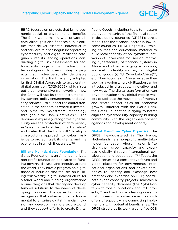

EBRD focuses on projects that bring economic, social, or environmental benefits. The Bank works mainly with private clients, although it also finances public entities that deliver essential infrastructure and services.<sup>121</sup> It has begun incorporating cybersecurity and digital resilience safeguards into its lending operations, conducting digital risk assessments for sector-specific projects that involve digital technologies with closer scrutiny for projects that involve personally identifiable information. The Bank recently adopted its first Digital Approach to accelerating digital transition (2021-2025), which "sets out a comprehensive framework on how the Bank will use its three instruments – investment, policy engagement, and advisory services – to support the digital transition in the economies where it invests… and aims to mainstream technology throughout the Bank's activities.["122](#page-82-0) The document expressly recognizes cybersecurity and the protection of data privacy as "essential parts of the digital transition" and states that the Bank will "develop a cross-cutting approach to cyber resilience to protect itself, its clients, and the economies in which it operates.["123](#page-82-0)

**Bill and Melinda Gates Foundation:** The Gates Foundation is an American private non-profit foundation dedicated to fighting poverty, disease, and inequity around the world. They have a program on digital financial inclusion that focuses on building trustworthy digital infrastructure for a fairer world and funding organizations around the globe that identify and develop tailored solutions to the needs of developing countries. The Gates Foundation recognizes that cybersecurity is fundamental to ensuring digital financial inclusion and developing a more secure world, and they support efforts to create Digital Public Goods, including tools to measure the cyber maturity of the financial sector in developing countries (CREST); threat models for the financial sector in low-income countries (MITRE Engenuity); training courses and educational material to build local capacity of policymakers; networks of universities focused on improving cybersecurity of financial systems in Africa and other emerging economies, and scaling identity and payment digital public goods (CMU CyberLab-Africa)<sup>[124](#page-82-0)</sup>; etc. Their focus is on Africa because they see it as a region where digitization can be introduced in disruptive, innovative, and new ways. The digital transformation can drive innovation (e.g., digital mobile wallets to facilitate the movement of money) and create opportunities for economic growth. Together with the World Bank, the Gates Foundation is trying to better align the cybersecurity capacity building community with the larger development agenda (and development donors).

**Global Forum on Cyber Expertise:** The GFCE, headquartered in The Hague, Netherlands, is a non-profit, multi-stakeholder foundation whose mission is "to strengthen cyber capacity and expertise globally through international collaboration and cooperation.["125](#page-82-0) Today, the GFCE serves as a consultative forum and global platform for governments, international organizations, and private companies to identify and exchange best practices and expertise on CCB; coordinate cyber capacity projects; maintain a cyber capacity database (the Cybil Portal) with tool, publications, and CCB projects;<sup>126</sup> and act as a clearinghouse to match needs for cyber capacities with offers of support while connecting implementors with potential beneficiaries. The GFCE structures its work around five CCB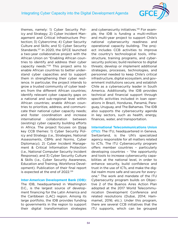

themes, namely: 1) Cyber Security Policy and Strategy; 2) Cyber Incident Management and Critical Infrastructure Protection; 3) Cybercrime; 4) Cyber Security Culture and Skills; and 5) Cyber Security Standards.[127](#page-82-0) In 2020, the GFCE launched a two-year collaborative project with the African Union on "Enabling African countries to identify and address their cyber capacity needs."[128](#page-82-0) This project aims to enable African countries to better understand cyber capacities and to support them in strengthening their cyber resilience. In particular, the project intends to grow a trusted community of cyber leaders from the different African countries; identify relevant cyber capacity gaps on a national and sub-regional level within African countries; enable African countries to prioritize, address, and communicate their national cyber capacity needs; and foster coordination and increase international collaboration between (existing) cyber capacity building efforts in Africa. The project focuses on three key CCB themes: 1) [Cyber Security Pol](https://cybilportal.org/themes/policy-strategy/)[icy and Strategy](https://cybilportal.org/themes/policy-strategy/) (i.e., [Strategies,](https://cybilportal.org/themes/policy-strategy/strategies/) [National](https://cybilportal.org/themes/policy-strategy/assessments/)  [Assessments,](https://cybilportal.org/themes/policy-strategy/assessments/) [CBMs and Norms,](https://cybilportal.org/themes/policy-strategy/cbms-and-norms/) [Cyber](https://cybilportal.org/themes/policy-strategy/cyber-diplomacy/)  [Diplomacy](https://cybilportal.org/themes/policy-strategy/cyber-diplomacy/)); 2) [Cyber Incident Manage](https://cybilportal.org/themes/cyber-incident-management-ciip/)[ment & Critical Information Protection](https://cybilportal.org/themes/cyber-incident-management-ciip/) (i.e., [National Computer Security Incident](https://cybilportal.org/themes/cyber-incident-management-ciip/national-computer-security-incident-response/)  [Response\)](https://cybilportal.org/themes/cyber-incident-management-ciip/national-computer-security-incident-response/); and 3) [Cyber Security Culture](https://cybilportal.org/themes/cyber-security-culture-skills/)  [& Skills](https://cybilportal.org/themes/cyber-security-culture-skills/) (i.e., [Cyber Security Awareness,](https://cybilportal.org/themes/cyber-security-culture-skills/cyber-security-awareness/) [Education and Training,](https://cybilportal.org/themes/cyber-security-culture-skills/education-and-training/) [Workforce Devel](https://cybilportal.org/themes/cyber-security-culture-skills/workforce-development/)[opment\)](https://cybilportal.org/themes/cyber-security-culture-skills/workforce-development/). Publication of their final report is expected at the end of 2022[.129](#page-82-0)

**Inter-American Development Bank (IDB):**

The IDB, headquartered in Washington D.C., is the largest source of development financing for the Latin America and the Caribbean (LAC) region. Among its large portfolio, the IDB provides funding to governments in the region to support their digital transformation strategies and cybersecurity initiatives.<sup>130</sup> For example, the IDB is funding a multi-million and multi-year project to support Chile's national cybersecurity readiness and operational capacity building. The project includes CCB activities to improve the country's technological tools, infrastructure, training programs, and cybersecurity policies; build resilience to digital threats; develop or implement additional strategies, processes, technologies, and personnel needed to keep Chile's critical infrastructure, digital ecosystem, and government institutions secure; and establish Chile as a cybersecurity leader in South America. Additionally, the IDB provides technical and financial support through specific activities included in loan operations in Brazil, Honduras, Panamá, Paraguay, Uruguay, and The Bahamas. The IDB also supports the cybersecurity agenda in key sectors, such as health, energy, finances, water, and transportation.

**International Telecommunications Union (ITU):** The ITU, headquartered in Geneva, Switzerland, is the UN's specialized agency responsible for all matters related to ICTs. The ITU Cybersecurity program offers member countries – particularly developing countries – "the opportunity and tools to increase cybersecurity capabilities at the national level, in order to enhance security, build confidence and trust in the use of ICTs, and make the digital realm more safe and secure for everyone." The work and mandate of the ITU Cybersecurity program builds on Objective 2 of the Buenos Aires Action Plan adopted at the 2017 World Telecommunication Development Conference and related resolutions (Dubai, 2014; Hammamet, 2016; etc.). Under this program, there are several CCB initiatives that the ITU supports, which can be grouped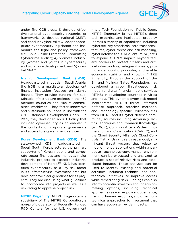

under five CCB areas: 1) develop effective national cybersecurity strategies or frameworks; 2) develop national CSIRTs and conduct CyberDrills; 3) adopt appropriate cybersecurity legislation and harmonize the legal and policy framework (i.e., Child Online Protection; Combatting Cybercrime Toolkit); 4) promote inclusivity (women and youth) in cybersecurity and workforce development; and 5) combat SPAM.

**Islamic Development Bank (IsDB):**  Headquartered in Jeddah, Saudi Arabia, the IsDB is a multilateral development finance institution focused on Islamic finance. They provide funding for sustainable infrastructure projects in their 57 member countries and Muslim communities worldwide. They foster innovative and sustainable solutions in line with the UN Sustainable Development Goals.[131](#page-82-0) In 2019, they developed an ICT Policy that included cybersecurity as an enabler in the contexts of corporate governance and access to e-government services.

**Korea Development Bank (KDB):** The state-owned KDB, headquartered in Seoul, South Korea, acts as the primary supporter of Korean public and corporate sector finances and manages major industrial projects to expedite industrial development of Korea[.132](#page-82-0) KDB has identified cybersecurity as a key risk factor in its infrastructure investment area but does not have clear guidelines for its projects. They are discussing what guidelines to incorporate into projects as well as a risk-rating to appraise project risk.

**MITRE Engenuity:** MITRE Engenuity – a subsidiary of The MITRE Corporation, a non-profit operator of Federally Funded R&D Centers for the U.S. government – is a Tech Foundation for Public Good. MITRE Engenuity brings MITRE's deep tech expertise and intellectual property (across a variety of capabilities including cybersecurity standards, zero trust architectures, cyber threat and risk modeling, cyber defense tools, AI, quantum, 5G, etc.) to expand MITRE's impact beyond federal borders to protect citizens and critical infrastructure, safeguard assets, promote democratic principles, and enable economic stability and growth. MITRE Engenuity, through the support of the Bill and Melinda Gates Foundation, has developed a cyber threat-based risk model for digital financial mobile services (dFMS) in developing countries in Africa and India. This dynamic cyber risk model incorporates MITRE's threat informed defense approach, attacker methods, and technology-specific vulnerabilities from MITRE and its cyber defense community sources including Adversary Tactics Techniques and Common Knowledge (ATT&CK), Common Attack Pattern Enumeration and Classification (CAPEC), and the Cloud Security Alliance's Cloud Controls Matrix. Using this threat model, significant threat vectors that relate to mobile money applications within a particular technology/governance environment can be extracted and analyzed to produce a set of relative risks and associated impacts. These analyses can be used to identify existing and potential activities, including technical and nontechnical initiatives, to improve access while remediating risks. Findings can also inform potential investors about decisionmaking options, including technical approaches as well as policy, governance, training, human resources, and other nontechnical approaches to investment that can have ecosystem-wide impacts.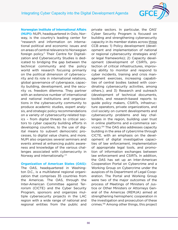

**Norwegian Institute of International Affairs (NUPI):** NUPI, headquartered in Oslo, Norway, is the country's leading center for "research and information on international political and economic issues and on areas of central relevance to Norwegian foreign policy." Their Centre for Digitalization and Cybersecurity Studies is dedicated to bridging the gap between the technical community and the policy world with research focusing primarily on the political dimension of cybersecurity and its role in international relations, global governance of cyberspace, capacity building, development, and the security vs. freedom dilemma. They partner with an extensive number of international and national institutions and organizations in the cybersecurity community to produce academic studies, expert analysis, and strategic policy recommendations on a variety of cybersecurity-related topics – from digital threats to critical sectors to cyber capacity building efforts in developing countries, to the use of digital means to subvert democratic processes, to digital value chains, and more. NUPI also organizes several seminars and events aimed at enhancing public awareness and knowledge of the various challenges associated with cybersecurity in Norway and internationally.<sup>[133](#page-83-0)</sup>

#### **Organization of American States (OAS):**

The OAS, headquartered in Washington D.C., is a multilateral regional organization that comprises 35 countries from the Americas. The OAS, through the Inter-American Committee against Terrorism (CICTE) and the Cyber Security Program, sponsors and organizes multiple cybersecurity projects in the LAC region with a wide range of national and regional entities from the public and

private sectors. In particular, the OAS' Cyber Security Program is focused on building and strengthening cybersecurity capacity in its member states across three CCB areas: 1) Policy development (development and implementation of national or regional cybersecurity strategies and/ or legal frameworks); 2) Capacity development (development of CSIRTs, protection of critical infrastructures, improving ability to monitor and respond to cyber incidents, training and crisis management exercises, increasing capabilities of central bodies tasked with coordinating cybersecurity activities, among others.); and 3) Research and outreach (development of technical documents, toolkits, and research-based reports to guide policy makers, CSIRTs, infrastructure operators, private organizations, and civil society on current developments and cybersecurity problems and key challenges in the region, building user trust in online platforms and e-commerce services).[134](#page-83-0) The OAS also addresses capacity building in the area of cybercrime through CICTE, with an emphasis on the development of digital investigative capacities of law enforcement, implementation of appropriate legal tools, and promotion of information exchanges between law enforcement and CSIRTs. In addition, the OAS has set up an Inter-American Cooperation Portal on Cybercrime and a Working Group on Cybercrime under the auspices of its Department of Legal Cooperation. The Portal and Working Group were two of the major outcomes of the process of Meetings of Ministers of Justice or Other Ministers or Attorneys General of the Americas (REMJA) aimed at strengthening hemispheric cooperation in the investigation and prosecution of these crimes.[135](#page-83-0) Among other things, this project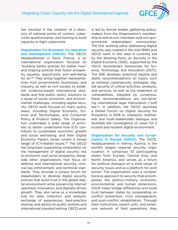

has resulted in the creation of a directory of national points of contact, cybercrime questionnaires, and training to build capacity to fight cybercrime.

**Organisation for Economic Co-operation and Development (OECD):** The OECD, headquartered in Paris, France, is an international organization focused on "building better policies for better lives" and shaping policies that foster prosperity, equality, opportunity, and well-being for all[.136](#page-83-0) They bring together representatives from governments, businesses, and industry, as well as civil society to establish evidence-based international standards and find public policy solutions to a range of social, economic, and environmental challenges, including digital security. OECD work focuses on many policy areas, including Digital Economy, Science and Technologies, and Consumer Policy & Product Safety. The Organisation undertakes a wide range of activities to better understand how ICTs contribute to sustainable economic growth and social well-being, and their Digital Economy Papers series covers a broad range of ICT-related issues[.137](#page-83-0) The OECD has long been supporting cooperation on the management of digital security risk to economic and social prosperity, alongside other organizations that focus on defense and international security, criminal law enforcement, and technical standards. They provide a unique forum for stakeholders to develop digital security policies that build trust in the global digital environment while preserving internet openness, innovation, and digitally-driven growth. They also serve as a knowledge hub for data collection and analysis, exchange of experiences, best-practice sharing, and advice on public policies and international standard setting. OECD work

is led by formal bodies gathering policymakers from the Organisation's membership as well as non-members and non-governmental stakeholders' communities. The first working party addressing digital security was created in the mid-1990s and OECD work in this area is currently led by the Working Party on Security in the Digital Economy (SDE), supported by the OECD Secretariat's Directorate for Science, Technology and Innovation (DSTI). The SDE develops analytical reports and drafts recommendations on topics such as national cybersecurity strategies, digital security of critical activities, products, and services, as well as the treatment of vulnerabilities. Adopted by consensus, these recommendations are non-binding international legal instruments ("soft law"). In addition, the OECD launched a Global Forum on Digital Security for Prosperity in 2018 to champion multilateral and multi-stakeholder dialogue and facilitate the convergence of views for a trusted and resilient digital environment.

**Organization for Security and Co-operation in Europe (OSCE):** The OSCE, headquartered in Vienna, Austria, is the world's largest regional security organization. It comprises 57 participating states from Europe, Central Asia, and North America, and serves as a forum for political dialogue on a wide range of security issues and as a platform for joint action. The organization uses a comprehensive approach to security that encompasses the politico-military, economic, environmental, and human dimensions. OSCE helps bridge differences and build trust between states by cooperating on conflict prevention, crisis management, and post-conflict rehabilitation. Through their institutions, expert units, and extensive network of field operations, they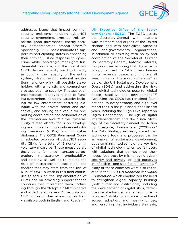

addresses issues that impact common security problems, including cyber/ICT security, cybercrime, arms control, terrorism, good governance, energy security, democratization, among others.<sup>138</sup> Specifically, OSCE has a mandate to support its participating states in enhancing their criminal justice response to cybercrime, while upholding human rights, fundamental freedoms, and the rule of law. OSCE defines capacity building broadly as building the capacity of the entire system, strengthening national institutions, and engaging all possible stakeholders with a holistic and comprehensive approach to security. This approach encompasses initiatives related to fighting cybercrime, including capacity building for law enforcement, fostering dialogue with the private sector and civil society, and serving as a venue for promoting coordination and collaboration at the international level.<sup>139</sup> Other cybersecurity-related efforts focus on developing and implementing confidence-building measures (CBMs) and on cyber diplomacy. The OSCE Permanent Council adopted two sets of cyber/ICT security CBMs for a total of 16 non-binding, voluntary measures. These measures are designed to "enhance interstate co-operation, transparency, predictability, and stability, as well as to reduce the risks of misperception, escalation, and conflict that may stem from the use of ICTs.["140](#page-83-0) OSCE's work in this field continues to focus on the implementation of CBMs and on providing support for the countries that implement them, including through the "Adopt a CMB" initiative and a dedicated cyber/ICT security and CBM course on their e-learning platform – available both in English and Russian.[141](#page-83-0)

**UN Executive Office of the Secretary-General (EOSG):** The EOSG assists the Secretary-General with relations with members and organs of the United Nations and with specialized agencies and non-governmental organizations, in addition to assisting with policy and coordination of the Secretariat. Current UN Secretary-General, António Guterres, has prioritized ensuring that digital technology is used to "strengthen human rights, advance peace, and improve all lives, including the most vulnerable" as part of the UN Sustainable Development Goals (SDGs), and addressing the risks that digital technologies pose to "global peace, stability, and development."[142](#page-83-0) Achieving the SDGs has remained foundational to every strategy and high-level report the UN has published in the last six years, including the "High-Level report on Digital Cooperation – The Age of Digital Interdependence" and the "Data Strategy of the Secretary-General for Action by Everyone, Everywhere (2020-22)." The Data Strategy expressly stated that technology tools and processes can be an enabler of sustainable development, but also highlighted some of the key risks of digital technology when we fail users with solutions that do not meet their needs; lose trust by mismanaging cybersecurity and privacy; or lock ourselves in inflexible "one-size-fits-all" systems.<sup>[143](#page-83-0)</sup> Many of these concepts were also reiterated in the 2020 UN Roadmap for Digital Cooperation, which emphasized the need to strengthen digital capacity building (both human and institutional), including the development of digital skills, "effective use of advanced and emerging technologies," ability to advance broadband access, adoption, and meaningful use, and "ensuring that individuals stay safe,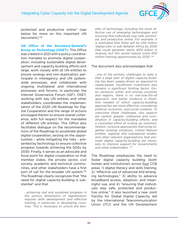

protected and productive online" (see below for more on this important UN document).<sup>144</sup>

**UN Office of the Secretary-General's Envoy on Technology (OSET):** This Office was created in 2021 with a policy coordination mandate to promote digital cooperation, including sustainable digital development and capacity building efforts writ large, work closely with all UN entities to ensure synergy and non-duplication, participate in interagency and UN systemwide processes, and collaborate with ongoing multilateral and international processes and forums, in particular the Internet Governance Forum (IGF). OSET, working with key UN entities and other stakeholders, coordinates the implementation of the 2020 UN Roadmap for Digital Cooperation and the range of actions envisaged therein to ensure overall coherence, with full respect for the mandates of different UN entities. This Office also facilitates dialogue on the recommendations of the Roadmap to accelerate global digital cooperation, seizing on the opportunities – while mitigating the risks – presented by technology to ensure collective progress towards achieving the SDGs by 2030. Finally, it serves as an advocate and focal point for digital cooperation so that member states, the private sector, civil society, academic and technical communities, and other stakeholders have a first port of call for the broader UN system.[145](#page-83-0) The Roadmap clearly recognizes that "the need for digital capacity-building is substantial" and that

...achieving real and sustained progress in the various dimensions of digitalization requires skills development and effective training, in particular in developing countries. This is necessary to unlock the ben-

efits of technology, including the more effective use of emerging technologies and ensuring that individuals stay safe, protected, and productive online. For example, it is estimated that there will be 230 million 'digital jobs' in sub-Saharan Africa by 2030 that could generate nearly \$120 billion in revenue, but this would require some 650 million training opportunities by 2030.<sup>[146](#page-83-0)</sup>

#### The document also acknowledges that

...one of the primary challenges to date is that a large part of digital capacity-building has been supply-driven as opposed to needs-based. Insufficient investment also remains a significant limiting factor. Given variances within and among countries and regions, there is no one-size-fits-all approach, and better evidence is therefore needed of which capacity-building approaches are most effective, considering political, economic, and social contexts. To overcome these challenges, two aspects are central: greater coherence and coordination in capacity-building efforts; and a concerted effort at scaling up solutions. Holistic, inclusive approaches that bring together existing initiatives, United Nations entities, regional and subregional bodies, and other relevant organizations that promote digital capacity-building are necessary to improve support for Governments and other stakeholders.<sup>[147](#page-83-0)</sup>

The Roadmap emphasizes the need to foster digital capacity building (both human and institutional) across four CCB areas: 1) digital literacy and skills training, 2) "effective use of advanced and emerging technologies," 3) ability to advance broadband access, adoption, and meaningful use, and 4) "ensuring that individuals stay safe, protected and productive online." It also launched a new Joint Facility for Global Digital Capacity, led by the International Telecommunication Union (ITU) and the UN Development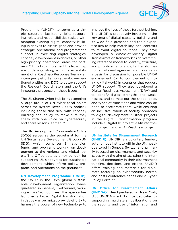

Programme (UNDP), to serve as a single structure facilitating joint resourcing, roles, and responsibilities tasked with mapping existing digital capacity building initiatives to assess gaps and provide strategic, operational, and programmatic support in executing digital strategies, capacity development initiatives, or other high-priority operational areas for partners.[148](#page-83-0) Efforts to implement the Roadmap are underway, along with the establishment of a Roadmap Response Team – an interagency effort among the above-mentioned entities and DCO to better support the Resident Coordinators and the UN's in-country presence on these issues.

The UN Shared Cyber Hub brings together a large group of UN cyber focal points across the system (over 20 UN bodies), including those that deal with capacity building and policy, to make sure they speak with one voice on cybersecurity and share lessons learned.<sup>[149](#page-83-0)</sup>

The UN Development Coordination Office (DCO) serves as the secretariat for the UN Sustainable Development Group (UN SDG), which comprises 34 agencies, funds, and programs working on development at the regional and global levels. The Office acts as a key conduit for supporting UN's activities for sustainable development, which inform policy, program, and operations on the ground.[150](#page-83-0)

**UN Development Programme (UNDP):** the UNDP is the UN's global sustainable development organization, headquartered in Geneva, Switzerland, working across 170 countries. The agency has launched a broad Digital Transformation initiative – an organization-wide effort – to harness the power of new technology to

improve the lives of those furthest behind. The UNDP is proactively investing in the key area of digital capacity building and its wide field presence and topic expertise aim to help match key local contexts to relevant digital solutions. They have developed a Whole-of-Society Digital Transformation framework as an overarching reference model to identify, structure, and prioritize national digital transformation efforts and agendas, and to serve as a basis for discussion for possible UNDP engagement (or to complement ongoing digital work) in countries that request UNDP support. They also developed a Digital Readiness Assessment (DRA) tool to identify digital strengths and weaknesses, and to map out the shape, pace, and types of transitions and what can be done to accelerate them, while ensuring an inclusive, whole-of-society approach to digital development.<sup>151</sup> Other projects in the Digital Transformation program include a Digital ID project, a Misinformation project, and an AI Readiness project.

**UN Institute for Disarmament Research (UNIDIR):** UNIDIR is a voluntary funded, autonomous institute within the UN, headquartered in Geneva, Switzerland, primarily focused on disarmament and security issues with the aim of assisting the international community in their disarmament thinking, decisions, and efforts. UNIDIR offers training and materials for diplomats focusing on cybersecurity norms, and hosts conference series and a Cyber Policy Portal.<sup>[152](#page-83-0)</sup>

**UN Office for Disarmament Affairs (UNODA):** Headquartered in New York, U.S., UNODA is a UN office dedicated to supporting multilateral deliberations on the security and use of information and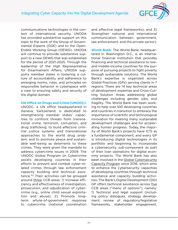

communications technologies in the context of international security. UNODA has provided substantive support on this topic to the work of the Group of Governmental Experts (GGE) and to the Open-Ended Working Group (OEWG). UNODA will continue to provide substantive support to a new OEWG that was established for the period of 2021-2025. Through the leadership of the High Representative for Disarmament Affairs, UNODA supports member states in fostering a culture of accountability and adherence to emerging norms, rules, and principles on responsible behavior in cyberspace with a view to ensuring safety and security of the digital domain.

#### **UN Office on Drugs and Crime (UNODC):**

UNODC, a UN office headquartered in Geneva, Switzerland, is dedicated to strengthening member states' capacities to confront threats from transnational crime, terrorism, corruption, and drug trafficking; to build effective criminal justice systems and transnational approaches to the world drug problem; and to promote peace and sustainable well-being as deterrents to these crimes. They were given the mandate to address cybercrime issues in 2009. The UNODC Global Program on Cybercrime assists developing countries in their efforts to prevent and combat cyber-related crimes through law enforcement capacity building and technical assistance[.153](#page-83-0) Their activities can be grouped around three CCB areas: 1) Increase efficiency and effectiveness of investigation, prosecution, and adjudication of cybercrime (e.g., online child sexual exploitation and abuse); 2) Promote longterm whole-of-government response to cybercrime (national coordination

and effective legal frameworks); and 3) Strengthen national and international communication between government, law enforcement, and the private sector).

**World Bank:** The World Bank, headquartered in Washington D.C., is an international financial institution that provides financing and technical assistance to lowand middle-income countries for the purpose of pursuing projects to fight poverty through sustainable solutions. The World Bank's expertise is organized across Global Practices (GPs) serving clients in 7 regions. There are 14 key technical areas of development expertise and Cross-Cutting Solution Areas addressing global challenges including gender, jobs, and fragility. The World Bank has been working to help over 100 developing countries and countries in transition to embrace the importance of scientific and technological innovation for meeting many sustainable development challenges and for accelerating human progress. Today, the majority of World Bank's projects have ICTs as a fundamental component, and every GP is introducing digital technologies in its portfolio and beginning to incorporate a cybersecurity sub-component as part of their loan operations for digital economy projects. The World Bank has also been involved in the Global Cybersecurity Capacity Program since 2016, which aims to enhance the cybersecurity capacities of developing countries through technical assistance and capacity building activities. The Bank's Digital Development (DD) GP offers technical assistance across five CCB areas ("menu of options"), namely: 1) Technical and legal support (including policy dialogues, strategy development, review of regulatory/legislative frameworks, stakeholder engagement,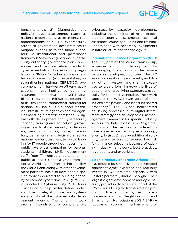

benchmarking); 2) Diagnostics and policy/strategy assessments (such as national cybersecurity assessments, recommendations on CERTs, cybersecurity advice to government, best practices to mitigate cyber risk to the financial sector); 3) Institutional and governance framework (developing national cybersecurity authority, governance plans, operational and administrative standards, cyber essentials and cybersecurity regulation for SMEs); 4) Technical support and technical capacity (e.g., establishing or strengthening national CERT/SOC, procurement of hardware/software/applications, threat intelligence gathering, assurance, monitoring, audit, CERT capabilities [prevention, mitigation, response], drills, simulation, sandboxing, training for national [civilian] CERTs, support for critical infrastructure agencies and for agencies handling biometric data); and 5) Digital skills development and cybersecurity capacity training and education (providing access to skilled security professionals; training for judges, police, prosecutors, parliamentarians, legislators, senior national leaders, teachers; technical training for IT people throughout government; public awareness campaign for parents, students, children, SMEs, government staff [non-IT], entrepreneurs, and the public at large). Under a grant from the Korea-World Bank Partnership Facility, the World Bank, along with other development partners, has also developed a specific toolkit dedicated to building capacity to combat cybercrime. In August 2021, it launched a Cybersecurity Multi-Donor Trust Fund to help better define, understand, articulate, structure, and systematically roll-out the cybersecurity development agenda. The emerging work program intends to offer comprehensive

cybersecurity capacity development, including the definition of result expectations, country assessments, technical assistance, capacity building and training, underpinned with necessary investments in infrastructure and technology.<sup>154</sup>

**International Finance Corporation (IFC)**:

The IFC, part of the World Bank Group, advances economic development by encouraging the growth of the private sector in developing countries. The IFC works on creating new markets, mobilizing other investors, and sharing expertise to create jobs, improve the lives of people, and raise living standards, especially for the most vulnerable. Their work supports the WBG's twin goals of ending extreme poverty and boosting shared prosperity[.155](#page-83-0) The IFC has incorporated de-risking processes in its digital investment strategy and developed a risk management framework for specific industry sectors to help assess risk (high-medium-low). The sectors considered to have higher exposure to cyber risks (e.g., energy, logistics) receive additional scrutiny, versus sectors considered low risk (e.g., finance, telecom) because of existing industry frameworks, best practices, regulations, and experience.

**Estonia Ministry of Foreign Affairs:** Estonia, despite its small size, has developed significant cyber expertise and regularly invests in CCB projects, especially with Eastern partners (Ukraine, Georgia). Their largest digital development and cybersecurity project in Ukraine – in support of the €25 million EU Digital Transformation program in Ukraine, funded by the EU Directorate-General for Neighbourhood and Enlargement Negotiations (DG NEAR) – focuses on supporting enhancement of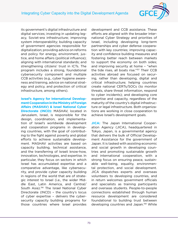

<span id="page-72-0"></span>its government's digital infrastructure and digital services; investing in updating legacy, Soviet-era infrastructure; improving system interoperability; building capacity of government agencies responsible for digitalization; providing advice on reforms and policy for energy, environment, justice, and home affairs (political influence); aligning with international standards; and strengthening citizens' trust in ICTs. The program includes a strong, foundational cybersecurity component and multiple CCB activities (e.g., cyber hygiene awareness and training, advice on national strategy and policy, and protection of critical infrastructure, among others).

**Israel's Agency for International Development Cooperation in the Ministry of Foreign Affairs (MASHAV) & Israel National Cyber Directorate (INCD):** MASHAV, located in Jerusalem, Israel, is responsible for the design, coordination, and implementation of Israel's worldwide development and cooperation programs in developing countries, with the goal of contributing to the fight against poverty and global efforts to achieve sustainable development. MASHAV activities are based on capacity building, technical assistance, and the transferring of Israeli know-how, innovation, technologies, and expertise. In particular, they focus on sectors in which Israel has accumulated expertise and a comparative advantage, like cybersecurity, and provide cyber capacity building in regions of the world that are of strategic interest to Israel (i.e., the wider Middle East, Latin America, and Central/ South Asia).[156](#page-83-0) The Israel National Cyber Directorate (INCD) – the country's locus of cyber expertise – delivers the cybersecurity capacity building programs for those countries where Israel provides

development and CCB assistance. These efforts are aligned with the broader International Cyber Strategy and priorities of Israel, including developing long-term partnerships and cyber defense cooperation with key countries; improving capacity and confidence building measures and fostering better reach between markets to support the economy on both sides; and improving security at home – "when the tide rises, all boats rise.["157](#page-83-0) Their CCB activities abroad are focused on securing, rather than developing, digital and critical infrastructure; helping countries create national CERTs/SOCs (to monitor threats, share threat information, respond to cyber incidents); and developing core expertise and capacity, regardless of the maturity of the country's digital infrastructure or legal infrastructure. Both organizations are working in close cooperation to achieve Israel's development goals.

**JICA:** The Japan International Cooperation Agency (JICA), headquartered in Tokyo, Japan, is a governmental agency that delivers the bulk of Official Development Assistance for the government of Japan. It is tasked with assisting economic and social growth in developing countries and promoting sustainable growth and international cooperation, with a strong focus on ensuring peace, sustainable well-being, equality, environmental protection, and social development. JICA dispatches experts and overseas volunteers to developing countries, and in return welcomes government officials and specialists as training participants and overseas students. People-to-people connections established through human resource development are considered foundational to building trust between developing countries and Japan.<sup>158</sup> While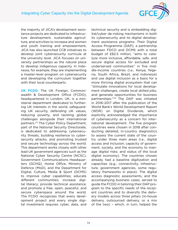

<span id="page-73-0"></span>the majority of JICA's development assistance projects are dedicated to infrastructure development, sustainable agriculture, and activities to increase and women and youth training and empowerment, JICA has also launched CCB initiatives to develop joint cybersecurity curricula at the university level. JICA focuses on university partnerships as the natural place to develop indigenous capacity. In Indonesia, for example, they are implementing a master-level program on cybersecurity and developing the curriculum together with their local counterparts.

**UK FCDO**: The UK Foreign, Commonwealth & Development Office (FCDO), headquartered in London, UK, is a ministerial department dedicated to furthering UK interests in the world, safeguarding UK security, defending UK values, reducing poverty, and tackling global challenges alongside their international partners.[159](#page-83-0) The Cyber Policy Department, part of the National Security Directorate, is dedicated to addressing cybersecurity threats, building resilience to cybersecurity attacks, and promoting trusted and secure technology across the world. This department works closely with other lead UK government agencies such as the National Cyber Security Centre (NCSC), Government Communications Headquarters (GCHQ), Home Office, Ministry of Defence (MoD), and the Department for Digital, Culture, Media & Sport (DCMS) to improve cyber capabilities; educate different communities; increase digital literacy; provide technical assistance; and promote a free, open, peaceful, and secure cyberspace around the world. The FCDO recognizes that every development project and every single digital investment requires cyber, data, and

technical security and is embedding digital/cyber de-risking mechanisms in both its cybersecurity and its digital development assistance programs. Their Digital Access Programme (DAP), a partnership between FDCO and DCMS with a total budget of £82.5 million, "aims to catalyze more inclusive, affordable, safe, and secure digital access for excluded and underserved communities" in five middle-income countries (i.e., Kenya, Nigeria, South Africa, Brazil, and Indonesia) and use digital inclusion as a basis for a more thriving digital ecosystem that can "stimulate innovations for local development challenges, create local skilled jobs, and generate opportunities for business partnerships."[160](#page-83-0) The DAP was initiated in 2016-2017 after the publication of the World Bank's World Development Report (WDR) on Digital Dividends, which explicitly acknowledged the importance of cybersecurity as a concern for international development. The five program countries were chosen in 2018 after conducting detailed, in-country diagnostics to assess the current state of the country under three main areas (i.e., digital access and inclusion; capacity of government, society, and the economy to manage digital risks; and status of the local digital economy). The countries chosen already had a baseline digitization and capacities (e.g., connectivity, infrastructure, government agencies, some regulatory frameworks in place). The digital access diagnostic assessments, and the accompanying business cases, served to guide the FCDO in tailoring their DAP program to the specific needs of the recipient countries and to diversify the delivery models across three pillars (in-house delivery, outsourced delivery, or a mix of the two) – which, in turn, helped the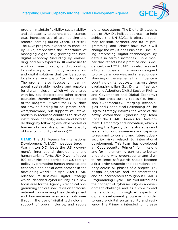

<span id="page-74-0"></span>program maintain flexibility, sustainability, and adaptability to current circumstances (e.g., increased use of telemedicine and remote learning during COVID-19 crisis). The DAP program, expected to conclude by 2023, emphasizes the importance of managing digital risk; growing the local digital economy (including by embedding local tech experts in UK embassies to work on these projects); and supporting local-start-ups, technology accelerators, and digital solutions that can be applied locally – an example of "tech for good." The program also focuses on learning about sustainable models and enablers for digital inclusion, which will be shared with key stakeholders and other partner countries, thereby amplifying the impact of the program. (\*\*Note: the FCDO does not provide funding for equipment [software/hardware] but supports key stakeholders in recipient countries to develop institutional capacity, understand how to do things by following available models or frameworks, and strengthen the capacity of local community networks).<sup>[161](#page-83-0)</sup>

**USAID**: The U.S. Agency for International Development (USAID), headquartered in Washington D.C., leads the U.S. government's international development and humanitarian efforts. USAID works in over 100 countries and carries out U.S foreign policy by promoting human progress and economic and social development in the developing world.[162](#page-83-0) In April 2021, USAID released its first-ever Digital Strategy, which identified cybersecurity as a new focus area for the Agency's technical programming and outlined its vision and commitment to improving their development and humanitarian assistance outcomes through the use of digital technology in support of open, inclusive, and secure

digital ecosystems. The Digital Strategy is part of USAID's holistic approach to help achieve the UN SDGs. It offers a roadmap for staff, partners, and future programming, and "charts how USAID will change the way it does business – including embracing digital technologies by default in certain instances – in a manner that reflects best practice and is evidence-based."[163](#page-83-0) USAID has also released a Digital Ecosystem Framework designed to provide an overview and shared understanding of the elements that influence a country's digital ecosystem across three overlapping pillars (i.e., Digital Infrastructure and Adoption; Digital Society, Rights, and Governance; and Digital Economy) and four cross-cutting topics (i.e., Inclusion, Cybersecurity, Emerging Technolo-gies, and Geopolitical Positioning).<sup>[164](#page-83-0)</sup> The Digital Strategy informs the work of the newly established Cybersecurity Team under the USAID Bureau for Development, Democracy and Innovation, which is helping the Agency define strategies and systems to build awareness and capacity to respond to current and future cybersecurity risks related to international development. This team has developed a "Cybersecurity Primer" for missions and for implementing partners to better understand why cybersecurity and digital resilience safeguards should become a first-order strategic and operational priority across all phases of a project (i.e., design, objectives, and implementation) and be incorporated throughout USAID's Programming Cycle. This tool introduces the concept of cybersecurity as a development challenge and as a core thread that should run through all aspects of digital development programs in order to ensure digital sustainability and resiliency. The Primer is intended to increase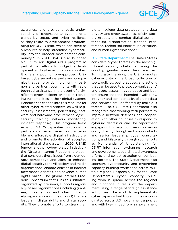

<span id="page-75-0"></span>awareness and provide a basic understanding of cybersecurity, cyber threats trends by sector, and cyber resilience as they relate to development programming for USAID staff, which can serve as a resource to help streamline cybersecurity into the broader development community.[165](#page-83-0) In 2019, USAID also launched a \$19.5 million Digital APEX program as part of their efforts to bridge the development and cybersecurity communities. It offers a pool of pre-approved, U.S. based cybersecurity experts and companies that can provide implementing partners and partner governments with rapid technical assistance in the event of a significant cyber incident or help in reducing vulnerabilities in their digital systems. Beneficiaries can tap into this resource for other cyber-related projects, as well (e.g., security assessments, pen-testing, software and hardware procurement, cybersecurity training, network monitoring, incident response). This program helps expand USAID's capacities to support its partners and beneficiaries, build accessible and affordable digital infrastructure, and promote the adoption of accepted international standards. In 2020, USAID funded another cyber-related initiative – the "Greater Internet Freedom" project – that considers these issues from a democracy perspective and aims to enhance digital security for civil society and media organizations, engage citizens in internet governance debates, and advance human rights online. The global Internet Freedom Consortium that runs this initiative, organized by Internews, supports regionally-based organizations (including grantees, implementors, and other civil society organizations on the ground) that are leaders in digital rights and digital security. They promote efforts to strengthen

digital hygiene, data protection and data privacy, and cyber awareness of civil society groups, and combat digital authoritarianism, disinformation, election interference, techno-solutionism, polarization, and human rights violations.<sup>[166](#page-83-0)</sup>

**U.S. State Department:** The United States considers "cyber threats as the most significant security challenge facing the country, greater even than terrorism. To mitigate the risks, the U.S. promotes cybersecurity – the broad collection of tools, policies, best practices, and actions that can be used to protect organizations' and users' assets in cyberspace and better ensure that the intended availability, integrity, and confidentiality of online data and services are unaffected by malicious threats." The U.S. State Department also recognizes that working with partners to improve network defenses and cooperation with other countries to respond to cyber incidents is crucial. The Department engages with many countries on cybersecurity directly through embassy contacts and senior leadership cyber consultations, and bilaterally through such efforts as Memoranda of Understanding for CSIRT information exchanges, research and development, coordinated awareness efforts, and collective action on combating botnets. The State Department also sponsors cybersecurity and cybercrime capacity building workshops across multiple regions. Responsibility for the State Department's cyber capacity building work is spread across the regional and functional bureaus of the department using a range of foreign assistance authorities. The work to implement its cyber capacity building activities is coordinated across U.S. government agencies and with like-minded foreign government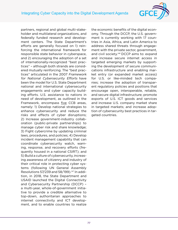

<span id="page-76-0"></span>partners, regional and global multi-stakeholder and multilateral organizations, and federally funded research and development centers. The State Department's efforts are generally focused on 1) reinforcing the international framework for responsible state behavior in cyberspace, and 2) encouraging the adoption of a set of internationally-recognized "best practices" – although both strands are considered mutually reinforcing. The "best practices" articulated in the 2007 Framework for National Cybersecurity Efforts have been the model for U.S. State Department national and international cybersecurity engagements and cyber capacity building efforts. U.S. assistance to nations in need of development, as outlined in the Framework, encompass five CCB areas, namely: 1) Develop national strategies to enhance cybersecurity and reduce the risks and effects of cyber disruptions; 2) Increase government-industry collaboration (public-private partnerships) to manage cyber risk and share knowledge; 3) Fight cybercrime by updating criminal laws, procedures, and policies; 4) Develop incident management capability that can coordinate cybersecurity watch, warning, response, and recovery efforts (frequently housed in a national CSIRT); and 5) Build a culture of cybersecurity, increasing awareness of citizenry and industry of their critical role in protecting cyber systems (following UN General Assembly Resolutions 57/239 and 58/199).[167](#page-84-0) In addition, in 2018, the State Department and USAID launched the Digital Connectivity and Cybersecurity Partnership (DCCP) – a multi-year, whole-of-government initiative to provide a credible alternative to top-down, authoritarian approaches to internet connectivity and ICT development, and to enable countries to realize

the economic benefits of the digital economy. Through the DCCP, the U.S. government is currently working with 17 countries in Asia, Africa, and Latin America to address shared threats through engagement with the private sector, government, and civil society.<sup>[168](#page-84-0)</sup> DCCP aims to: expand and increase secure internet access in targeted emerging markets by supporting the development of secure communications infrastructure and enabling market entry (or expanded market access) for U.S. or like-minded tech companies; increase the adoption of transparent regulatory policies and positions that encourage open, interoperable, reliable, and secure digital infrastructure; promote exports of U.S. ICT goods and services and increase U.S. company market share in targeted markets; and increase adoption of cybersecurity best practices in targeted countries.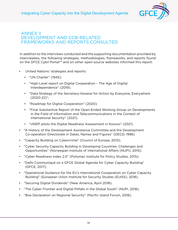

## <span id="page-77-0"></span>ANNEX II DEVELOPMENT AND CCB-RELATED FRAMEWORKS AND REPORTS CONSULTED

In addition to the interviews conducted and the supporting documentation provided by interviewees, the following strategies, methodologies, frameworks, and reports found on the GFCE Cybil Portal<sup>[169](#page-84-0)</sup> and on other open-source websites informed this report:

- United Nations' strategies and reports:
	- "UN Charter" (1945);
	- "High-Level report on Digital Cooperation The Age of Digital Interdependence" (2019);
	- "Data Strategy of the Secretary-General for Action by Everyone, Everywhere (2020-22)";
	- "Roadmap for Digital Cooperation" (2020);
	- "Final Substantive Report of the Open-Ended Working Group on Developments in the Field of Information and Telecommunications in the Context of International Security" (2021);
	- "UNDP pilots the Digital Readiness Assessment in Kosovo" (2021).
- "A History of the Development Assistance Committee and the Development Co-operation Directorate in Dates, Names and Figures" (OECD, 1996)
- "Capacity Building on Cybercrime" (Council of Europe, 2013);
- "Cyber Security Capacity Building in Developing Countries: Challenges and Opportunities" (Norwegian Institute of International Affairs (NUPI), 2015);
- "Cyber Readiness Index 2.0" (Potomac Institute for Policy Studies, 2015);
- "Delhi Communiqué on a GFCE Global Agenda for Cyber Capacity Building" (GFCE, 2017);
- "Operational Guidance for the EU's International Cooperation on Cyber Capacity Building" (European Union Institute for Security Studies (EUISS), 2018);
- "Securing Digital Dividends" (New America, April 2018);
- "The Cyber Frontier and Digital Pitfalls in the Global South" (NUPI, 2018);
- "Boe Declaration on Regional Security" (Pacific Island Forum, 2018);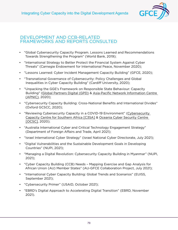

## DEVELOPMENT AND CCB-RELATED FRAMEWORKS AND REPORTS CONSULTED

- "Global Cybersecurity Capacity Program. Lessons Learned and Recommendations Towards Strengthening the Program" (World Bank, 2019);
- "International Strategy to Better Protect the Financial System Against Cyber Threats" (Carnegie Endowment for International Peace, November 2020);
- "Lessons Learned: Cyber Incident Management Capacity Building" (GFCE, 2020);
- "Transnational Governance of Cybersecurity: Policy Challenges and Global Inequalities in Cyber Capacity Building" (Cardiff University, 2020);
- "Unpacking the GGE's Framework on Responsible State Behaviour: Capacity Building" [\(Global Partners Digital \(GPD\)](https://cybilportal.org/actors/global-partners-digital/) & [Asia-Pacific Network Information Centre](https://cybilportal.org/actors/asia-pacific-network-information-centre-apnic/)  [\(APNIC\)](https://cybilportal.org/actors/asia-pacific-network-information-centre-apnic/), 2020);
- "Cybersecurity Capacity Building: Cross-National Benefits and International Divides" (Oxford GCSCC, 2020);
- "Reviewing Cybersecurity Capacity in a COVID-19 Environment" ([Cybersecurity](https://cybilportal.org/actors/cybersecurity-capacity-centre-for-southern-africa-c3sa/)  [Capacity Centre for Southern Africa \[C3SA\]](https://cybilportal.org/actors/cybersecurity-capacity-centre-for-southern-africa-c3sa/) & [Oceania Cyber Security Centre](https://cybilportal.org/actors/oceania-cyber-security-centre/)  [\[OCSC\]](https://cybilportal.org/actors/oceania-cyber-security-centre/), 2020);
- "Australia International Cyber and Critical Technology Engagement Strategy" (Department of Foreign Affairs and Trade, April 2021);
- "Israel International Cyber Strategy" (Israel National Cyber Directorate, July 2021);
- "Digital Vulnerabilities and the Sustainable Development Goals in Developing Countries" (NUPI, 2021);
- "Managing a Digital Revolution: Cybersecurity Capacity Building in Myanmar" (NUPI, 2021);
- "Cyber Capacity Building (CCB) Needs Mapping Exercise and Gap Analysis for African Union (AU) Member States" (AU-GFCE Collaboration Project, July 2021);
- "International Cyber Capacity Building: Global Trends and Scenarios" (EUISS, September 2021);
- "Cybersecurity Primer" (USAID, October 2021);
- "EBRD's Digital Approach to Accelerating Digital Transition" (EBRD, November 2021).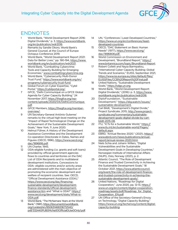

## ENDNOTES

- [1](#page-10-0) World Bank, "World Development Report 2016: Digital Dividends," p. 3, [https://www.worldbank.](https://www.worldbank.org/en/publication/wdr2016) [org/en/publication/wdr2016.](https://www.worldbank.org/en/publication/wdr2016)
- [2](#page-10-0) Remarks by Sandie Okoro, World Bank's General Counsel, at the Council of Europe Octopus Conference 2019.
- [3](#page-11-0) World Bank, "World Development Report 2021: Data for Better Lives," pp. 190-194, [https://www.](https://www.worldbank.org/en/publication/wdr2021) [worldbank.org/en/publication/wdr2021.](https://www.worldbank.org/en/publication/wdr2021)
- [4](#page-11-0) World Bank, "Combatting Cybercrime: Tools and Capacity Building for Emerging Economies," [www.combattingcybercrime.org.](http://www.combattingcybercrime.org)
- [5](#page-11-0) World Bank, "Cybersecurity Multi-Donor Trust Fund," [https://www.worldbank.org/en/](https://www.worldbank.org/en/programs/cybersecurity-trust-fund) [programs/cybersecurity-trust-fund](https://www.worldbank.org/en/programs/cybersecurity-trust-fund).
- [6](#page-11-0) Global Forum on Cyber Expertise, "Cybil Portal," <https://cybilportal.org/>.
- [7](#page-12-0) GFCE, "Delhi Communiqué on a GFCE Global Agenda for Cyber Capacity Building," 24 November 2017, [https://thegfce.org/wp](https://thegfce.org/wp-content/uploads/2020/04/DelhiCommunique.pdf)[content/uploads/2020/04/DelhiCommunique.](https://thegfce.org/wp-content/uploads/2020/04/DelhiCommunique.pdf) [pdf](https://thegfce.org/wp-content/uploads/2020/04/DelhiCommunique.pdf).
- [8](#page-14-0) GFCE Members, [https://thegfce.org/member](https://thegfce.org/member-overview/)[overview/](https://thegfce.org/member-overview/).
- [9](#page-15-0) UN Secretary-General António Guterres' remarks to the virtual high-level meeting on the "Impact of Rapid Technological Change on the Achievement of the Sustainable Development Goals," New York, 11 June 2020.
- [10](#page-16-0) Helmut Führer, A History of the Development Assistance Committee and the Development Co-operation Directorate in Dates, Names and Figures (OECD, 1996), [https://www.oecd.org/](https://www.oecd.org/dac/1896816.pdf) [dac/1896816.pdf.](https://www.oecd.org/dac/1896816.pdf)
- [11](#page-17-0) UN Charter, 1945.
- [12](#page-17-0) ODA-eligible funding (i.e. grants and soft loans) provided by official government agencies flows to countries and territories on the DAC List of ODA Recipients and to multilateral development institutions. Concessions to ODA- eligible countries and/or activity areas are administered with the main objective of promoting the economic development and welfare of recipient countries. See: OECD, "Official Development Assistance (ODA)," [https://www.oecd.org/dac/financing](https://www.oecd.org/dac/financing-sustainable-development/development-finance-standards/official-development-assistance.htm)[sustainable-development/development](https://www.oecd.org/dac/financing-sustainable-development/development-finance-standards/official-development-assistance.htm)[finance-standards/official-development](https://www.oecd.org/dac/financing-sustainable-development/development-finance-standards/official-development-assistance.htm)[assistance.htm](https://www.oecd.org/dac/financing-sustainable-development/development-finance-standards/official-development-assistance.htm) and "What is ODA?" [https://](https://www.oecd.org/development/stats/What-is-ODA.pdf) [www.oecd.org/development/stats/What-is-](https://www.oecd.org/development/stats/What-is-ODA.pdf)[ODA.pdf.](https://www.oecd.org/development/stats/What-is-ODA.pdf)
- [13](#page-18-0) World Bank, "The McNamara Years at the World Bank," (1981), [https://documents1.worldbank.](https://documents1.worldbank.org/curated/en/850631468336712540/pdf/332440PUB0McNa101Official0Use0Only1.pdf) [org/curated/en/850631468336712540/](https://documents1.worldbank.org/curated/en/850631468336712540/pdf/332440PUB0McNa101Official0Use0Only1.pdf) [pdf/332440PUB0McNa101Official0Use0Only1.pdf](https://documents1.worldbank.org/curated/en/850631468336712540/pdf/332440PUB0McNa101Official0Use0Only1.pdf).
- [14](#page-18-0) UN, "Conferences | Least Developed Countries," [https://www.un.org/en/conferences/least](https://www.un.org/en/conferences/least-developed-countries)[developed-countries](https://www.un.org/en/conferences/least-developed-countries).
- [15](#page-18-0) OECD, "DAC Statement on Basic Human Needs" (1977), [https://www.oecd.org/](https://www.oecd.org/dac/1896808.pdf) [dac/1896808.pdf.](https://www.oecd.org/dac/1896808.pdf)
- [16](#page-18-0) World Commission on Environment and Development, "Brundtland Report," [https://](https://www.britannica.com/topic/Brundtland-Report) [www.britannica.com/topic/Brundtland-Report](https://www.britannica.com/topic/Brundtland-Report).
- [17](#page-18-0) Robert Collett and Nayia Barmpaliou, "International Cyber Capacity Building: Global Trends and Scenarios," EUISS, September 2021, [https://www.iss.europa.eu/sites/default/files/](https://www.iss.europa.eu/sites/default/files/EUISSFiles/CCB%20Report%20Final.pdf) [EUISSFiles/CCB%20Report%20Final.pdf](https://www.iss.europa.eu/sites/default/files/EUISSFiles/CCB%20Report%20Final.pdf).
- [18](#page-19-0) United Nations, "Sustainable Development Goals," [https://sdgs.un.org.](https://sdgs.un.org)
- [19](#page-19-0) World Bank, "World Development Report: Digital Dividends," (2016): p. 3, [https://www.](https://www.worldbank.org/en/publication/wdr2016) [worldbank.org/en/publication/wdr2016](https://www.worldbank.org/en/publication/wdr2016).
- [20](#page-19-0) DiploFoundation, "Sustainable Development," [https://dig.watch/issues/](https://dig.watch/issues/sustainable-development) [sustainable-development.](https://dig.watch/issues/sustainable-development)
- [21](#page-19-0) Carl Bildt, "Development's Digital Divide," Project Syndicate, 2015, [http://www.project](http://www.project-syndicate.org?commentary/sustainable-development-goals-digital-divide-by-carl-bildt-2015-08)[syndicate.org?commentary/sustainable](http://www.project-syndicate.org?commentary/sustainable-development-goals-digital-divide-by-carl-bildt-2015-08)[development-goals-digital-divide-by-carl](http://www.project-syndicate.org?commentary/sustainable-development-goals-digital-divide-by-carl-bildt-2015-08)[bildt-2015-08](http://www.project-syndicate.org?commentary/sustainable-development-goals-digital-divide-by-carl-bildt-2015-08).
- [22](#page-20-0) ITU, "ICTs for a Sustainable World," [https://](https://www.itu.int/en/sustainable-world/Pages/default.aspx) [www.itu.int/en/sustainable-world/Pages/](https://www.itu.int/en/sustainable-world/Pages/default.aspx) [default.aspx](https://www.itu.int/en/sustainable-world/Pages/default.aspx)
- [23](#page-20-0) EBRD, "Annual Review 2020," (2021), [https://](https://www.ebrd.com/news/publications/annual-report/annual-review-2020.html) [www.ebrd.com/news/publications/annual](https://www.ebrd.com/news/publications/annual-report/annual-review-2020.html)[report/annual-review-2020.html.](https://www.ebrd.com/news/publications/annual-report/annual-review-2020.html)
- [24](#page-20-0) Niels Schia and Johann Willers, "Digital Vulnerabilities and the Sustainable Development Goals in Developing Countries," Norwegian Institute of International Affairs (NUPI), Oslo, Norway (2021), p. 2.
- [25](#page-20-0) Atlantic Council, "The Role of Development Finance and Trusted Connectivity in Achieving the Sustainable Development Goals," 18 October 2021, [https://www.atlanticcouncil.](https://www.atlanticcouncil.org/event/the-role-of-development-finance-and-trusted-connectivity-in-achieving-the-sustainable-development-goals/) [org/event/the-role-of-development-finance](https://www.atlanticcouncil.org/event/the-role-of-development-finance-and-trusted-connectivity-in-achieving-the-sustainable-development-goals/)[and-trusted-connectivity-in-achieving-the](https://www.atlanticcouncil.org/event/the-role-of-development-finance-and-trusted-connectivity-in-achieving-the-sustainable-development-goals/)[sustainable-development-goals/.](https://www.atlanticcouncil.org/event/the-role-of-development-finance-and-trusted-connectivity-in-achieving-the-sustainable-development-goals/)
- [26](#page-20-0) United Nations, "Roadmap for Digital Cooperation," June 2020, pp. 12-13, [https://](https://www.un.org/en/content/digital-cooperation-roadmap/assets/pdf/Roadmap_for_Digital_Cooperation_EN.pdf) [www.un.org/en/content/digital-cooperation](https://www.un.org/en/content/digital-cooperation-roadmap/assets/pdf/Roadmap_for_Digital_Cooperation_EN.pdf)[roadmap/assets/pdf/Roadmap\\_for\\_Digital\\_](https://www.un.org/en/content/digital-cooperation-roadmap/assets/pdf/Roadmap_for_Digital_Cooperation_EN.pdf) [Cooperation\\_EN.pdf.](https://www.un.org/en/content/digital-cooperation-roadmap/assets/pdf/Roadmap_for_Digital_Cooperation_EN.pdf)
- [27](#page-20-0) UN Office of the Secretary-General's Envoy on Technology, "Digital Capacity Building," [https://www.un.org/techenvoy/content/digital](https://www.un.org/techenvoy/content/digital-capacity-building)[capacity-building.](https://www.un.org/techenvoy/content/digital-capacity-building)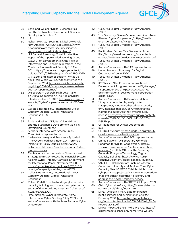

- [28](#page-21-0) Schia and Willers, "Digital Vulnerabilities and the Sustainable Development Goals in Developing Countries."
- [29](#page-21-0) Ibid.
- [30](#page-21-0) Robert Morgus, "Securing Digital Dividends," New America, April 2018, p.8, [https://www.](https://www.newamerica.org/cybersecurity-initiative/reports/securing-digital-dividends/) [newamerica.org/cybersecurity-initiative/](https://www.newamerica.org/cybersecurity-initiative/reports/securing-digital-dividends/) [reports/securing-digital-dividends/.](https://www.newamerica.org/cybersecurity-initiative/reports/securing-digital-dividends/)
- [31](#page-21-0) UN General Assembly, "Final Substantive Report of the Open-Ended Working Group (OEWG) on Developments in the Field of Information and Telecommunications in the Context of International Security," 10 March 2021, [https://front.un-arm.org/wp-content/](https://front.un-arm.org/wp-content/uploads/2021/03/Final-report-A-AC.290-2021-CRP.2.pdf) [uploads/2021/03/Final-report-A-AC.290-2021-](https://front.un-arm.org/wp-content/uploads/2021/03/Final-report-A-AC.290-2021-CRP.2.pdf) [CRP.2.pdf;](https://front.un-arm.org/wp-content/uploads/2021/03/Final-report-A-AC.290-2021-CRP.2.pdf) and Internet Society, "What Do You Mean When You Say 'Open Internet'?" 3 September 2014, [https://www.internetsociety.](https://www.internetsociety.org/blog/2014/09/what-do-you-mean-when-you-say-open-internet/) [org/blog/2014/09/what-do-you-mean-when](https://www.internetsociety.org/blog/2014/09/what-do-you-mean-when-you-say-open-internet/)[you-say-open-internet/](https://www.internetsociety.org/blog/2014/09/what-do-you-mean-when-you-say-open-internet/).
- [32](#page-22-0) UN Secretary General's High-Level Panel on Digital Cooperation, "The Age of Digital Interdependence," (2019), [https://www.un.org/](https://www.un.org/en/pdfs/DigitalCooperation-report-for%20web.pdf) [en/pdfs/DigitalCooperation-report-for%20web.](https://www.un.org/en/pdfs/DigitalCooperation-report-for%20web.pdf) [pdf.](https://www.un.org/en/pdfs/DigitalCooperation-report-for%20web.pdf)
- [33](#page-22-0) Collett & Barmpaliou, "International Cyber Capacity Building: Global Trends and Scenarios," EUISS.
- [34](#page-22-0) Ibid.
- [35](#page-23-0) Schia and Willers, "Digital Vulnerabilities and the Sustainable Development Goals in Developing Countries."
- [36](#page-23-0) Authors' interview with African Union Commission representative.
- [37](#page-23-0) Melissa Hathaway and Francesca Spidalieri, "The Cyber Readiness Index 2.0," Potomac Institute for Policy Studies, [https://www.](https://www.potomacinstitute.org/academic-centers/cyber-readiness-index) [potomacinstitute.org/academic-centers/cyber](https://www.potomacinstitute.org/academic-centers/cyber-readiness-index)[readiness-index.](https://www.potomacinstitute.org/academic-centers/cyber-readiness-index)
- [38](#page-24-0) Tim Mauer and Arthur Nelson, "International Strategy to Better Protect the Financial System Against Cyber Threats," Carnegie Endowment for International Peace, November 2020, [https://carnegieendowment.org/2020/11/18/](https://carnegieendowment.org/2020/11/18/priority-5-capacity-building-pub-83113) [priority-5-capacity-building-pub-83113.](https://carnegieendowment.org/2020/11/18/priority-5-capacity-building-pub-83113)
- [39](#page-24-0) Collet & Barmpaliou, "International Cyber Capacity Building: Global Trends and Scenarios."
- [40](#page-24-0) Robert Collett, "Understanding cybersecurity capacity building and its relationship to norms and confidence building measures," Journal of Cyber Policy, 2021.
- [41](#page-26-0) Israel National Cyber Directorate, "Israel International Cyber Strategy," July 2021; and authors' interview with the Israel National Cyber Directorate.
- [42](#page-28-0) "Securing Digital Dividends," New America (2018).
- [43](#page-28-0) "UN Secretary-General's press remarks on New Plan for Digital Cooperation," [https://media.](https://media.un.org/en/asset/k1x/k1x3tnmwei) [un.org/en/asset/k1x/k1x3tnmwei](https://media.un.org/en/asset/k1x/k1x3tnmwei).
- [44](#page-29-0) "Securing Digital Dividends," New America (2018).
- [45](#page-29-0) Pacific Island Forum, "Boe Declaration Action Plan," [https://www.forumsec.org/wp-content/](https://www.forumsec.org/wp-content/uploads/2019/10/BOE-document-Action-Plan.pdf) [uploads/2019/10/BOE-document-Action-Plan.pdf.](https://www.forumsec.org/wp-content/uploads/2019/10/BOE-document-Action-Plan.pdf)
- [46](#page-30-0) "Securing Digital Dividends," New America (2018).
- [47](#page-31-0) Authors' interview with OAS representative.
- [48](#page-31-0) United Nations, "Roadmap for Digital Cooperation," June 2020.
- [49](#page-32-0) "Securing Digital Dividends," New America (2018).
- [50](#page-33-0) ICT Works, "The Future of International Development Programmes in the Digital Age," 1 September 2021, [https://www.ictworks.](https://www.ictworks.org/international-development-cooperation-digital-age/) [org/international-development-cooperation](https://www.ictworks.org/international-development-cooperation-digital-age/)[digital-age/.](https://www.ictworks.org/international-development-cooperation-digital-age/)
- [51](#page-33-0) Authors' interview with DiploFoundation.
- [52](#page-33-0) "A report conducted by analysts from Dataprotect, a Morocco-based data security firm, indicates that 55% of African financial institutions outsource their cybersecurity needs," [https://cybersecforum.eu/wp-content/](https://cybersecforum.eu/wp-content/uploads/2020/08/ECJ-VOLUME-6-2020-ISSUE-1.pdf) [uploads/2020/08/ECJ-VOLUME-6-2020-](https://cybersecforum.eu/wp-content/uploads/2020/08/ECJ-VOLUME-6-2020-ISSUE-1.pdf) [ISSUE-1.pdf](https://cybersecforum.eu/wp-content/uploads/2020/08/ECJ-VOLUME-6-2020-ISSUE-1.pdf).
- [53](#page-34-0) UN Roadmap for Digital Cooperation.
- [54](#page-34-0) Ibid.
- [55](#page-34-0) UN DCO, "About," [https://unsdg.un.org/about/](https://unsdg.un.org/about/development-coordination-office) [development-coordination-office.](https://unsdg.un.org/about/development-coordination-office)
- [56](#page-35-0) Authors' interview with OECD representative.
- [57](#page-36-0) United Nations, "UN Secretary-General's Roadmap for Digital Cooperation," [https://](https://www.un.org/en/content/digital-cooperation-roadmap/) [www.un.org/en/content/digital-cooperation](https://www.un.org/en/content/digital-cooperation-roadmap/)[roadmap/](https://www.un.org/en/content/digital-cooperation-roadmap/); and UN Office of the Secretary-General's Envoy on Technology, "Digital Capacity Building," [https://www.un.org/](https://www.un.org/techenvoy/content/digital-capacity-building) [techenvoy/content/digital-capacity-building.](https://www.un.org/techenvoy/content/digital-capacity-building)
- [58](#page-36-0) "AU-GFCE Collaboration: Enabling African Countries to Identify and Address Their Cyber Capacity Needs," GFCE Cybil Portal, [https://](https://cybilportal.org/projects/auc-gfce-collaboration-enabling-african-countries-to-identify-and-address-their-cyber-capacity-needs/) [cybilportal.org/projects/auc-gfce-collaboration](https://cybilportal.org/projects/auc-gfce-collaboration-enabling-african-countries-to-identify-and-address-their-cyber-capacity-needs/)[enabling-african-countries-to-identify-and](https://cybilportal.org/projects/auc-gfce-collaboration-enabling-african-countries-to-identify-and-address-their-cyber-capacity-needs/)[address-their-cyber-capacity-needs/.](https://cybilportal.org/projects/auc-gfce-collaboration-enabling-african-countries-to-identify-and-address-their-cyber-capacity-needs/)
- [59](#page-37-0) Authors' interview with CREST, 25 August 2021.
- [60](#page-38-0) CMU CyberLab-Africa, [https://www.cylab.cmu.](https://www.cylab.cmu.edu/research/africa/index.html) [edu/research/africa/index.html](https://www.cylab.cmu.edu/research/africa/index.html)
- [61](#page-38-0) DIAL, "Unlocking MNO data to enhance public services and humanitarian efforts," February 2018, [https://digitalimpactalliance.](https://digitalimpactalliance.org/wp-content/uploads/2018/02/DIAL_D4D-Report_2018.pdf) [org/wp-content/uploads/2018/02/DIAL\\_D4D-](https://digitalimpactalliance.org/wp-content/uploads/2018/02/DIAL_D4D-Report_2018.pdf)[Report\\_2018.pdf](https://digitalimpactalliance.org/wp-content/uploads/2018/02/DIAL_D4D-Report_2018.pdf).
- [62](#page-38-0) Digital Impact Alliance, "Who We Are," [https://](https://digitalimpactalliance.org/home/who-we-are/) [digitalimpactalliance.org/home/who-we-are/](https://digitalimpactalliance.org/home/who-we-are/).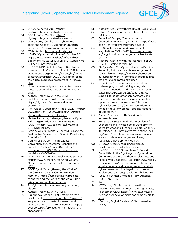

- [63](#page-38-0) DPGA, "Who We Are," [https://](https://digitalpublicgoods.net/who-we-are/) [digitalpublicgoods.net/who-we-are/](https://digitalpublicgoods.net/who-we-are/).
- [64](#page-39-0) DPGA, "What We Do," [https://](https://digitalpublicgoods.net/what-we-do/) [digitalpublicgoods.net/what-we-do/.](https://digitalpublicgoods.net/what-we-do/)
- [65](#page-39-0) World Bank, "Combatting Cybercrime: Tools and Capacity Building for Emerging Economies," [www.combattingcybercrime.org.](http://www.combattingcybercrime.org)
- [66](#page-39-0) "Cybil Portal," [https://cybilportal.org.](https://cybilportal.org)
- [67](#page-39-0) USAID, "Cybersecurity Primer," October 2021, [https://www.usaid.gov/sites/default/files/](https://www.usaid.gov/sites/default/files/documents/10-26-21_EXTERNAL_CyberPrimer-CLEARED-accessible.pdf) [documents/10-26-21\\_EXTERNAL\\_CyberPrimer-](https://www.usaid.gov/sites/default/files/documents/10-26-21_EXTERNAL_CyberPrimer-CLEARED-accessible.pdf)[CLEARED-accessible.pdf](https://www.usaid.gov/sites/default/files/documents/10-26-21_EXTERNAL_CyberPrimer-CLEARED-accessible.pdf).
- [68](#page-40-0) UNDP, "UNDP pilots the Digital Readiness Assessment in Kosovo," 24 March 2021, [https://](https://www.ks.undp.org/content/kosovo/en/home/presscenter/articles/2021/03/24/undp-pilots-the-digital-readiness-assessment-in-kosovo.html) [www.ks.undp.org/content/kosovo/en/home/](https://www.ks.undp.org/content/kosovo/en/home/presscenter/articles/2021/03/24/undp-pilots-the-digital-readiness-assessment-in-kosovo.html) [presscenter/articles/2021/03/24/undp-pilots](https://www.ks.undp.org/content/kosovo/en/home/presscenter/articles/2021/03/24/undp-pilots-the-digital-readiness-assessment-in-kosovo.html)[the-digital-readiness-assessment-in-kosovo.](https://www.ks.undp.org/content/kosovo/en/home/presscenter/articles/2021/03/24/undp-pilots-the-digital-readiness-assessment-in-kosovo.html) [html](https://www.ks.undp.org/content/kosovo/en/home/presscenter/articles/2021/03/24/undp-pilots-the-digital-readiness-assessment-in-kosovo.html).
- [69](#page-40-0) Note: cybersecurity and data protection are mostly discussed as part of the Regulations pillar.
- [70](#page-40-0) Authors' interview with the UNDP.
- [71](#page-41-0) DiploFoundation, "Sustainable Development," [https://dig.watch/issues/sustainable](https://dig.watch/issues/sustainable-development)[development](https://dig.watch/issues/sustainable-development).
- [72](#page-42-0) ITU, "Global Cybersecurity Index 2020," [https://](https://www.itu.int/en/ITU-D/Cybersecurity/Pages/global-cybersecurity-index.aspx) [www.itu.int/en/ITU-D/Cybersecurity/Pages/](https://www.itu.int/en/ITU-D/Cybersecurity/Pages/global-cybersecurity-index.aspx) [global-cybersecurity-index.aspx.](https://www.itu.int/en/ITU-D/Cybersecurity/Pages/global-cybersecurity-index.aspx)
- [73](#page-42-0) Melissa Hathaway, "Managing National Cyber Risk," Organization of American States, (2018), [https://www.oas.org/es/sms/cicte/](https://www.oas.org/es/sms/cicte/ENGcyberrisk.pdf) [ENGcyberrisk.pdf](https://www.oas.org/es/sms/cicte/ENGcyberrisk.pdf).
- [74](#page-43-0) Schia & Willers, "Digital Vulnerabilities and the Sustainable Development Goals in Developing Countries," p. 2.
- [75](#page-44-0) Council of Europe, "The Budapest Convention on Cybercrime: Benefits and Impact in Practice," July 2020, [https://](https://rm.coe.int/t-cy-2020-16-bc-benefits-rep-provisional/16809ef6ac) [rm.coe.int/t-cy-2020-16-bc-benefits-rep](https://rm.coe.int/t-cy-2020-16-bc-benefits-rep-provisional/16809ef6ac)[provisional/16809ef6ac](https://rm.coe.int/t-cy-2020-16-bc-benefits-rep-provisional/16809ef6ac).
- [76](#page-44-0) INTERPOL, "National Central Bureau (NCBs)," [https://www.interpol.int/en/Who-we-are/](https://www.interpol.int/en/Who-we-are/Member-countries/National-Central-Bureaus-NCBs) [Member-countries/National-Central-Bureaus-](https://www.interpol.int/en/Who-we-are/Member-countries/National-Central-Bureaus-NCBs)[NCBs](https://www.interpol.int/en/Who-we-are/Member-countries/National-Central-Bureaus-NCBs).
- [77](#page-44-0) GFCE Cybil, "Strengthening the Work of the CBM 8 PoC Crisis Communication Network," [https://cybilportal.org/projects/](https://cybilportal.org/projects/strengthening-the-work-of-the-cbm-8-poc-crisis-communication-network/) [strengthening-the-work-of-the-cbm-8-poc](https://cybilportal.org/projects/strengthening-the-work-of-the-cbm-8-poc-crisis-communication-network/)[crisis-communication-network/](https://cybilportal.org/projects/strengthening-the-work-of-the-cbm-8-poc-crisis-communication-network/)
- [78](#page-44-0) EU CyberNet, [https://www.eucybernet.eu/](https://www.eucybernet.eu/vision/) [vision/.](https://www.eucybernet.eu/vision/)
- [79](#page-45-0) Authors' interview with CREST.
- [80](#page-46-0) ITU, "Kenya National CIRT Establishment," GFCE Cybil, [https://cybilportal.org/projects/](https://cybilportal.org/projects/kenya-national-cirt-establishment/) [kenya-national-cirt-establishment/,](https://cybilportal.org/projects/kenya-national-cirt-establishment/) and "Kenya National CIRT Enhancement," [https://](https://cybilportal.org/projects/kenya-national-cirt-enhancement/) [cybilportal.org/projects/kenya-national-cirt](https://cybilportal.org/projects/kenya-national-cirt-enhancement/)[enhancement/](https://cybilportal.org/projects/kenya-national-cirt-enhancement/).
- [81](#page-46-0) Authors' interview with the ITU, 31 August 2021.
- [82](#page-46-0) USAID, "Cybersecurity for Critical Infrastructure in Ukraine."
- [83](#page-46-0) Council of Europe, "Global Action on Cybercrime Extended (GLACY+)," [https://www.](https://www.coe.int/en/web/cybercrime/glacyplus) [coe.int/en/web/cybercrime/glacyplus.](https://www.coe.int/en/web/cybercrime/glacyplus)
- [84](#page-46-0) DG Neighbourhood and Enlargement Negotiations (DG NEAR), [https://ec.europa.](https://ec.europa.eu/neighbourhood-enlargement/directorate-general_en) [eu/neighbourhood-enlargement/directorate](https://ec.europa.eu/neighbourhood-enlargement/directorate-general_en)general en .
- [85](#page-47-0) Authors' interview with representative of DG NEAR – Ukraine special unit.
- [86](#page-47-0) EU CyberNet, "EU CyberNet work in Dominican Republic, first national cybersecurity exercise "Cyber llamas," [https://www.eucybernet.eu/](https://www.eucybernet.eu/eu-cybernet-work-in-dominican-republic-first-national-cyber-llamas-exercise/) [eu-cybernet-work-in-dominican-republic-first](https://www.eucybernet.eu/eu-cybernet-work-in-dominican-republic-first-national-cyber-llamas-exercise/)[national-cyber-llamas-exercise/.](https://www.eucybernet.eu/eu-cybernet-work-in-dominican-republic-first-national-cyber-llamas-exercise/)
- [87](#page-47-0) Cyber4Dev, "Cyber4Dev experts deliver wide-ranging virtual training alongside partners in Ecuador and Paraguay," [https://](https://cyber4dev.eu/2021/03/26/continuing-our-support-to-south-american-partners/) [cyber4dev.eu/2021/03/26/continuing-our](https://cyber4dev.eu/2021/03/26/continuing-our-support-to-south-american-partners/)[support-to-south-american-partners/](https://cyber4dev.eu/2021/03/26/continuing-our-support-to-south-american-partners/), and "Cooperation in times of adversity creates opportunities for development," [https://](https://cyber4dev.eu/2020/08/11/cooperation-in-times-of-adversity-creates-opportunities-for-development/) [cyber4dev.eu/2020/08/11/cooperation-in](https://cyber4dev.eu/2020/08/11/cooperation-in-times-of-adversity-creates-opportunities-for-development/)[times-of-adversity-creates-opportunities-for](https://cyber4dev.eu/2020/08/11/cooperation-in-times-of-adversity-creates-opportunities-for-development/)[development/](https://cyber4dev.eu/2020/08/11/cooperation-in-times-of-adversity-creates-opportunities-for-development/).
- [88](#page-47-0) Authors' interview with World Bank representatives.
- [89](#page-48-0) Remarks by Susan Lund, Vice President of Economics and Private Sector Development at the International Finance Corporation (IFC), 18 October 2021, [https://www.atlanticcouncil.](https://www.atlanticcouncil.org/event/the-role-of-development-finance-and-trusted-connectivity-in-achieving-the-sustainable-development-goals/) [org/event/the-role-of-development-finance](https://www.atlanticcouncil.org/event/the-role-of-development-finance-and-trusted-connectivity-in-achieving-the-sustainable-development-goals/)[and-trusted-connectivity-in-achieving-the](https://www.atlanticcouncil.org/event/the-role-of-development-finance-and-trusted-connectivity-in-achieving-the-sustainable-development-goals/)[sustainable-development-goals/.](https://www.atlanticcouncil.org/event/the-role-of-development-finance-and-trusted-connectivity-in-achieving-the-sustainable-development-goals/)
- [90](#page-48-0) UN DCO, [https://unsdg.un.org/about/](https://unsdg.un.org/about/development-coordination-office) [development-coordination-office.](https://unsdg.un.org/about/development-coordination-office)
- [91](#page-48-0) UNODC, "UNODC Strengthens El Salvador's Capabilities in the Fight against Cybercrime Committed against Children, Adolescents and People with Disabilities," 28 March 2017, [https://](https://www.unodc.org/ropan/en/unodc-strengthens-el-salvadors-capabilities-in-the-fight-against-cybercrime-committed-against-children--adolescents-and-people-with-disabilities.html) [www.unodc.org/ropan/en/unodc-strengthens](https://www.unodc.org/ropan/en/unodc-strengthens-el-salvadors-capabilities-in-the-fight-against-cybercrime-committed-against-children--adolescents-and-people-with-disabilities.html)[el-salvadors-capabilities-in-the-fight-against](https://www.unodc.org/ropan/en/unodc-strengthens-el-salvadors-capabilities-in-the-fight-against-cybercrime-committed-against-children--adolescents-and-people-with-disabilities.html)[cybercrime-committed-against-children-](https://www.unodc.org/ropan/en/unodc-strengthens-el-salvadors-capabilities-in-the-fight-against-cybercrime-committed-against-children--adolescents-and-people-with-disabilities.html) [adolescents-and-people-with-disabilities.html](https://www.unodc.org/ropan/en/unodc-strengthens-el-salvadors-capabilities-in-the-fight-against-cybercrime-committed-against-children--adolescents-and-people-with-disabilities.html).
- [92](#page-49-0) "Securing Digital Dividends," New America (2018), pp. 35-6, 51.
- [93](#page-51-0) Ibid.
- [94](#page-51-0) ICT Works, "The Future of International Development Programmes in the Digital Age," 1 September 2021, [https://www.ictworks.org/](https://www.ictworks.org/international-development-cooperation-digital-age/) [international-development-cooperation-digital](https://www.ictworks.org/international-development-cooperation-digital-age/)[age/.](https://www.ictworks.org/international-development-cooperation-digital-age/)
- [95](#page-52-0) "Securing Digital Dividends," New America (2018).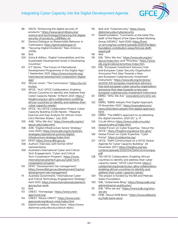

- [96](#page-52-0) OECD, "Enhancing the digital security of products," [https://www.oecd-ilibrary.org/](https://www.oecd-ilibrary.org/science-and-technology/enhancing-the-digital-security-of-products_cd9f9ebc-en) [science-and-technology/enhancing-the-digital](https://www.oecd-ilibrary.org/science-and-technology/enhancing-the-digital-security-of-products_cd9f9ebc-en)[security-of-products\\_cd9f9ebc-en](https://www.oecd-ilibrary.org/science-and-technology/enhancing-the-digital-security-of-products_cd9f9ebc-en).
- [97](#page-52-0) Geneva Dialogue on Responsible Behavior in Cyberspace,<https://genevadialogue.ch>.
- [98](#page-52-0) "Securing Digital Dividends," New America (2018).
- [99](#page-56-0) Ibid.
- [100](#page-56-0) Schia & Willers, "Digital Vulnerabilities and the Sustainable Development Goals in Developing Countries."
- [101](#page-56-0) ICT Works, "The Future of International Development Programmes in the Digital Age," 1 September 2021, [https://www.ictworks.org/](https://www.ictworks.org/international-development-cooperation-digital-age/) [international-development-cooperation-digital](https://www.ictworks.org/international-development-cooperation-digital-age/)[age/](https://www.ictworks.org/international-development-cooperation-digital-age/)
- [102](#page-58-0) African Union, "The Commission," [https://au.int/](https://au.int/en/auc) [en/auc.](https://au.int/en/auc)
- [103](#page-58-0) GFCE, "AUC-GFCE Collaboration: Enabling African Countries to Identify and Address their Cyber Capacity Needs," 8 March 2021, [https://](https://thegfce.org/auc-gfce-collaboration-enabling-african-countries-to-identify-and-address-their-cyber-capacity-needs/) [thegfce.org/auc-gfce-collaboration-enabling](https://thegfce.org/auc-gfce-collaboration-enabling-african-countries-to-identify-and-address-their-cyber-capacity-needs/)[african-countries-to-identify-and-address-their](https://thegfce.org/auc-gfce-collaboration-enabling-african-countries-to-identify-and-address-their-cyber-capacity-needs/)[cyber-capacity-needs/.](https://thegfce.org/auc-gfce-collaboration-enabling-african-countries-to-identify-and-address-their-cyber-capacity-needs/)
- [104](#page-58-0) GFCE, "AU-GFCE Collaboration Project: Cyber Capacity Building (CCB) Needs – Mapping Exercise and Gap Analysis for African Union (AU) Member States," July 2021.
- [105](#page-58-0) AIIB, "Who We Are," [https://www.aiib.org/en/](https://www.aiib.org/en/about-aiib/index.html) [about-aiib/index.html.](https://www.aiib.org/en/about-aiib/index.html)
- [106](#page-59-0) AIIB, "Digital Infrastructure Sector Strategy," June 2020, [https://www.aiib.org/en/policies](https://www.aiib.org/en/policies-strategies/operational-policies/digital-infrastructure-strategy/index.html)[strategies/operational-policies/digital](https://www.aiib.org/en/policies-strategies/operational-policies/digital-infrastructure-strategy/index.html)[infrastructure-strategy/index.html](https://www.aiib.org/en/policies-strategies/operational-policies/digital-infrastructure-strategy/index.html).
- [107](#page-59-0) DFAT,<https://www.dfat.gov.au>.
- [108](#page-59-0) Authors' interview with former DFAT representative.
- [109](#page-59-0) Australia's International Cyber and Critical Tech Engagement, "Cyber and Critical Tech Cooperation Program," [https://www.](https://www.internationalcybertech.gov.au/cyber-tech-cooperation-program) [internationalcybertech.gov.au/cyber-tech](https://www.internationalcybertech.gov.au/cyber-tech-cooperation-program)[cooperation-program](https://www.internationalcybertech.gov.au/cyber-tech-cooperation-program).
- [110](#page-59-0) DFAT, "Development risk management," [https://www.dfat.gov.au/development/topics/](https://www.dfat.gov.au/development/topics/development-risk-management) [development-risk-management.](https://www.dfat.gov.au/development/topics/development-risk-management)
- [111](#page-59-0) Australia Government, "International Cyber and Critical Technology Engagement Strategy," April 2021, [https://www.internationalcybertech.](https://www.internationalcybertech.gov.au/our-work) [gov.au/our-work](https://www.internationalcybertech.gov.au/our-work).
- [112](#page-60-0) Ibid.
- [113](#page-60-0) CREST, "Homepage," https://www.crestapproved.org/.
- [114](#page-60-0) CREST, "About CREST," [https://www.crest](https://www.crest-approved.org/about-crest/index.html)[approved.org/about-crest/index.html.](https://www.crest-approved.org/about-crest/index.html)
- [115](#page-61-0) DiploFoundation, "About Diplo," https://www. diplomacy.edu/aboutus/about-diplo/.
- [116](#page-61-0) Ibid; and "Cybersecurity," [https://www.](https://www.diplomacy.edu/cybersecurity) [diplomacy.edu/cybersecurity.](https://www.diplomacy.edu/cybersecurity)
- [117](#page-61-0) DiploFoundation, "Comments on the Initial 'Predraft' of the Report of the Open-Ended Working Group (OEWG)," April 2020, [https://front.](https://front.un-arm.org/wp-content/uploads/2020/04/diplo-foundation-contribution-oewg-first-pre-draft-report.pdf) [un-arm.org/wp-content/uploads/2020/04/diplo](https://front.un-arm.org/wp-content/uploads/2020/04/diplo-foundation-contribution-oewg-first-pre-draft-report.pdf)[foundation-contribution-oewg-first-pre-draft](https://front.un-arm.org/wp-content/uploads/2020/04/diplo-foundation-contribution-oewg-first-pre-draft-report.pdf)[report.pdf.](https://front.un-arm.org/wp-content/uploads/2020/04/diplo-foundation-contribution-oewg-first-pre-draft-report.pdf)
- [118](#page-61-0) Ibid.
- [119](#page-61-0) EIB, "Who We Are," [https://www.eib.org/en/](https://www.eib.org/en/about/index.htm) [about/index.htm](https://www.eib.org/en/about/index.htm); and "Priorities," [https://www.](https://www.eib.org/en/about/priorities/index.htm) [eib.org/en/about/priorities/index.htm.](https://www.eib.org/en/about/priorities/index.htm)
- [120](#page-61-0) EIB, "European Investment Advisory Hub and European Cyber Security Organisation Announce First Step Towards a New pan-European Cybersecurity Investment Instrument," [https://www.eib.org/en/press/](https://www.eib.org/en/press/all/2021-331-european-investment-advisory-hub-and-european-cyber-security-organisation-announce-first-step-towards-a-new-pan-european-cybersecurity-investment-instrument) [all/2021-331-european-investment-advisory](https://www.eib.org/en/press/all/2021-331-european-investment-advisory-hub-and-european-cyber-security-organisation-announce-first-step-towards-a-new-pan-european-cybersecurity-investment-instrument)[hub-and-european-cyber-security-organisation](https://www.eib.org/en/press/all/2021-331-european-investment-advisory-hub-and-european-cyber-security-organisation-announce-first-step-towards-a-new-pan-european-cybersecurity-investment-instrument)[announce-first-step-towards-a-new-pan](https://www.eib.org/en/press/all/2021-331-european-investment-advisory-hub-and-european-cyber-security-organisation-announce-first-step-towards-a-new-pan-european-cybersecurity-investment-instrument)[european-cybersecurity-investment-instrument.](https://www.eib.org/en/press/all/2021-331-european-investment-advisory-hub-and-european-cyber-security-organisation-announce-first-step-towards-a-new-pan-european-cybersecurity-investment-instrument)
- [121](#page-62-0) EBRD, "Who We Are," [www.ebrd.com/who-we](http://www.ebrd.com/who-we-are/)[are/.](http://www.ebrd.com/who-we-are/)
- [122](#page-62-0) EBRD, "EBRD Adopts First Digital Approach, 10 November 2021," [https://www.ebrd.com/](https://www.ebrd.com/news/2021/ebrd-adopts-first-digital-approach.html) [news/2021/ebrd-adopts-first-digital-approach.](https://www.ebrd.com/news/2021/ebrd-adopts-first-digital-approach.html) [html.](https://www.ebrd.com/news/2021/ebrd-adopts-first-digital-approach.html)
- [123](#page-62-0) EBRD, "The EBRD's approach to accelerating the digital transition, 2021-25," p. 17.
- [124](#page-62-0) CyLab-Africa, [https://www.cylab.cmu.edu/](https://www.cylab.cmu.edu/research/africa/index.html) [research/africa/index.html](https://www.cylab.cmu.edu/research/africa/index.html).
- [125](#page-62-0) Global Forum on Cyber Expertise, "About the GFCE," [https://thegfce.org/about-the-gfce/.](https://thegfce.org/about-the-gfce/)
- [126](#page-62-0) Global Forum on Cyber Expertise, "Cybil Portal," <https://cybilportal.org/>.
- [127](#page-63-0) GFCE, "Delhi Communiqué on a GFCE Global Agenda for Cyber Capacity Building," 24 November 2017, [https://thegfce.org/wp](https://thegfce.org/wp-content/uploads/2020/04/DelhiCommunique.pdf)[content/uploads/2020/04/DelhiCommunique.](https://thegfce.org/wp-content/uploads/2020/04/DelhiCommunique.pdf) [pdf.](https://thegfce.org/wp-content/uploads/2020/04/DelhiCommunique.pdf)
- [128](#page-63-0) "AU-GFCE Collaboration: Enabling African countries to identify and address their cyber capacity needs," GFCE Cybil Portal, [https://](https://cybilportal.org/projects/auc-gfce-collaboration-enabling-african-countries-to-identify-and-address-their-cyber-capacity-needs/) [cybilportal.org/projects/auc-gfce-collaboration](https://cybilportal.org/projects/auc-gfce-collaboration-enabling-african-countries-to-identify-and-address-their-cyber-capacity-needs/)[enabling-african-countries-to-identify-and](https://cybilportal.org/projects/auc-gfce-collaboration-enabling-african-countries-to-identify-and-address-their-cyber-capacity-needs/)[address-their-cyber-capacity-needs/.](https://cybilportal.org/projects/auc-gfce-collaboration-enabling-african-countries-to-identify-and-address-their-cyber-capacity-needs/)
- [129](#page-63-0) The project is funded by the Bill and Melinda Gates Foundation.
- [130](#page-63-0) IDB, "Gobernarte Blog," [https://blogs.iadb.org/](https://blogs.iadb.org/administracion-publica/en/) [administracion-publica/en/.](https://blogs.iadb.org/administracion-publica/en/)
- [131](#page-64-0) IDB, "Who we are," [https://www.isdb.org/who](https://www.isdb.org/who-we-are)[we-are](https://www.isdb.org/who-we-are).
- [132](#page-64-0) KDB, "About KDB Bank," [https://www.kdbbank.](https://www.kdbbank.eu//kdb-bank-seoul) [eu//kdb-bank-seoul.](https://www.kdbbank.eu//kdb-bank-seoul)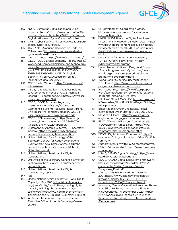

- <span id="page-83-0"></span>[133](#page-65-0) NUPI, "Centre for Digitalization and Cyber Security Studies," [https://www.nupi.no/en/Our](https://www.nupi.no/en/Our-research/Research-centres/NUPI-s-Centre-for-Digitalization-and-Cyber-Security-Studies)[research/Research-centres/NUPI-s-Centre-for-](https://www.nupi.no/en/Our-research/Research-centres/NUPI-s-Centre-for-Digitalization-and-Cyber-Security-Studies)[Digitalization-and-Cyber-Security-Studies.](https://www.nupi.no/en/Our-research/Research-centres/NUPI-s-Centre-for-Digitalization-and-Cyber-Security-Studies)
- [134](#page-65-0) OAS, "Cyber Security," [https://www.oas.org/en/](https://www.oas.org/en/topics/cyber_security.asp) [topics/cyber\\_security.asp.](https://www.oas.org/en/topics/cyber_security.asp)
- [135](#page-65-0) OAS, "Inter-American Cooperation Portal on Cybercrime," [http://www.oas.org/en/sla/dlc/](http://www.oas.org/en/sla/dlc/cyber-en/homePortal.asp) [cyber-en/homePortal.asp.](http://www.oas.org/en/sla/dlc/cyber-en/homePortal.asp)
- [136](#page-66-0) OECD, "About," [https://www.oecd.org/about/.](https://www.oecd.org/about/)
- [137](#page-66-0) OECD, "OECD Digital Economy Papers," [https://](https://www.oecd-ilibrary.org/science-and-technology/oecd-digital-economy-papers_20716826?_ga=2.67327122.2099822214.1630675930-1561748895.1630675112) [www.oecd-ilibrary.org/science-and-technology/](https://www.oecd-ilibrary.org/science-and-technology/oecd-digital-economy-papers_20716826?_ga=2.67327122.2099822214.1630675930-1561748895.1630675112) [oecd-digital-economy-papers\\_20716826?\\_](https://www.oecd-ilibrary.org/science-and-technology/oecd-digital-economy-papers_20716826?_ga=2.67327122.2099822214.1630675930-1561748895.1630675112) [ga=2.67327122.2099822214.1630675930-](https://www.oecd-ilibrary.org/science-and-technology/oecd-digital-economy-papers_20716826?_ga=2.67327122.2099822214.1630675930-1561748895.1630675112) [1561748895.1630675112;](https://www.oecd-ilibrary.org/science-and-technology/oecd-digital-economy-papers_20716826?_ga=2.67327122.2099822214.1630675930-1561748895.1630675112) OECD, "Digital Security," [https://www.oecd.org/digital/](https://www.oecd.org/digital/ieconomy/digital-security/) [ieconomy/digital-security/.](https://www.oecd.org/digital/ieconomy/digital-security/)
- [138](#page-67-0) OSCE, "Who We Are," [https://www.osce.org/](https://www.osce.org/who-we-are) [who-we-are](https://www.osce.org/who-we-are).
- [139](#page-67-0) OSCE, "Capacity-building Initiatives Related to Cybercrime in Focus at OSCE Technical Briefing," 8 September 2021, [https://www.osce.](https://www.osce.org/secretariat/497434) [org/secretariat/497434.](https://www.osce.org/secretariat/497434)
- [140](#page-67-0) OSCE, "OSCE Activities Regarding Implementation of Cyber/ICT Security Confidence-building Measures," [https://front.](https://front.un-arm.org/wp-content/uploads/2020/04/1-osce-nonpaper-for-oewg-and-gge.pdf) [un-arm.org/wp-content/uploads/2020/04/1](https://front.un-arm.org/wp-content/uploads/2020/04/1-osce-nonpaper-for-oewg-and-gge.pdf) [osce-nonpaper-for-oewg-and-gge.pdf](https://front.un-arm.org/wp-content/uploads/2020/04/1-osce-nonpaper-for-oewg-and-gge.pdf)
- [141](#page-67-0) OSCE, "CBM e-learning," [https://elearning.](https://elearning.osce.org/courses/course-v1:OSCE+TNTD-CYBERCBM_v1+2020_11/about) [osce.org/courses/course-v1:OSCE+TNTD-](https://elearning.osce.org/courses/course-v1:OSCE+TNTD-CYBERCBM_v1+2020_11/about)[CYBERCBM\\_v1+2020\\_11/about](https://elearning.osce.org/courses/course-v1:OSCE+TNTD-CYBERCBM_v1+2020_11/about).
- [142](#page-67-0) Statement by António Guterres, UN Secretary-General, [https://www.un.org/techenvoy/](https://www.un.org/techenvoy/content/roadmap-digital-cooperation) [content/roadmap-digital-cooperation](https://www.un.org/techenvoy/content/roadmap-digital-cooperation).
- [143](#page-67-0) United Nations, "Data Strategy of the Secretary-General for Action by Everyone, Everywhere," p.33, [https://www.un.org/en/](https://www.un.org/en/content/datastrategy/images/pdf/UN_SG_Data-Strategy.pdf) [content/datastrategy/images/pdf/UN\\_SG\\_](https://www.un.org/en/content/datastrategy/images/pdf/UN_SG_Data-Strategy.pdf) [Data-Strategy.pdf](https://www.un.org/en/content/datastrategy/images/pdf/UN_SG_Data-Strategy.pdf) .
- [144](#page-68-0) United Nations, "Roadmap for Digital Cooperation."
- [145](#page-68-0) UN Office of the Secretary-General's Envoy on Technology, [https://www.un.org/techenvoy/](https://www.un.org/techenvoy/content/about) [content/about](https://www.un.org/techenvoy/content/about)
- [146](#page-68-0) United Nations, "Roadmap for Digital Cooperation," pp. 12-13.
- [147](#page-68-0) Ibid.
- [148](#page-69-0) United Nations, "Joint Facility for Global Digital Capacity," May 2021, [https://digital-capacity.](https://digital-capacity.org/joint-facility/) [org/joint-facility/;](https://digital-capacity.org/joint-facility/) and "Strengthening digital capacity building," [https://www.un.org/](https://www.un.org/techenvoy/sites/www.un.org.techenvoy/files/general/Capacity_Building_Summary_PDF.pdf) [techenvoy/sites/www.un.org.techenvoy/files/](https://www.un.org/techenvoy/sites/www.un.org.techenvoy/files/general/Capacity_Building_Summary_PDF.pdf) [general/Capacity\\_Building\\_Summary\\_PDF.pdf](https://www.un.org/techenvoy/sites/www.un.org.techenvoy/files/general/Capacity_Building_Summary_PDF.pdf).
- [149](#page-69-0) Authors' interview with representatives of the Executive Office of the UN Secretary-General (EOSG).
- [150](#page-69-0) UN Development Coordination Office, [https://unsdg.un.org/about/development](https://unsdg.un.org/about/development-coordination-office)[coordination-office.](https://unsdg.un.org/about/development-coordination-office)
- [151](#page-69-0) UNDP, "UNDP Pilots the Digital Readiness Assessment in Kosovo," 24 March 2021, [https://](https://www.ks.undp.org/content/kosovo/en/home/presscenter/articles/2021/03/24/undp-pilots-the-digital-readiness-assessment-in-kosovo.html) [www.ks.undp.org/content/kosovo/en/home/](https://www.ks.undp.org/content/kosovo/en/home/presscenter/articles/2021/03/24/undp-pilots-the-digital-readiness-assessment-in-kosovo.html) [presscenter/articles/2021/03/24/undp-pilots](https://www.ks.undp.org/content/kosovo/en/home/presscenter/articles/2021/03/24/undp-pilots-the-digital-readiness-assessment-in-kosovo.html)[the-digital-readiness-assessment-in-kosovo.](https://www.ks.undp.org/content/kosovo/en/home/presscenter/articles/2021/03/24/undp-pilots-the-digital-readiness-assessment-in-kosovo.html) [html.](https://www.ks.undp.org/content/kosovo/en/home/presscenter/articles/2021/03/24/undp-pilots-the-digital-readiness-assessment-in-kosovo.html)
- [152](#page-69-0) UN Institute for Disarmament Research, "UNIDIR Cyber Policy Portal," [https://](https://cyberpolicyportal.org/en/) [cyberpolicyportal.org/en/](https://cyberpolicyportal.org/en/).
- [153](#page-70-0) United Nations Office on Drugs and Crime, "Global Programme on Cybercrime," [www.](http://www.unodc.org/unodc/en/cybercrime/global-programme-cybercrime.html) [unodc.org/unodc/en/cybercrime/global](http://www.unodc.org/unodc/en/cybercrime/global-programme-cybercrime.html)[programme-cybercrime.html](http://www.unodc.org/unodc/en/cybercrime/global-programme-cybercrime.html).
- [154](#page-71-0) World Bank, "Cybersecurity Multi-Donor Trust Fund," [https://www.worldbank.org/en/](https://www.worldbank.org/en/programs/cybersecurity-trust-fund) [programs/cybersecurity-trust-fund.](https://www.worldbank.org/en/programs/cybersecurity-trust-fund)
- [155](#page-71-0) IFC, "About IFC," [https://www.ifc.org/wps/](https://www.ifc.org/wps/wcm/connect/corp_ext_content/ifc_external_corporate_site/about+ifc_new) wcm/connect/corp\_ext\_content/ifc\_external [corporate\\_site/about+ifc\\_new](https://www.ifc.org/wps/wcm/connect/corp_ext_content/ifc_external_corporate_site/about+ifc_new).
- [156](#page-72-0) MASHAV, "About MASHAV," [https://mfa.gov.il/](https://mfa.gov.il/MFA/mashav/AboutMASHAV/Pages/Guiding_Principles.aspx) [MFA/mashav/AboutMASHAV/Pages/Guiding\\_](https://mfa.gov.il/MFA/mashav/AboutMASHAV/Pages/Guiding_Principles.aspx) [Principles.aspx](https://mfa.gov.il/MFA/mashav/AboutMASHAV/Pages/Guiding_Principles.aspx).
- [157](#page-72-0) Israel National Cyber Directorate, "Israel International Cyber Strategy," July 2021, p. 9.
- [158](#page-72-0) "JICA at a Glance," [https://www.jica.go.jp/](https://www.jica.go.jp/english/about/at_a_glance/index.html) [english/about/at\\_a\\_glance/index.html.](https://www.jica.go.jp/english/about/at_a_glance/index.html)
- [159](#page-73-0) FDCO, "What the Foreign, Commonwealth & Development Office Does," [https://www.](https://www.gov.uk/government/organisations/foreign-commonwealth-development-office) [gov.uk/government/organisations/foreign](https://www.gov.uk/government/organisations/foreign-commonwealth-development-office)[commonwealth-development-office.](https://www.gov.uk/government/organisations/foreign-commonwealth-development-office)
- [160](#page-73-0) FCDO, "Digital Access Programme," [https://](https://devtracker.fcdo.gov.uk/projects/GB-1-204963/summary) [devtracker.fcdo.gov.uk/projects/GB-1-204963/](https://devtracker.fcdo.gov.uk/projects/GB-1-204963/summary) [summary](https://devtracker.fcdo.gov.uk/projects/GB-1-204963/summary).
- [161](#page-74-0) Authors' interview with FCDO representatives.
- [162](#page-74-0) USAID, "Who We Are," [https://www.usaid.gov/](https://www.usaid.gov/who-we-are) [who-we-are.](https://www.usaid.gov/who-we-are)
- [163](#page-74-0) USAID, "USAID Digital Strategy," [https://www.](https://www.usaid.gov/usaid-digital-strategy) [usaid.gov/usaid-digital-strategy.](https://www.usaid.gov/usaid-digital-strategy)
- [164](#page-74-0) USAID, "USAID Digital Ecosystem Framework," [https://www.usaid.gov/sites/default/files/](https://www.usaid.gov/sites/default/files/documents/Digital_Strategy_Digital_Ecosystem_Final.pdf) [documents/Digital\\_Strategy\\_Digital\\_](https://www.usaid.gov/sites/default/files/documents/Digital_Strategy_Digital_Ecosystem_Final.pdf) [Ecosystem\\_Final.pdf](https://www.usaid.gov/sites/default/files/documents/Digital_Strategy_Digital_Ecosystem_Final.pdf).
- [165](#page-75-0) USAID, "Cybersecurity Primer," October 2021, [https://www.usaid.gov/sites/default/](https://www.usaid.gov/sites/default/files/documents/10-26-21_EXTERNAL_CyberPrimer-CLEARED-accessible.pdf) [files/documents/10-26-21\\_EXTERNAL\\_](https://www.usaid.gov/sites/default/files/documents/10-26-21_EXTERNAL_CyberPrimer-CLEARED-accessible.pdf) [CyberPrimer-CLEARED-accessible.pdf](https://www.usaid.gov/sites/default/files/documents/10-26-21_EXTERNAL_CyberPrimer-CLEARED-accessible.pdf).
- [166](#page-75-0) Internews, "Global Consortium Launches Three-Year Effort to Strengthen Internet Freedom in 50 Countries," 10 September 2020, [https://](https://internews.org/global-consortium-launches-three-year-effort-strengthen-internet-freedom-50-countries/) [internews.org/global-consortium-launches](https://internews.org/global-consortium-launches-three-year-effort-strengthen-internet-freedom-50-countries/)[three-year-effort-strengthen-internet-freedom-](https://internews.org/global-consortium-launches-three-year-effort-strengthen-internet-freedom-50-countries/)[50-countries/.](https://internews.org/global-consortium-launches-three-year-effort-strengthen-internet-freedom-50-countries/)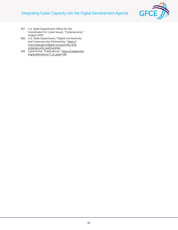## <span id="page-84-0"></span>Integrating Cyber Capacity into the Digital Development Agenda



- [167](#page-76-0) U.S. State Department Office for the Coordinator for Cyber Issues, "Cybersecurity," August 2015.
- [168](#page-76-0) U.S. State Department, "Digital Connectivity and Cybersecurity Partnership," [https://](https://www.state.gov/digital-connectivity-and-cybersecurity-partnership/) [www.state.gov/digital-connectivity-and](https://www.state.gov/digital-connectivity-and-cybersecurity-partnership/)[cybersecurity-partnership/](https://www.state.gov/digital-connectivity-and-cybersecurity-partnership/).
- [169](#page-77-0) Cybil Portal, "Publications," [https://cybilportal.](https://cybilportal.org/publications/?_sf_ppp=148) [org/publications/?\\_sf\\_ppp=148.](https://cybilportal.org/publications/?_sf_ppp=148)